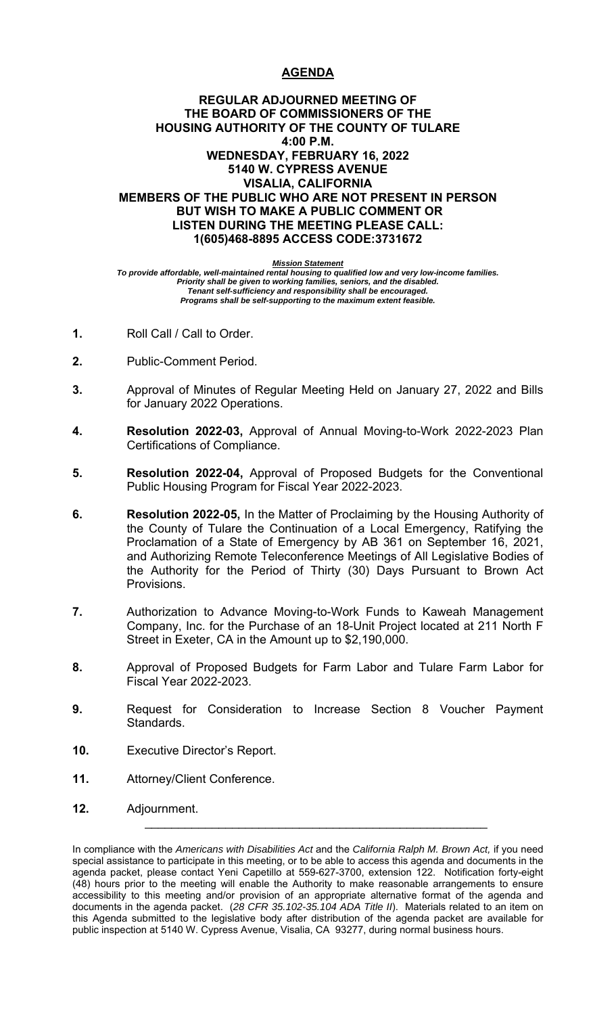# **AGENDA**

# **REGULAR ADJOURNED MEETING OF THE BOARD OF COMMISSIONERS OF THE HOUSING AUTHORITY OF THE COUNTY OF TULARE 4:00 P.M. WEDNESDAY, FEBRUARY 16, 2022 5140 W. CYPRESS AVENUE VISALIA, CALIFORNIA MEMBERS OF THE PUBLIC WHO ARE NOT PRESENT IN PERSON BUT WISH TO MAKE A PUBLIC COMMENT OR LISTEN DURING THE MEETING PLEASE CALL: 1(605)468-8895 ACCESS CODE:3731672**

*Mission Statement* 

*To provide affordable, well-maintained rental housing to qualified low and very low-income families. Priority shall be given to working families, seniors, and the disabled. Tenant self-sufficiency and responsibility shall be encouraged. Programs shall be self-supporting to the maximum extent feasible.* 

- **1.** Roll Call / Call to Order.
- **2.** Public-Comment Period.
- **3.** Approval of Minutes of Regular Meeting Held on January 27, 2022 and Bills for January 2022 Operations.
- **4. Resolution 2022-03,** Approval of Annual Moving-to-Work 2022-2023 Plan Certifications of Compliance.
- **5. Resolution 2022-04,** Approval of Proposed Budgets for the Conventional Public Housing Program for Fiscal Year 2022-2023.
- **6. Resolution 2022-05,** In the Matter of Proclaiming by the Housing Authority of the County of Tulare the Continuation of a Local Emergency, Ratifying the Proclamation of a State of Emergency by AB 361 on September 16, 2021, and Authorizing Remote Teleconference Meetings of All Legislative Bodies of the Authority for the Period of Thirty (30) Days Pursuant to Brown Act Provisions.
- **7.** Authorization to Advance Moving-to-Work Funds to Kaweah Management Company, Inc. for the Purchase of an 18-Unit Project located at 211 North F Street in Exeter, CA in the Amount up to \$2,190,000.
- **8.** Approval of Proposed Budgets for Farm Labor and Tulare Farm Labor for Fiscal Year 2022-2023.
- **9.** Request for Consideration to Increase Section 8 Voucher Payment Standards.
- **10.** Executive Director's Report.
- **11.** Attorney/Client Conference.
- **12.** Adjournment.

\_\_\_\_\_\_\_\_\_\_\_\_\_\_\_\_\_\_\_\_\_\_\_\_\_\_\_\_\_\_\_\_\_\_\_\_\_\_\_\_\_\_\_\_\_\_\_\_\_\_\_

In compliance with the *Americans with Disabilities Act* and the *California Ralph M. Brown Act,* if you need special assistance to participate in this meeting, or to be able to access this agenda and documents in the agenda packet, please contact Yeni Capetillo at 559-627-3700, extension 122. Notification forty-eight (48) hours prior to the meeting will enable the Authority to make reasonable arrangements to ensure accessibility to this meeting and/or provision of an appropriate alternative format of the agenda and documents in the agenda packet. (*28 CFR 35.102-35.104 ADA Title II*). Materials related to an item on this Agenda submitted to the legislative body after distribution of the agenda packet are available for public inspection at 5140 W. Cypress Avenue, Visalia, CA 93277, during normal business hours.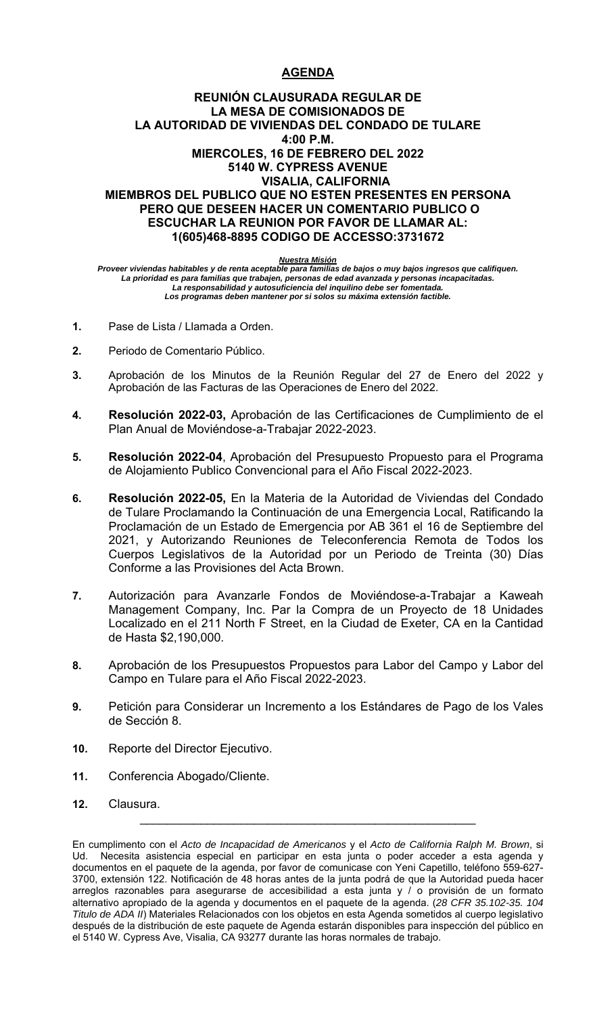# **AGENDA**

# **REUNIÓN CLAUSURADA REGULAR DE LA MESA DE COMISIONADOS DE LA AUTORIDAD DE VIVIENDAS DEL CONDADO DE TULARE 4:00 P.M. MIERCOLES, 16 DE FEBRERO DEL 2022 5140 W. CYPRESS AVENUE VISALIA, CALIFORNIA MIEMBROS DEL PUBLICO QUE NO ESTEN PRESENTES EN PERSONA PERO QUE DESEEN HACER UN COMENTARIO PUBLICO O ESCUCHAR LA REUNION POR FAVOR DE LLAMAR AL: 1(605)468-8895 CODIGO DE ACCESSO:3731672**

### *Nuestra Misión*

*Proveer viviendas habitables y de renta aceptable para familias de bajos o muy bajos ingresos que califiquen. La prioridad es para familias que trabajen, personas de edad avanzada y personas incapacitadas. La responsabilidad y autosuficiencia del inquilino debe ser fomentada. Los programas deben mantener por si solos su máxima extensión factible.* 

- **1.** Pase de Lista / Llamada a Orden.
- **2.** Periodo de Comentario Público.
- **3.** Aprobación de los Minutos de la Reunión Regular del 27 de Enero del 2022 y Aprobación de las Facturas de las Operaciones de Enero del 2022.
- **4. Resolución 2022-03,** Aprobación de las Certificaciones de Cumplimiento de el Plan Anual de Moviéndose-a-Trabajar 2022-2023.
- **5. Resolución 2022-04**, Aprobación del Presupuesto Propuesto para el Programa de Alojamiento Publico Convencional para el Año Fiscal 2022-2023.
- **6. Resolución 2022-05,** En la Materia de la Autoridad de Viviendas del Condado de Tulare Proclamando la Continuación de una Emergencia Local, Ratificando la Proclamación de un Estado de Emergencia por AB 361 el 16 de Septiembre del 2021, y Autorizando Reuniones de Teleconferencia Remota de Todos los Cuerpos Legislativos de la Autoridad por un Periodo de Treinta (30) Días Conforme a las Provisiones del Acta Brown.
- **7.** Autorización para Avanzarle Fondos de Moviéndose-a-Trabajar a Kaweah Management Company, Inc. Par la Compra de un Proyecto de 18 Unidades Localizado en el 211 North F Street, en la Ciudad de Exeter, CA en la Cantidad de Hasta \$2,190,000.
- **8.** Aprobación de los Presupuestos Propuestos para Labor del Campo y Labor del Campo en Tulare para el Año Fiscal 2022-2023.
- **9.** Petición para Considerar un Incremento a los Estándares de Pago de los Vales de Sección 8.
- **10.** Reporte del Director Ejecutivo.
- **11.** Conferencia Abogado/Cliente.
- **12.** Clausura.

 $\mathcal{L}_\text{max}$  , and the contract of the contract of the contract of the contract of the contract of the contract of the contract of the contract of the contract of the contract of the contract of the contract of the contr

En cumplimento con el *Acto de Incapacidad de Americanos* y el *Acto de California Ralph M. Brown*, si Ud. Necesita asistencia especial en participar en esta junta o poder acceder a esta agenda y documentos en el paquete de la agenda, por favor de comunicase con Yeni Capetillo, teléfono 559-627- 3700, extensión 122. Notificación de 48 horas antes de la junta podrá de que la Autoridad pueda hacer arreglos razonables para asegurarse de accesibilidad a esta junta y / o provisión de un formato alternativo apropiado de la agenda y documentos en el paquete de la agenda. (*28 CFR 35.102-35. 104 Titulo de ADA II*) Materiales Relacionados con los objetos en esta Agenda sometidos al cuerpo legislativo después de la distribución de este paquete de Agenda estarán disponibles para inspección del público en el 5140 W. Cypress Ave, Visalia, CA 93277 durante las horas normales de trabajo.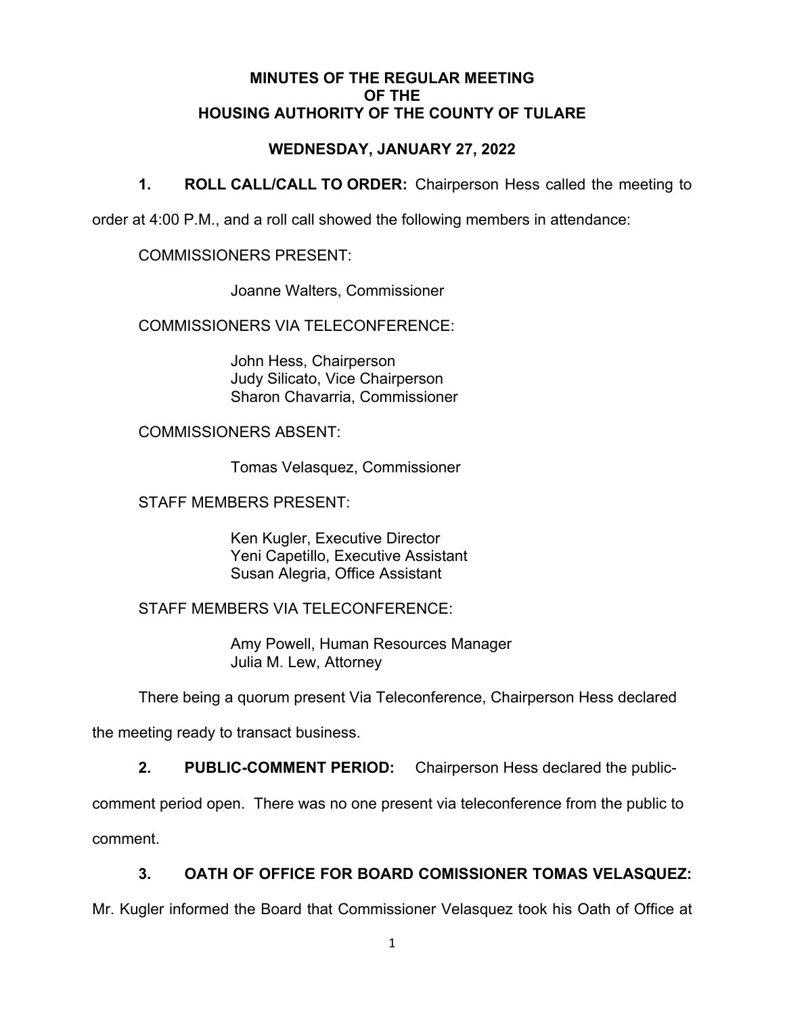# **MINUTES OF THE REGULAR MEETING OF THE HOUSING AUTHORITY OF THE COUNTY OF TULARE**

# **WEDNESDAY, JANUARY 27, 2022**

**1. ROLL CALL/CALL TO ORDER:** Chairperson Hess called the meeting to

order at 4:00 P.M., and a roll call showed the following members in attendance:

COMMISSIONERS PRESENT:

Joanne Walters, Commissioner

COMMISSIONERS VIA TELECONFERENCE:

 John Hess, Chairperson Judy Silicato, Vice Chairperson Sharon Chavarria, Commissioner

COMMISSIONERS ABSENT:

Tomas Velasquez, Commissioner

STAFF MEMBERS PRESENT:

 Ken Kugler, Executive Director Yeni Capetillo, Executive Assistant Susan Alegria, Office Assistant

STAFF MEMBERS VIA TELECONFERENCE:

Amy Powell, Human Resources Manager Julia M. Lew, Attorney

There being a quorum present Via Teleconference, Chairperson Hess declared

the meeting ready to transact business.

**2. PUBLIC-COMMENT PERIOD:** Chairperson Hess declared the public-

comment period open. There was no one present via teleconference from the public to comment.

**3. OATH OF OFFICE FOR BOARD COMISSIONER TOMAS VELASQUEZ:** 

Mr. Kugler informed the Board that Commissioner Velasquez took his Oath of Office at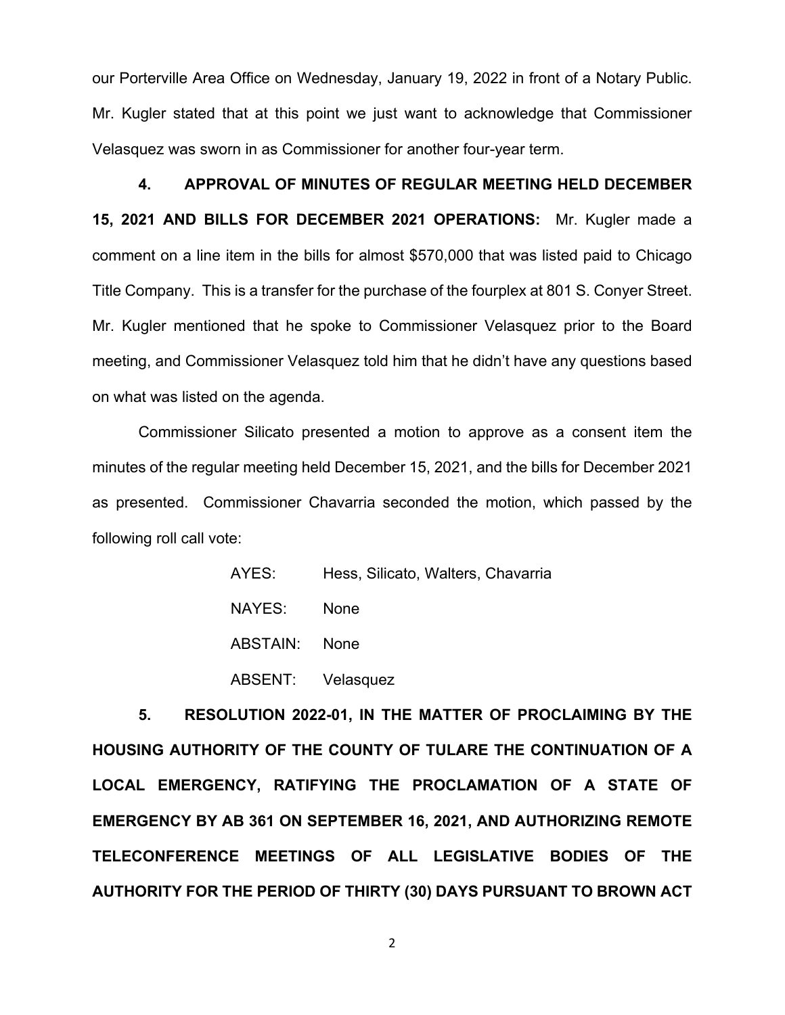our Porterville Area Office on Wednesday, January 19, 2022 in front of a Notary Public. Mr. Kugler stated that at this point we just want to acknowledge that Commissioner Velasquez was sworn in as Commissioner for another four-year term.

**4. APPROVAL OF MINUTES OF REGULAR MEETING HELD DECEMBER 15, 2021 AND BILLS FOR DECEMBER 2021 OPERATIONS:** Mr. Kugler made a comment on a line item in the bills for almost \$570,000 that was listed paid to Chicago Title Company. This is a transfer for the purchase of the fourplex at 801 S. Conyer Street. Mr. Kugler mentioned that he spoke to Commissioner Velasquez prior to the Board meeting, and Commissioner Velasquez told him that he didn't have any questions based on what was listed on the agenda.

Commissioner Silicato presented a motion to approve as a consent item the minutes of the regular meeting held December 15, 2021, and the bills for December 2021 as presented. Commissioner Chavarria seconded the motion, which passed by the following roll call vote:

| AYES:         | Hess, Silicato, Walters, Chavarria |
|---------------|------------------------------------|
| NAYES:        | None                               |
| ABSTAIN: None |                                    |
|               | ABSENT: Velasquez                  |

**5. RESOLUTION 2022-01, IN THE MATTER OF PROCLAIMING BY THE HOUSING AUTHORITY OF THE COUNTY OF TULARE THE CONTINUATION OF A LOCAL EMERGENCY, RATIFYING THE PROCLAMATION OF A STATE OF EMERGENCY BY AB 361 ON SEPTEMBER 16, 2021, AND AUTHORIZING REMOTE TELECONFERENCE MEETINGS OF ALL LEGISLATIVE BODIES OF THE AUTHORITY FOR THE PERIOD OF THIRTY (30) DAYS PURSUANT TO BROWN ACT**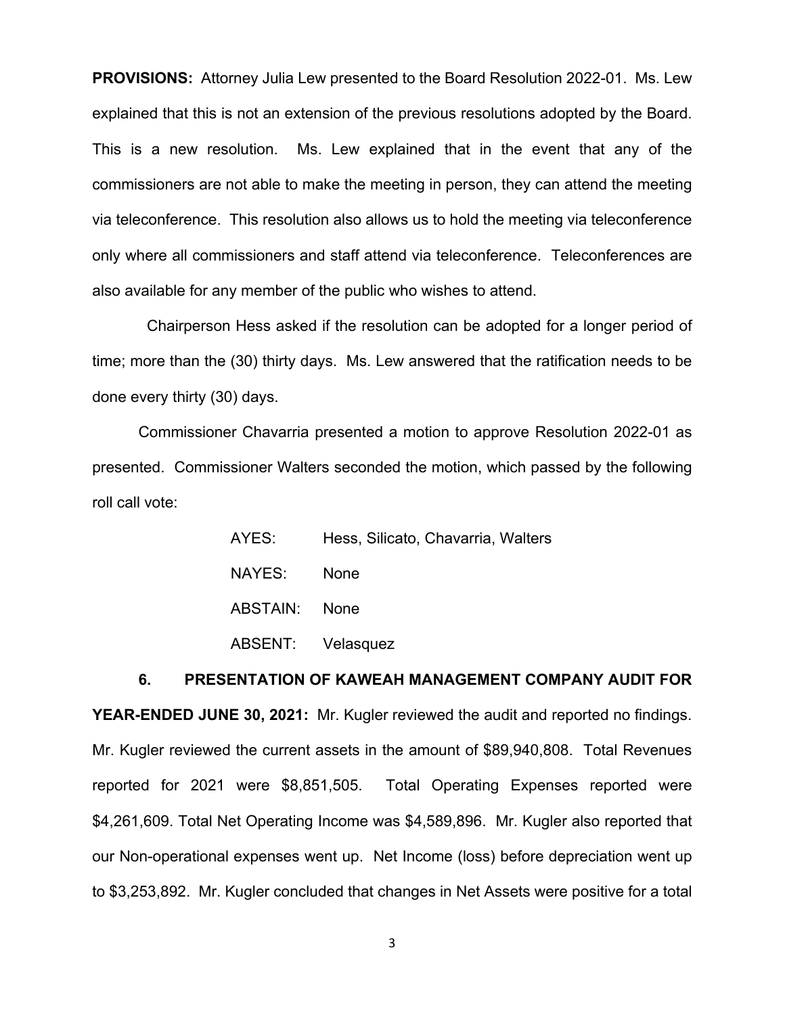**PROVISIONS:** Attorney Julia Lew presented to the Board Resolution 2022-01. Ms. Lew explained that this is not an extension of the previous resolutions adopted by the Board. This is a new resolution. Ms. Lew explained that in the event that any of the commissioners are not able to make the meeting in person, they can attend the meeting via teleconference. This resolution also allows us to hold the meeting via teleconference only where all commissioners and staff attend via teleconference. Teleconferences are also available for any member of the public who wishes to attend.

 Chairperson Hess asked if the resolution can be adopted for a longer period of time; more than the (30) thirty days. Ms. Lew answered that the ratification needs to be done every thirty (30) days.

Commissioner Chavarria presented a motion to approve Resolution 2022-01 as presented. Commissioner Walters seconded the motion, which passed by the following roll call vote:

| AYES:             | Hess, Silicato, Chavarria, Walters |
|-------------------|------------------------------------|
| NAYES: None       |                                    |
| ABSTAIN: None     |                                    |
| ABSENT: Velasquez |                                    |

# **6. PRESENTATION OF KAWEAH MANAGEMENT COMPANY AUDIT FOR YEAR-ENDED JUNE 30, 2021:** Mr. Kugler reviewed the audit and reported no findings. Mr. Kugler reviewed the current assets in the amount of \$89,940,808. Total Revenues reported for 2021 were \$8,851,505. Total Operating Expenses reported were \$4,261,609. Total Net Operating Income was \$4,589,896. Mr. Kugler also reported that our Non-operational expenses went up. Net Income (loss) before depreciation went up to \$3,253,892. Mr. Kugler concluded that changes in Net Assets were positive for a total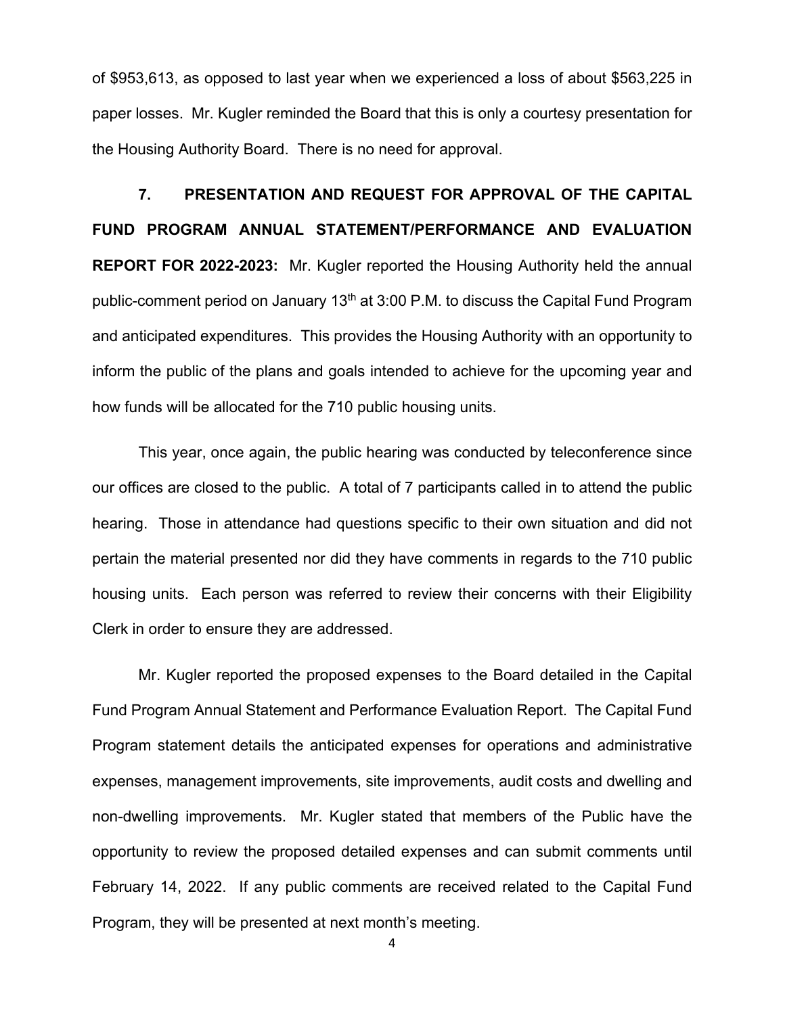of \$953,613, as opposed to last year when we experienced a loss of about \$563,225 in paper losses. Mr. Kugler reminded the Board that this is only a courtesy presentation for the Housing Authority Board. There is no need for approval.

**7. PRESENTATION AND REQUEST FOR APPROVAL OF THE CAPITAL FUND PROGRAM ANNUAL STATEMENT/PERFORMANCE AND EVALUATION REPORT FOR 2022-2023:** Mr. Kugler reported the Housing Authority held the annual public-comment period on January 13<sup>th</sup> at 3:00 P.M. to discuss the Capital Fund Program and anticipated expenditures. This provides the Housing Authority with an opportunity to inform the public of the plans and goals intended to achieve for the upcoming year and how funds will be allocated for the 710 public housing units.

This year, once again, the public hearing was conducted by teleconference since our offices are closed to the public. A total of 7 participants called in to attend the public hearing. Those in attendance had questions specific to their own situation and did not pertain the material presented nor did they have comments in regards to the 710 public housing units. Each person was referred to review their concerns with their Eligibility Clerk in order to ensure they are addressed.

Mr. Kugler reported the proposed expenses to the Board detailed in the Capital Fund Program Annual Statement and Performance Evaluation Report. The Capital Fund Program statement details the anticipated expenses for operations and administrative expenses, management improvements, site improvements, audit costs and dwelling and non-dwelling improvements. Mr. Kugler stated that members of the Public have the opportunity to review the proposed detailed expenses and can submit comments until February 14, 2022. If any public comments are received related to the Capital Fund Program, they will be presented at next month's meeting.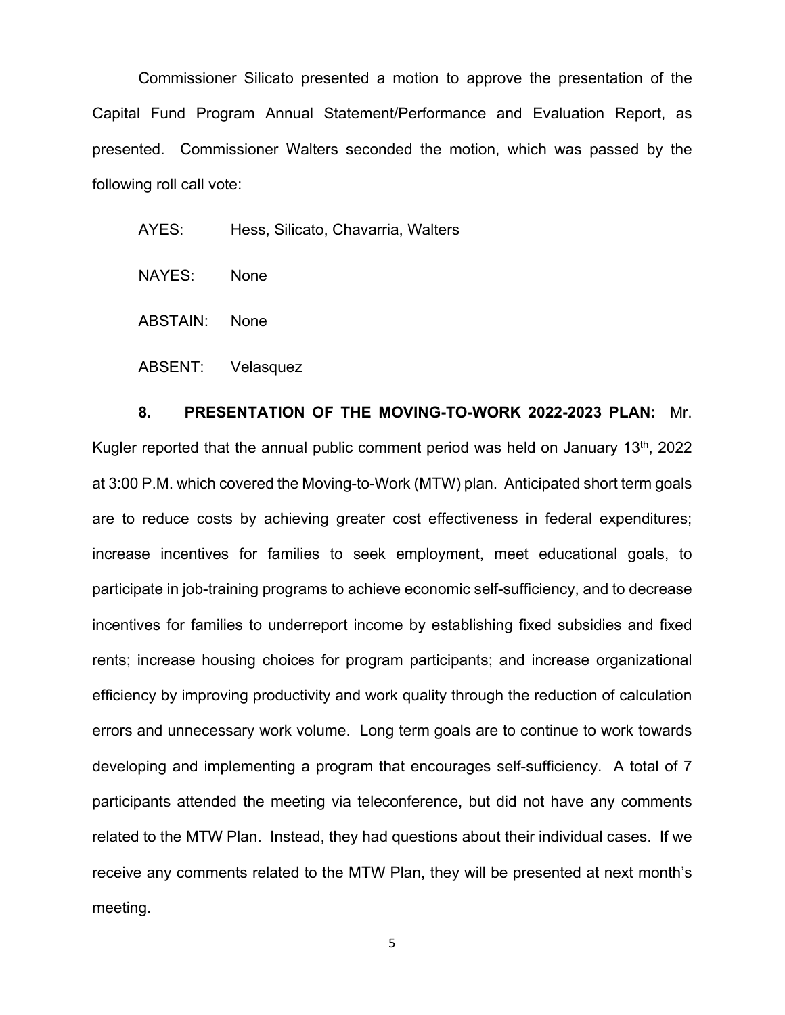Commissioner Silicato presented a motion to approve the presentation of the Capital Fund Program Annual Statement/Performance and Evaluation Report, as presented. Commissioner Walters seconded the motion, which was passed by the following roll call vote:

AYES: Hess, Silicato, Chavarria, Walters

NAYES: None

ABSTAIN: None

ABSENT: Velasquez

 **8. PRESENTATION OF THE MOVING-TO-WORK 2022-2023 PLAN:** Mr. Kugler reported that the annual public comment period was held on January  $13<sup>th</sup>$ , 2022 at 3:00 P.M. which covered the Moving-to-Work (MTW) plan. Anticipated short term goals are to reduce costs by achieving greater cost effectiveness in federal expenditures; increase incentives for families to seek employment, meet educational goals, to participate in job-training programs to achieve economic self-sufficiency, and to decrease incentives for families to underreport income by establishing fixed subsidies and fixed rents; increase housing choices for program participants; and increase organizational efficiency by improving productivity and work quality through the reduction of calculation errors and unnecessary work volume. Long term goals are to continue to work towards developing and implementing a program that encourages self-sufficiency. A total of 7 participants attended the meeting via teleconference, but did not have any comments related to the MTW Plan. Instead, they had questions about their individual cases. If we receive any comments related to the MTW Plan, they will be presented at next month's meeting.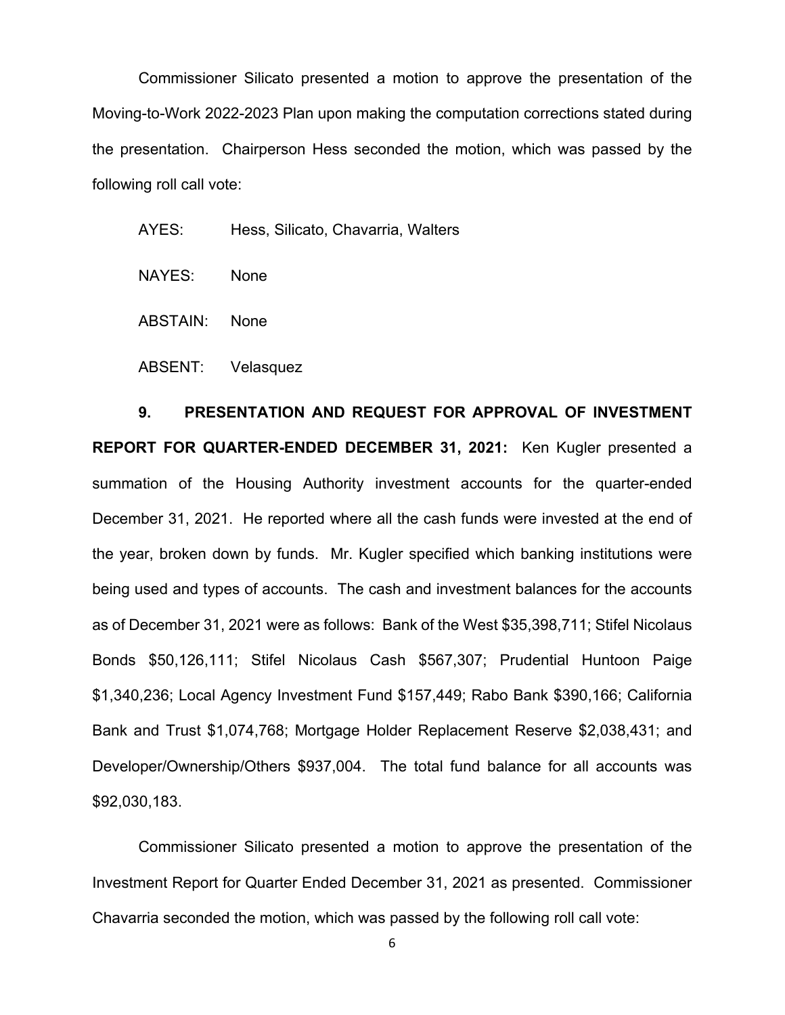Commissioner Silicato presented a motion to approve the presentation of the Moving-to-Work 2022-2023 Plan upon making the computation corrections stated during the presentation. Chairperson Hess seconded the motion, which was passed by the following roll call vote:

AYES: Hess, Silicato, Chavarria, Walters

NAYES: None

ABSTAIN: None

ABSENT: Velasquez

**9. PRESENTATION AND REQUEST FOR APPROVAL OF INVESTMENT REPORT FOR QUARTER-ENDED DECEMBER 31, 2021:** Ken Kugler presented a summation of the Housing Authority investment accounts for the quarter-ended December 31, 2021. He reported where all the cash funds were invested at the end of the year, broken down by funds. Mr. Kugler specified which banking institutions were being used and types of accounts. The cash and investment balances for the accounts as of December 31, 2021 were as follows: Bank of the West \$35,398,711; Stifel Nicolaus Bonds \$50,126,111; Stifel Nicolaus Cash \$567,307; Prudential Huntoon Paige \$1,340,236; Local Agency Investment Fund \$157,449; Rabo Bank \$390,166; California Bank and Trust \$1,074,768; Mortgage Holder Replacement Reserve \$2,038,431; and Developer/Ownership/Others \$937,004. The total fund balance for all accounts was \$92,030,183.

Commissioner Silicato presented a motion to approve the presentation of the Investment Report for Quarter Ended December 31, 2021 as presented. Commissioner Chavarria seconded the motion, which was passed by the following roll call vote: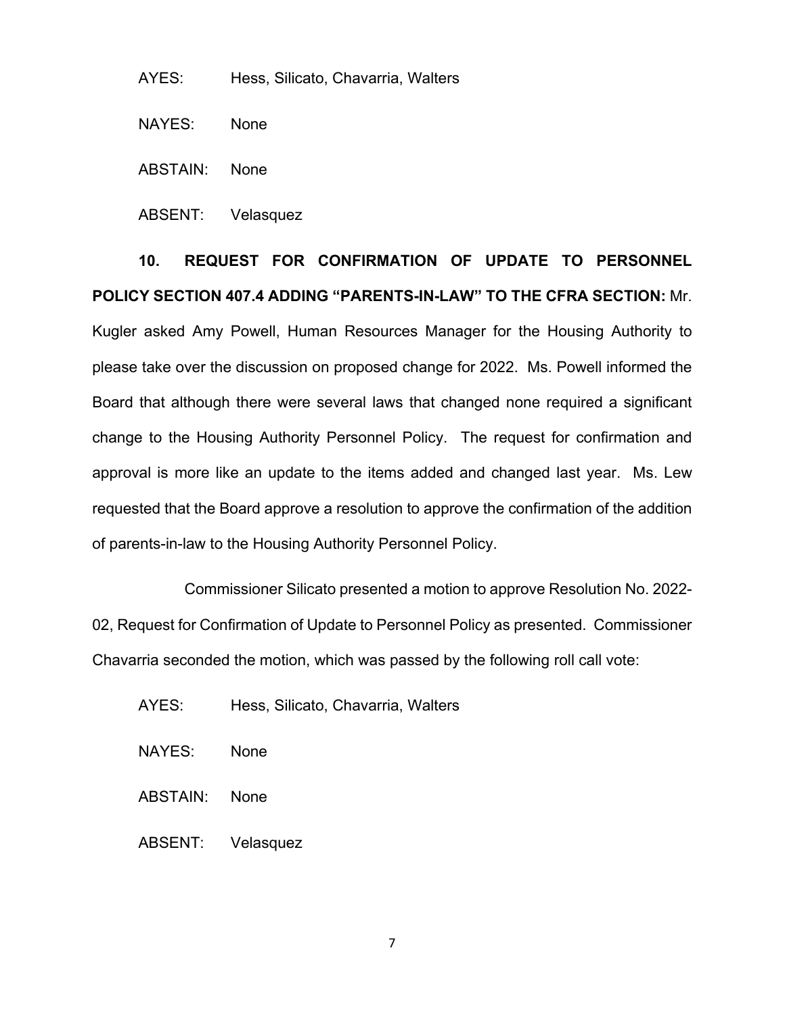AYES: Hess, Silicato, Chavarria, Walters

NAYES: None

ABSTAIN: None

ABSENT: Velasquez

**10. REQUEST FOR CONFIRMATION OF UPDATE TO PERSONNEL POLICY SECTION 407.4 ADDING "PARENTS-IN-LAW" TO THE CFRA SECTION:** Mr. Kugler asked Amy Powell, Human Resources Manager for the Housing Authority to please take over the discussion on proposed change for 2022. Ms. Powell informed the Board that although there were several laws that changed none required a significant change to the Housing Authority Personnel Policy. The request for confirmation and approval is more like an update to the items added and changed last year. Ms. Lew requested that the Board approve a resolution to approve the confirmation of the addition of parents-in-law to the Housing Authority Personnel Policy.

 Commissioner Silicato presented a motion to approve Resolution No. 2022- 02, Request for Confirmation of Update to Personnel Policy as presented. Commissioner Chavarria seconded the motion, which was passed by the following roll call vote:

- AYES: Hess, Silicato, Chavarria, Walters
- NAYES: None
- ABSTAIN: None
- ABSENT: Velasquez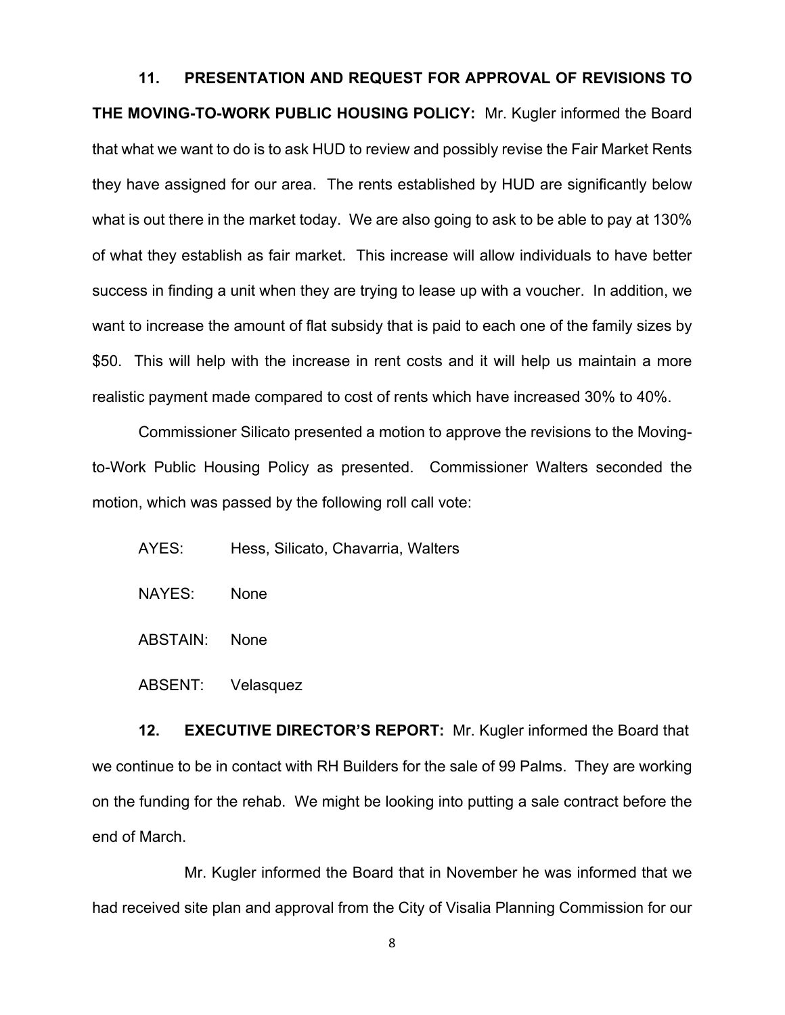**11. PRESENTATION AND REQUEST FOR APPROVAL OF REVISIONS TO THE MOVING-TO-WORK PUBLIC HOUSING POLICY:** Mr. Kugler informed the Board that what we want to do is to ask HUD to review and possibly revise the Fair Market Rents they have assigned for our area. The rents established by HUD are significantly below what is out there in the market today. We are also going to ask to be able to pay at 130% of what they establish as fair market. This increase will allow individuals to have better success in finding a unit when they are trying to lease up with a voucher. In addition, we want to increase the amount of flat subsidy that is paid to each one of the family sizes by \$50. This will help with the increase in rent costs and it will help us maintain a more realistic payment made compared to cost of rents which have increased 30% to 40%.

Commissioner Silicato presented a motion to approve the revisions to the Movingto-Work Public Housing Policy as presented. Commissioner Walters seconded the motion, which was passed by the following roll call vote:

- AYES: Hess, Silicato, Chavarria, Walters
- NAYES: None
- ABSTAIN: None
- ABSENT: Velasquez

**12. EXECUTIVE DIRECTOR'S REPORT:** Mr. Kugler informed the Board that we continue to be in contact with RH Builders for the sale of 99 Palms. They are working on the funding for the rehab. We might be looking into putting a sale contract before the end of March.

 Mr. Kugler informed the Board that in November he was informed that we had received site plan and approval from the City of Visalia Planning Commission for our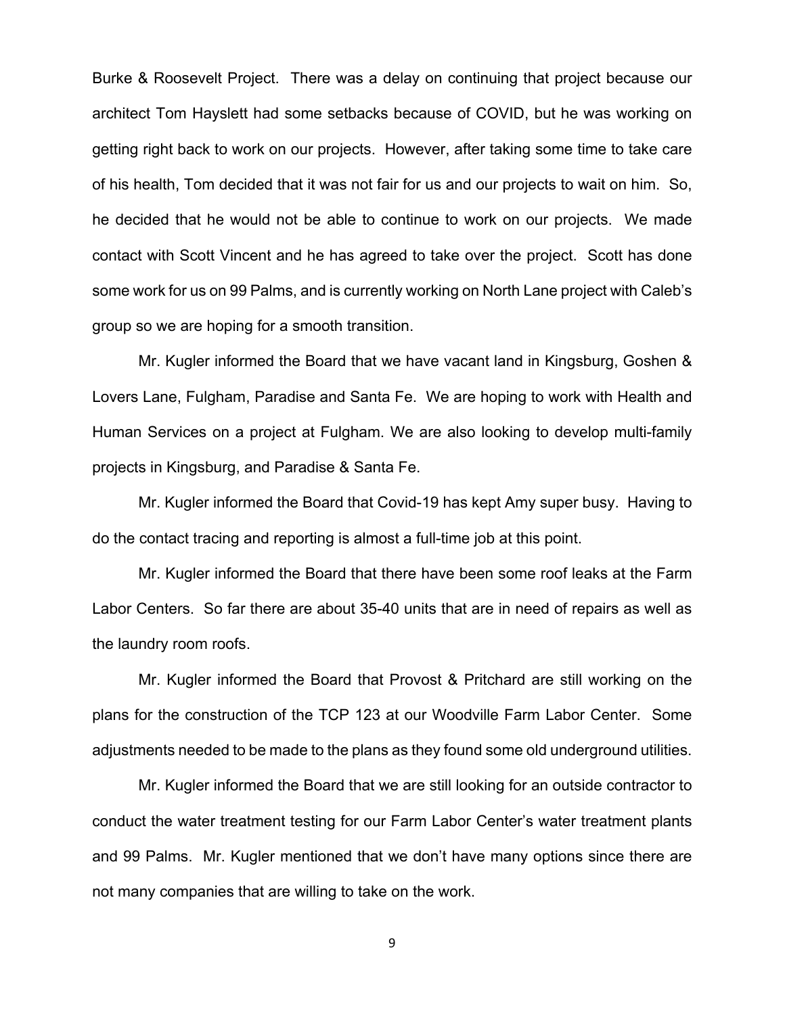Burke & Roosevelt Project. There was a delay on continuing that project because our architect Tom Hayslett had some setbacks because of COVID, but he was working on getting right back to work on our projects. However, after taking some time to take care of his health, Tom decided that it was not fair for us and our projects to wait on him. So, he decided that he would not be able to continue to work on our projects. We made contact with Scott Vincent and he has agreed to take over the project. Scott has done some work for us on 99 Palms, and is currently working on North Lane project with Caleb's group so we are hoping for a smooth transition.

 Mr. Kugler informed the Board that we have vacant land in Kingsburg, Goshen & Lovers Lane, Fulgham, Paradise and Santa Fe. We are hoping to work with Health and Human Services on a project at Fulgham. We are also looking to develop multi-family projects in Kingsburg, and Paradise & Santa Fe.

 Mr. Kugler informed the Board that Covid-19 has kept Amy super busy. Having to do the contact tracing and reporting is almost a full-time job at this point.

Mr. Kugler informed the Board that there have been some roof leaks at the Farm Labor Centers. So far there are about 35-40 units that are in need of repairs as well as the laundry room roofs.

Mr. Kugler informed the Board that Provost & Pritchard are still working on the plans for the construction of the TCP 123 at our Woodville Farm Labor Center. Some adjustments needed to be made to the plans as they found some old underground utilities.

Mr. Kugler informed the Board that we are still looking for an outside contractor to conduct the water treatment testing for our Farm Labor Center's water treatment plants and 99 Palms. Mr. Kugler mentioned that we don't have many options since there are not many companies that are willing to take on the work.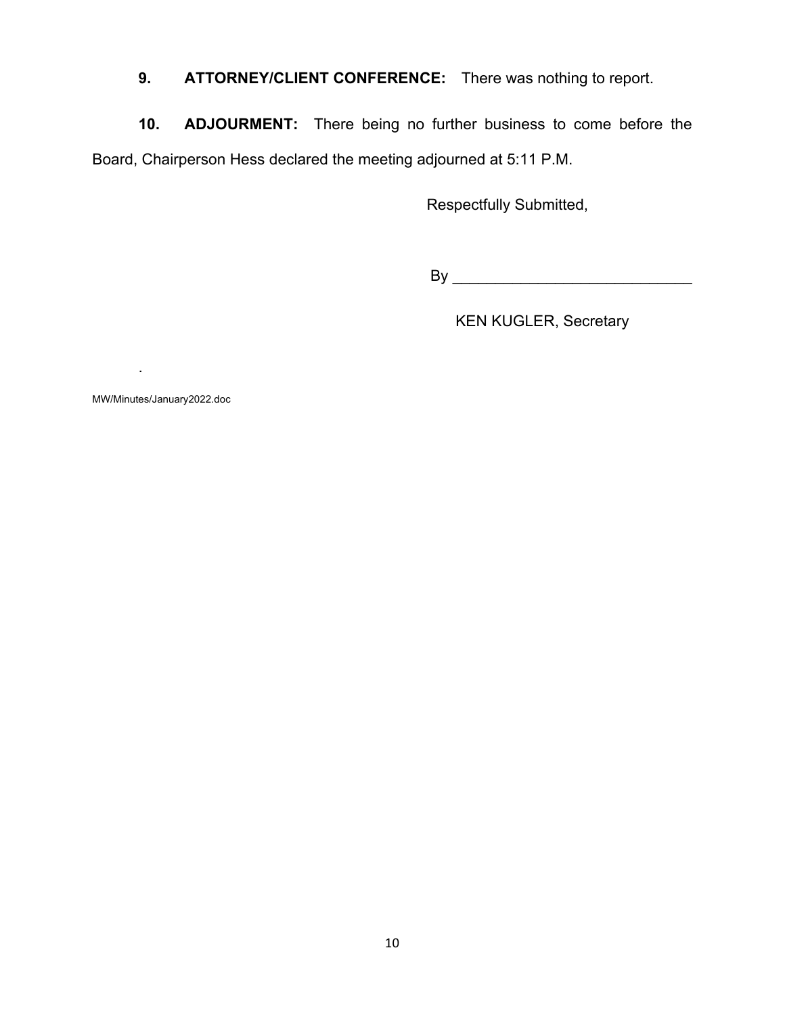**9. ATTORNEY/CLIENT CONFERENCE:** There was nothing to report.

**10. ADJOURMENT:** There being no further business to come before the Board, Chairperson Hess declared the meeting adjourned at 5:11 P.M.

Respectfully Submitted,

By \_\_\_\_\_\_\_\_\_\_\_\_\_\_\_\_\_\_\_\_\_\_\_\_\_\_\_\_

KEN KUGLER, Secretary

MW/Minutes/January2022.doc

.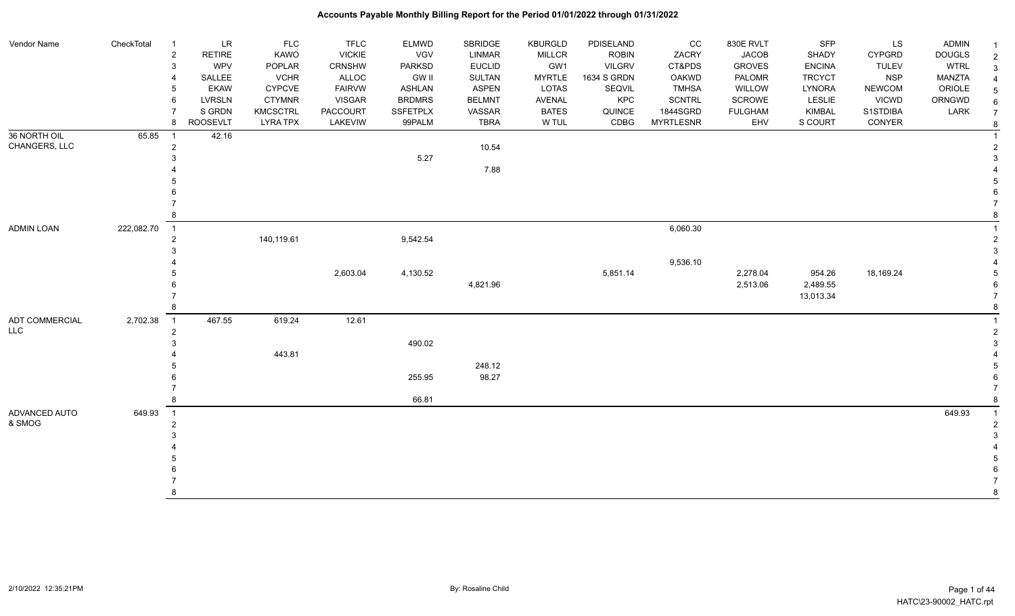| Vendor Name    | CheckTotal | $\overline{1}$ | LR              | <b>FLC</b>      | <b>TFLC</b>   | <b>ELMWD</b>  | SBRIDGE       | KBURGLD       | PDISELAND     | CC               | 830E RVLT      | SFP           | LS            | <b>ADMIN</b>  |                |
|----------------|------------|----------------|-----------------|-----------------|---------------|---------------|---------------|---------------|---------------|------------------|----------------|---------------|---------------|---------------|----------------|
|                |            | $\overline{c}$ | <b>RETIRE</b>   | KAWO            | <b>VICKIE</b> | <b>VGV</b>    | <b>LINMAR</b> | MILLCR        | <b>ROBIN</b>  | ZACRY            | <b>JACOB</b>   | SHADY         | <b>CYPGRD</b> | <b>DOUGLS</b> | $\overline{2}$ |
|                |            | 3              | <b>WPV</b>      | POPLAR          | <b>CRNSHW</b> | <b>PARKSD</b> | <b>EUCLID</b> | GW1           | <b>VILGRV</b> | CT&PDS           | <b>GROVES</b>  | <b>ENCINA</b> | <b>TULEV</b>  | <b>WTRL</b>   | 3              |
|                |            |                | SALLEE          | <b>VCHR</b>     | ALLOC         | <b>GW II</b>  | SULTAN        | <b>MYRTLE</b> | 1634 S GRDN   | <b>OAKWD</b>     | PALOMR         | <b>TRCYCT</b> | <b>NSP</b>    | <b>MANZTA</b> | $\overline{4}$ |
|                |            | 5              | <b>EKAW</b>     | <b>CYPCVE</b>   | <b>FAIRVW</b> | <b>ASHLAN</b> | <b>ASPEN</b>  | LOTAS         | SEQVIL        | <b>TMHSA</b>     | WILLOW         | LYNORA        | <b>NEWCOM</b> | ORIOLE        |                |
|                |            | 6              | LVRSLN          | <b>CTYMNR</b>   | <b>VISGAR</b> | <b>BRDMRS</b> | <b>BELMNT</b> | AVENAL        | KPC           | <b>SCNTRL</b>    | SCROWE         | <b>LESLIE</b> | <b>VICWD</b>  | ORNGWD        | 6              |
|                |            |                | S GRDN          | KMCSCTRL        | PACCOURT      | SSFETPLX      | VASSAR        | <b>BATES</b>  | QUINCE        | 1844SGRD         | <b>FULGHAM</b> | KIMBAL        | S1STDIBA      | LARK          | $\overline{7}$ |
|                |            | 8              | <b>ROOSEVLT</b> | <b>LYRA TPX</b> | LAKEVIW       | 99PALM        | <b>TBRA</b>   | W TUL         | CDBG          | <b>MYRTLESNR</b> | EHV            | S COURT       | CONYER        |               | 8              |
| 36 NORTH OIL   | 65.85      | $\overline{1}$ | 42.16           |                 |               |               |               |               |               |                  |                |               |               |               |                |
| CHANGERS, LLC  |            | $\overline{2}$ |                 |                 |               |               | 10.54         |               |               |                  |                |               |               |               |                |
|                |            |                |                 |                 |               | 5.27          |               |               |               |                  |                |               |               |               | 3              |
|                |            |                |                 |                 |               |               | 7.88          |               |               |                  |                |               |               |               |                |
|                |            |                |                 |                 |               |               |               |               |               |                  |                |               |               |               |                |
|                |            |                |                 |                 |               |               |               |               |               |                  |                |               |               |               |                |
|                |            |                |                 |                 |               |               |               |               |               |                  |                |               |               |               |                |
|                |            |                |                 |                 |               |               |               |               |               |                  |                |               |               |               |                |
| ADMIN LOAN     | 222,082.70 | $\overline{1}$ |                 |                 |               |               |               |               |               | 6,060.30         |                |               |               |               |                |
|                |            | $\overline{2}$ |                 | 140,119.61      |               | 9,542.54      |               |               |               |                  |                |               |               |               | $\overline{2}$ |
|                |            |                |                 |                 |               |               |               |               |               |                  |                |               |               |               | 3              |
|                |            |                |                 |                 |               |               |               |               |               | 9,536.10         |                |               |               |               |                |
|                |            |                |                 |                 | 2,603.04      | 4,130.52      |               |               | 5,851.14      |                  | 2,278.04       | 954.26        | 18,169.24     |               |                |
|                |            |                |                 |                 |               |               | 4,821.96      |               |               |                  | 2,513.06       | 2,489.55      |               |               |                |
|                |            |                |                 |                 |               |               |               |               |               |                  |                | 13,013.34     |               |               |                |
|                |            |                |                 |                 |               |               |               |               |               |                  |                |               |               |               |                |
| ADT COMMERCIAL | 2,702.38   | $\overline{1}$ | 467.55          | 619.24          | 12.61         |               |               |               |               |                  |                |               |               |               |                |
| <b>LLC</b>     |            | $\overline{2}$ |                 |                 |               |               |               |               |               |                  |                |               |               |               | $\overline{2}$ |
|                |            |                |                 |                 |               | 490.02        |               |               |               |                  |                |               |               |               |                |
|                |            |                |                 | 443.81          |               |               |               |               |               |                  |                |               |               |               |                |
|                |            |                |                 |                 |               |               | 248.12        |               |               |                  |                |               |               |               |                |
|                |            |                |                 |                 |               | 255.95        | 98.27         |               |               |                  |                |               |               |               |                |
|                |            |                |                 |                 |               |               |               |               |               |                  |                |               |               |               |                |
|                |            |                |                 |                 |               | 66.81         |               |               |               |                  |                |               |               |               |                |
| ADVANCED AUTO  | 649.93     | $\overline{1}$ |                 |                 |               |               |               |               |               |                  |                |               |               | 649.93        |                |
| & SMOG         |            | $\overline{2}$ |                 |                 |               |               |               |               |               |                  |                |               |               |               |                |
|                |            |                |                 |                 |               |               |               |               |               |                  |                |               |               |               |                |
|                |            |                |                 |                 |               |               |               |               |               |                  |                |               |               |               |                |
|                |            |                |                 |                 |               |               |               |               |               |                  |                |               |               |               |                |
|                |            |                |                 |                 |               |               |               |               |               |                  |                |               |               |               |                |
|                |            |                |                 |                 |               |               |               |               |               |                  |                |               |               |               |                |
|                |            | 8              |                 |                 |               |               |               |               |               |                  |                |               |               |               | 8              |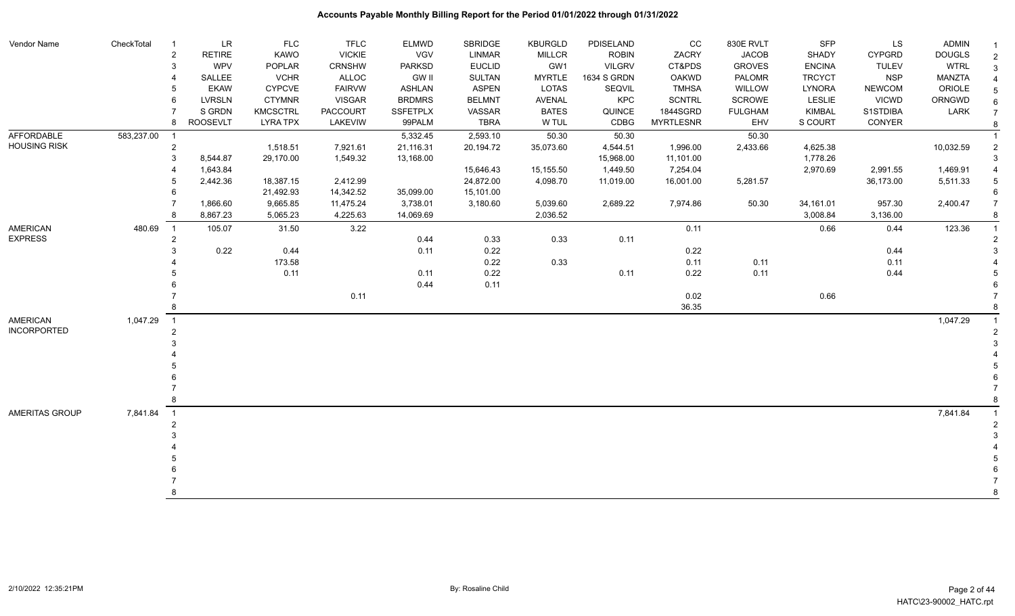| Vendor Name         | CheckTotal | $\overline{1}$          | LR              | <b>FLC</b>      | <b>TFLC</b>     | ELMWD         | SBRIDGE       | <b>KBURGLD</b> | PDISELAND     | cc               | 830E RVLT      | SFP           | LS            | <b>ADMIN</b>  |                 |
|---------------------|------------|-------------------------|-----------------|-----------------|-----------------|---------------|---------------|----------------|---------------|------------------|----------------|---------------|---------------|---------------|-----------------|
|                     |            | $\overline{\mathbf{c}}$ | <b>RETIRE</b>   | KAWO            | <b>VICKIE</b>   | VGV           | <b>LINMAR</b> | <b>MILLCR</b>  | <b>ROBIN</b>  | ZACRY            | <b>JACOB</b>   | SHADY         | <b>CYPGRD</b> | <b>DOUGLS</b> | $\sqrt{2}$      |
|                     |            | 3                       | <b>WPV</b>      | POPLAR          | <b>CRNSHW</b>   | <b>PARKSD</b> | <b>EUCLID</b> | GW1            | <b>VILGRV</b> | CT&PDS           | <b>GROVES</b>  | <b>ENCINA</b> | <b>TULEV</b>  | <b>WTRL</b>   | $\mathbf{3}$    |
|                     |            |                         | SALLEE          | <b>VCHR</b>     | ALLOC           | GW II         | SULTAN        | <b>MYRTLE</b>  | 1634 S GRDN   | <b>OAKWD</b>     | PALOMR         | <b>TRCYCT</b> | <b>NSP</b>    | MANZTA        | $\overline{4}$  |
|                     |            | 5                       | <b>EKAW</b>     | <b>CYPCVE</b>   | <b>FAIRVW</b>   | <b>ASHLAN</b> | <b>ASPEN</b>  | <b>LOTAS</b>   | SEQVIL        | <b>TMHSA</b>     | WILLOW         | <b>LYNORA</b> | <b>NEWCOM</b> | ORIOLE        | $\sqrt{5}$      |
|                     |            | 6                       | <b>LVRSLN</b>   | <b>CTYMNR</b>   | <b>VISGAR</b>   | <b>BRDMRS</b> | <b>BELMNT</b> | <b>AVENAL</b>  | <b>KPC</b>    | <b>SCNTRL</b>    | <b>SCROWE</b>  | <b>LESLIE</b> | <b>VICWD</b>  | ORNGWD        | $6\phantom{1}6$ |
|                     |            |                         | S GRDN          | <b>KMCSCTRL</b> | <b>PACCOURT</b> | SSFETPLX      | VASSAR        | <b>BATES</b>   | QUINCE        | 1844SGRD         | <b>FULGHAM</b> | <b>KIMBAL</b> | S1STDIBA      | LARK          | $\overline{7}$  |
|                     |            | 8                       | <b>ROOSEVLT</b> | <b>LYRA TPX</b> | LAKEVIW         | 99PALM        | <b>TBRA</b>   | W TUL          | CDBG          | <b>MYRTLESNR</b> | EHV            | S COURT       | CONYER        |               |                 |
| AFFORDABLE          | 583,237.00 | $\overline{1}$          |                 |                 |                 | 5,332.45      | 2,593.10      | 50.30          | 50.30         |                  | 50.30          |               |               |               |                 |
| <b>HOUSING RISK</b> |            | $\overline{2}$          |                 | 1,518.51        | 7,921.61        | 21,116.31     | 20,194.72     | 35,073.60      | 4,544.51      | 1,996.00         | 2,433.66       | 4,625.38      |               | 10,032.59     |                 |
|                     |            | 3                       | 8,544.87        | 29,170.00       | 1,549.32        | 13,168.00     |               |                | 15,968.00     | 11,101.00        |                | 1,778.26      |               |               | $\mathcal{R}$   |
|                     |            |                         | 1,643.84        |                 |                 |               | 15,646.43     | 15,155.50      | 1,449.50      | 7,254.04         |                | 2,970.69      | 2,991.55      | 1,469.91      | $\overline{4}$  |
|                     |            | 5                       | 2,442.36        | 18,387.15       | 2,412.99        |               | 24,872.00     | 4,098.70       | 11,019.00     | 16,001.00        | 5,281.57       |               | 36,173.00     | 5,511.33      |                 |
|                     |            |                         |                 | 21,492.93       | 14,342.52       | 35,099.00     | 15,101.00     |                |               |                  |                |               |               |               |                 |
|                     |            | 7                       | 1,866.60        | 9,665.85        | 11,475.24       | 3,738.01      | 3,180.60      | 5,039.60       | 2,689.22      | 7,974.86         | 50.30          | 34,161.01     | 957.30        | 2,400.47      | $\overline{7}$  |
|                     |            | 8                       | 8,867.23        | 5,065.23        | 4,225.63        | 14,069.69     |               | 2,036.52       |               |                  |                | 3,008.84      | 3,136.00      |               |                 |
| <b>AMERICAN</b>     | 480.69     | $\overline{1}$          | 105.07          | 31.50           | 3.22            |               |               |                |               | 0.11             |                | 0.66          | 0.44          | 123.36        |                 |
| <b>EXPRESS</b>      |            |                         |                 |                 |                 | 0.44          | 0.33          | 0.33           | 0.11          |                  |                |               |               |               |                 |
|                     |            |                         | 0.22            | 0.44            |                 | 0.11          | 0.22          |                |               | 0.22             |                |               | 0.44          |               |                 |
|                     |            |                         |                 | 173.58          |                 |               | 0.22          | 0.33           |               | 0.11             | 0.11           |               | 0.11          |               |                 |
|                     |            |                         |                 | 0.11            |                 | 0.11          | 0.22          |                | 0.11          | 0.22             | 0.11           |               | 0.44          |               |                 |
|                     |            |                         |                 |                 |                 | 0.44          | 0.11          |                |               |                  |                |               |               |               |                 |
|                     |            |                         |                 |                 | 0.11            |               |               |                |               | 0.02             |                | 0.66          |               |               |                 |
|                     |            |                         |                 |                 |                 |               |               |                |               | 36.35            |                |               |               |               |                 |
| <b>AMERICAN</b>     | 1,047.29   | $\overline{1}$          |                 |                 |                 |               |               |                |               |                  |                |               |               | 1,047.29      |                 |
| <b>INCORPORTED</b>  |            | $\mathfrak{p}$          |                 |                 |                 |               |               |                |               |                  |                |               |               |               |                 |
|                     |            |                         |                 |                 |                 |               |               |                |               |                  |                |               |               |               |                 |
|                     |            |                         |                 |                 |                 |               |               |                |               |                  |                |               |               |               |                 |
|                     |            |                         |                 |                 |                 |               |               |                |               |                  |                |               |               |               |                 |
|                     |            |                         |                 |                 |                 |               |               |                |               |                  |                |               |               |               |                 |
|                     |            |                         |                 |                 |                 |               |               |                |               |                  |                |               |               |               |                 |
|                     |            |                         |                 |                 |                 |               |               |                |               |                  |                |               |               |               |                 |
| AMERITAS GROUP      | 7,841.84   | $\overline{1}$          |                 |                 |                 |               |               |                |               |                  |                |               |               | 7,841.84      |                 |
|                     |            |                         |                 |                 |                 |               |               |                |               |                  |                |               |               |               |                 |
|                     |            |                         |                 |                 |                 |               |               |                |               |                  |                |               |               |               |                 |
|                     |            |                         |                 |                 |                 |               |               |                |               |                  |                |               |               |               |                 |
|                     |            |                         |                 |                 |                 |               |               |                |               |                  |                |               |               |               |                 |
|                     |            |                         |                 |                 |                 |               |               |                |               |                  |                |               |               |               |                 |
|                     |            |                         |                 |                 |                 |               |               |                |               |                  |                |               |               |               |                 |
|                     |            |                         |                 |                 |                 |               |               |                |               |                  |                |               |               |               | 8               |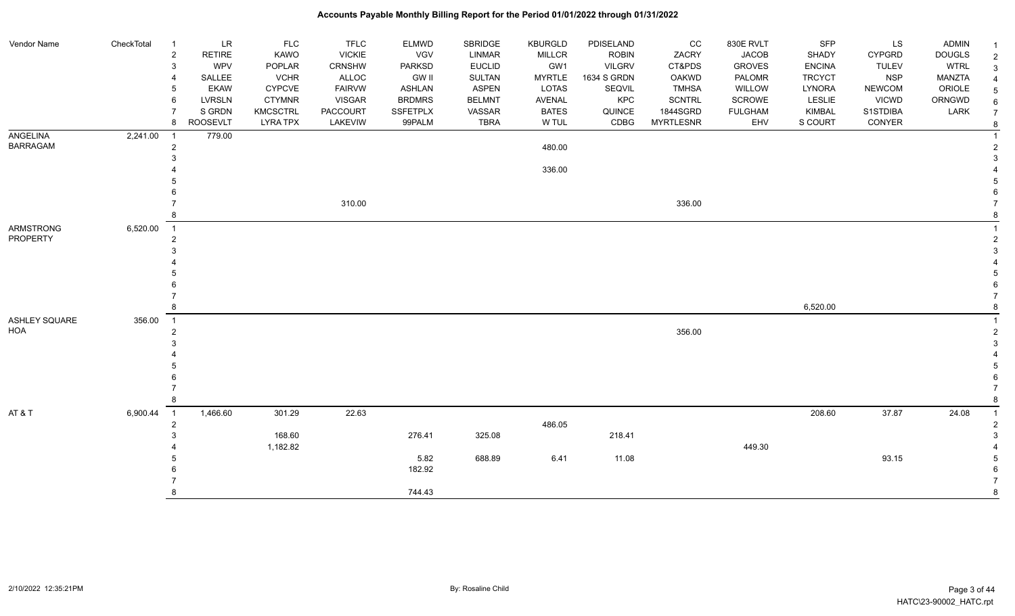| Vendor Name     | CheckTotal | $\overline{1}$             | <b>LR</b>       | <b>FLC</b>      | <b>TFLC</b>   | <b>ELMWD</b>    | SBRIDGE       | <b>KBURGLD</b> | PDISELAND     | cc               | 830E RVLT      | <b>SFP</b>    | LS            | <b>ADMIN</b>  |                |
|-----------------|------------|----------------------------|-----------------|-----------------|---------------|-----------------|---------------|----------------|---------------|------------------|----------------|---------------|---------------|---------------|----------------|
|                 |            | $\sqrt{2}$                 | <b>RETIRE</b>   | KAWO            | <b>VICKIE</b> | <b>VGV</b>      | LINMAR        | <b>MILLCR</b>  | <b>ROBIN</b>  | ZACRY            | <b>JACOB</b>   | SHADY         | CYPGRD        | <b>DOUGLS</b> | $\overline{2}$ |
|                 |            | $\mathbf{3}$               | <b>WPV</b>      | POPLAR          | CRNSHW        | <b>PARKSD</b>   | <b>EUCLID</b> | GW1            | <b>VILGRV</b> | CT&PDS           | <b>GROVES</b>  | <b>ENCINA</b> | <b>TULEV</b>  | <b>WTRL</b>   | 3              |
|                 |            | $\overline{4}$             | SALLEE          | <b>VCHR</b>     | ALLOC         | <b>GW II</b>    | <b>SULTAN</b> | <b>MYRTLE</b>  | 1634 S GRDN   | OAKWD            | <b>PALOMR</b>  | <b>TRCYCT</b> | <b>NSP</b>    | MANZTA        |                |
|                 |            | .5                         | <b>EKAW</b>     | <b>CYPCVE</b>   | <b>FAIRVW</b> | <b>ASHLAN</b>   | ASPEN         | LOTAS          | <b>SEQVIL</b> | TMHSA            | WILLOW         | LYNORA        | <b>NEWCOM</b> | ORIOLE        |                |
|                 |            | 6                          | LVRSLN          | <b>CTYMNR</b>   | <b>VISGAR</b> | <b>BRDMRS</b>   | <b>BELMNT</b> | AVENAL         | KPC           | <b>SCNTRL</b>    | SCROWE         | LESLIE        | <b>VICWD</b>  | ORNGWD        |                |
|                 |            | $\overline{7}$             | S GRDN          | <b>KMCSCTRL</b> | PACCOURT      | <b>SSFETPLX</b> | VASSAR        | <b>BATES</b>   | QUINCE        | 1844SGRD         | <b>FULGHAM</b> | <b>KIMBAL</b> | S1STDIBA      | LARK          |                |
|                 |            | 8                          | <b>ROOSEVLT</b> | <b>LYRA TPX</b> | LAKEVIW       | 99PALM          | <b>TBRA</b>   | W TUL          | CDBG          | <b>MYRTLESNR</b> | EHV            | S COURT       | CONYER        |               | 8              |
| <b>ANGELINA</b> | 2,241.00   | $\overline{1}$             | 779.00          |                 |               |                 |               |                |               |                  |                |               |               |               |                |
| <b>BARRAGAM</b> |            | $\sqrt{2}$                 |                 |                 |               |                 |               | 480.00         |               |                  |                |               |               |               |                |
|                 |            | 3                          |                 |                 |               |                 |               |                |               |                  |                |               |               |               |                |
|                 |            |                            |                 |                 |               |                 |               | 336.00         |               |                  |                |               |               |               |                |
|                 |            |                            |                 |                 |               |                 |               |                |               |                  |                |               |               |               |                |
|                 |            |                            |                 |                 |               |                 |               |                |               |                  |                |               |               |               |                |
|                 |            |                            |                 |                 | 310.00        |                 |               |                |               | 336.00           |                |               |               |               |                |
|                 |            | -8                         |                 |                 |               |                 |               |                |               |                  |                |               |               |               |                |
| ARMSTRONG       | 6,520.00   | $\overline{1}$             |                 |                 |               |                 |               |                |               |                  |                |               |               |               |                |
| PROPERTY        |            | $\overline{2}$             |                 |                 |               |                 |               |                |               |                  |                |               |               |               |                |
|                 |            | 3                          |                 |                 |               |                 |               |                |               |                  |                |               |               |               |                |
|                 |            |                            |                 |                 |               |                 |               |                |               |                  |                |               |               |               |                |
|                 |            |                            |                 |                 |               |                 |               |                |               |                  |                |               |               |               |                |
|                 |            | -6                         |                 |                 |               |                 |               |                |               |                  |                |               |               |               |                |
|                 |            |                            |                 |                 |               |                 |               |                |               |                  |                |               |               |               |                |
|                 |            | 8                          |                 |                 |               |                 |               |                |               |                  |                | 6,520.00      |               |               |                |
| ASHLEY SQUARE   | 356.00     | $\overline{1}$             |                 |                 |               |                 |               |                |               |                  |                |               |               |               |                |
| HOA             |            | $\overline{2}$             |                 |                 |               |                 |               |                |               | 356.00           |                |               |               |               |                |
|                 |            | 3                          |                 |                 |               |                 |               |                |               |                  |                |               |               |               |                |
|                 |            |                            |                 |                 |               |                 |               |                |               |                  |                |               |               |               |                |
|                 |            |                            |                 |                 |               |                 |               |                |               |                  |                |               |               |               |                |
|                 |            |                            |                 |                 |               |                 |               |                |               |                  |                |               |               |               |                |
|                 |            | $\overline{7}$             |                 |                 |               |                 |               |                |               |                  |                |               |               |               |                |
|                 |            | 8                          |                 |                 |               |                 |               |                |               |                  |                |               |               |               |                |
| AT & T          | 6,900.44   | $\overline{\phantom{0}}$ 1 | 1,466.60        | 301.29          | 22.63         |                 |               |                |               |                  |                | 208.60        | 37.87         | 24.08         |                |
|                 |            | $\overline{2}$             |                 |                 |               |                 |               | 486.05         |               |                  |                |               |               |               |                |
|                 |            | 3                          |                 | 168.60          |               | 276.41          | 325.08        |                | 218.41        |                  |                |               |               |               |                |
|                 |            |                            |                 | 1,182.82        |               |                 |               |                |               |                  | 449.30         |               |               |               |                |
|                 |            |                            |                 |                 |               | 5.82            | 688.89        | 6.41           | 11.08         |                  |                |               | 93.15         |               |                |
|                 |            |                            |                 |                 |               | 182.92          |               |                |               |                  |                |               |               |               |                |
|                 |            |                            |                 |                 |               |                 |               |                |               |                  |                |               |               |               |                |
|                 |            | 8                          |                 |                 |               | 744.43          |               |                |               |                  |                |               |               |               |                |
|                 |            |                            |                 |                 |               |                 |               |                |               |                  |                |               |               |               |                |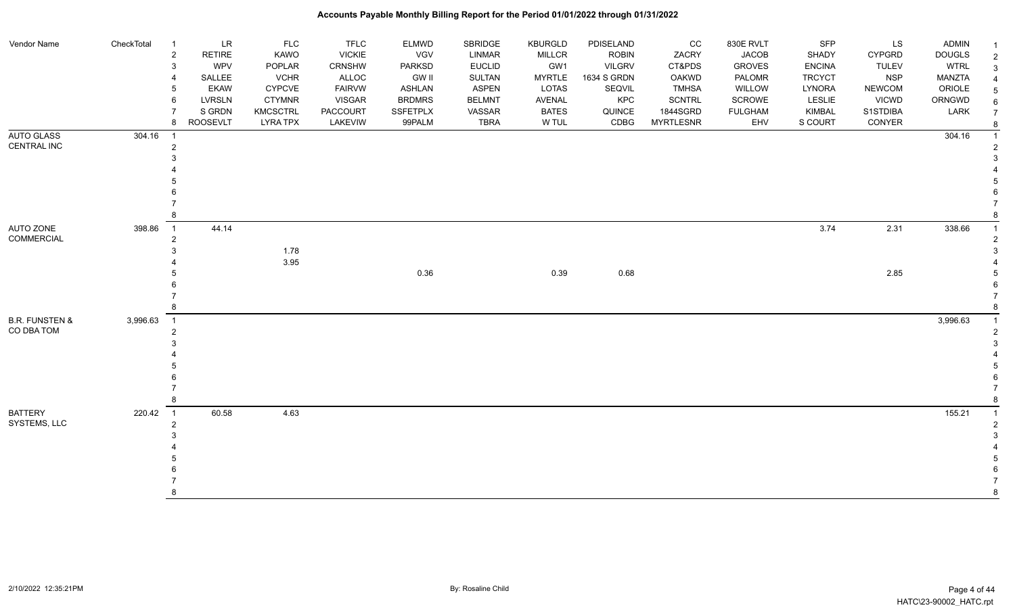| Vendor Name                             | CheckTotal | <b>LR</b><br>-1<br>RETIRE<br>$\overline{2}$<br>WPV<br>3<br>SALLEE | <b>FLC</b><br>KAWO<br>POPLAR<br><b>VCHR</b> | <b>TFLC</b><br><b>VICKIE</b><br>CRNSHW<br>ALLOC | <b>ELMWD</b><br><b>VGV</b><br><b>PARKSD</b><br><b>GW II</b> | SBRIDGE<br><b>LINMAR</b><br><b>EUCLID</b><br><b>SULTAN</b> | <b>KBURGLD</b><br><b>MILLCR</b><br>GW1<br><b>MYRTLE</b> | PDISELAND<br><b>ROBIN</b><br><b>VILGRV</b><br>1634 S GRDN | cc<br>ZACRY<br>CT&PDS<br><b>OAKWD</b> | 830E RVLT<br><b>JACOB</b><br><b>GROVES</b><br>PALOMR | SFP<br>SHADY<br><b>ENCINA</b><br><b>TRCYCT</b> | LS<br>CYPGRD<br><b>TULEV</b><br><b>NSP</b> | <b>ADMIN</b><br><b>DOUGLS</b><br><b>WTRL</b><br>MANZTA | -1<br>$\overline{2}$<br>3 |
|-----------------------------------------|------------|-------------------------------------------------------------------|---------------------------------------------|-------------------------------------------------|-------------------------------------------------------------|------------------------------------------------------------|---------------------------------------------------------|-----------------------------------------------------------|---------------------------------------|------------------------------------------------------|------------------------------------------------|--------------------------------------------|--------------------------------------------------------|---------------------------|
|                                         |            | <b>EKAW</b><br>LVRSLN<br>6                                        | <b>CYPCVE</b><br><b>CTYMNR</b>              | <b>FAIRVW</b><br><b>VISGAR</b>                  | <b>ASHLAN</b><br><b>BRDMRS</b>                              | <b>ASPEN</b><br><b>BELMNT</b>                              | LOTAS<br>AVENAL                                         | SEQVIL<br>KPC                                             | <b>TMHSA</b><br><b>SCNTRL</b>         | WILLOW<br>SCROWE                                     | LYNORA<br>LESLIE                               | <b>NEWCOM</b><br>VICWD                     | ORIOLE<br>ORNGWD                                       | 5<br>6                    |
|                                         |            | S GRDN                                                            | <b>KMCSCTRL</b>                             | PACCOURT                                        | <b>SSFETPLX</b>                                             | VASSAR                                                     | <b>BATES</b>                                            | QUINCE                                                    | 1844SGRD                              | <b>FULGHAM</b>                                       | KIMBAL                                         | S1STDIBA                                   | LARK                                                   | $\overline{7}$            |
|                                         |            | <b>ROOSEVLT</b><br>8                                              | <b>LYRA TPX</b>                             | LAKEVIW                                         | 99PALM                                                      | <b>TBRA</b>                                                | W TUL                                                   | CDBG                                                      | <b>MYRTLESNR</b>                      | EHV                                                  | S COURT                                        | CONYER                                     |                                                        |                           |
| <b>AUTO GLASS</b>                       | 304.16     |                                                                   |                                             |                                                 |                                                             |                                                            |                                                         |                                                           |                                       |                                                      |                                                |                                            | 304.16                                                 |                           |
| CENTRAL INC                             |            | 2                                                                 |                                             |                                                 |                                                             |                                                            |                                                         |                                                           |                                       |                                                      |                                                |                                            |                                                        |                           |
|                                         |            |                                                                   |                                             |                                                 |                                                             |                                                            |                                                         |                                                           |                                       |                                                      |                                                |                                            |                                                        |                           |
|                                         |            |                                                                   |                                             |                                                 |                                                             |                                                            |                                                         |                                                           |                                       |                                                      |                                                |                                            |                                                        |                           |
|                                         |            |                                                                   |                                             |                                                 |                                                             |                                                            |                                                         |                                                           |                                       |                                                      |                                                |                                            |                                                        |                           |
|                                         |            |                                                                   |                                             |                                                 |                                                             |                                                            |                                                         |                                                           |                                       |                                                      |                                                |                                            |                                                        |                           |
|                                         |            |                                                                   |                                             |                                                 |                                                             |                                                            |                                                         |                                                           |                                       |                                                      |                                                |                                            |                                                        |                           |
| AUTO ZONE<br><b>COMMERCIAL</b>          | 398.86     | 44.14<br>$\overline{1}$                                           |                                             |                                                 |                                                             |                                                            |                                                         |                                                           |                                       |                                                      | 3.74                                           | 2.31                                       | 338.66                                                 |                           |
|                                         |            |                                                                   | 1.78                                        |                                                 |                                                             |                                                            |                                                         |                                                           |                                       |                                                      |                                                |                                            |                                                        |                           |
|                                         |            |                                                                   | 3.95                                        |                                                 |                                                             |                                                            |                                                         |                                                           |                                       |                                                      |                                                |                                            |                                                        |                           |
|                                         |            |                                                                   |                                             |                                                 | 0.36                                                        |                                                            | 0.39                                                    | 0.68                                                      |                                       |                                                      |                                                | 2.85                                       |                                                        |                           |
|                                         |            |                                                                   |                                             |                                                 |                                                             |                                                            |                                                         |                                                           |                                       |                                                      |                                                |                                            |                                                        |                           |
|                                         |            |                                                                   |                                             |                                                 |                                                             |                                                            |                                                         |                                                           |                                       |                                                      |                                                |                                            |                                                        |                           |
|                                         |            |                                                                   |                                             |                                                 |                                                             |                                                            |                                                         |                                                           |                                       |                                                      |                                                |                                            |                                                        |                           |
| <b>B.R. FUNSTEN &amp;</b><br>CO DBA TOM | 3,996.63   | $\overline{1}$<br>2                                               |                                             |                                                 |                                                             |                                                            |                                                         |                                                           |                                       |                                                      |                                                |                                            | 3,996.63                                               |                           |
|                                         |            |                                                                   |                                             |                                                 |                                                             |                                                            |                                                         |                                                           |                                       |                                                      |                                                |                                            |                                                        |                           |
|                                         |            |                                                                   |                                             |                                                 |                                                             |                                                            |                                                         |                                                           |                                       |                                                      |                                                |                                            |                                                        |                           |
|                                         |            |                                                                   |                                             |                                                 |                                                             |                                                            |                                                         |                                                           |                                       |                                                      |                                                |                                            |                                                        |                           |
|                                         |            |                                                                   |                                             |                                                 |                                                             |                                                            |                                                         |                                                           |                                       |                                                      |                                                |                                            |                                                        |                           |
|                                         |            |                                                                   |                                             |                                                 |                                                             |                                                            |                                                         |                                                           |                                       |                                                      |                                                |                                            |                                                        |                           |
| <b>BATTERY</b>                          | 220.42     | 60.58<br>$\overline{1}$                                           | 4.63                                        |                                                 |                                                             |                                                            |                                                         |                                                           |                                       |                                                      |                                                |                                            | 155.21                                                 |                           |
| SYSTEMS, LLC                            |            |                                                                   |                                             |                                                 |                                                             |                                                            |                                                         |                                                           |                                       |                                                      |                                                |                                            |                                                        |                           |
|                                         |            |                                                                   |                                             |                                                 |                                                             |                                                            |                                                         |                                                           |                                       |                                                      |                                                |                                            |                                                        |                           |
|                                         |            |                                                                   |                                             |                                                 |                                                             |                                                            |                                                         |                                                           |                                       |                                                      |                                                |                                            |                                                        |                           |
|                                         |            |                                                                   |                                             |                                                 |                                                             |                                                            |                                                         |                                                           |                                       |                                                      |                                                |                                            |                                                        |                           |
|                                         |            |                                                                   |                                             |                                                 |                                                             |                                                            |                                                         |                                                           |                                       |                                                      |                                                |                                            |                                                        |                           |
|                                         |            |                                                                   |                                             |                                                 |                                                             |                                                            |                                                         |                                                           |                                       |                                                      |                                                |                                            |                                                        | 8                         |
|                                         |            |                                                                   |                                             |                                                 |                                                             |                                                            |                                                         |                                                           |                                       |                                                      |                                                |                                            |                                                        |                           |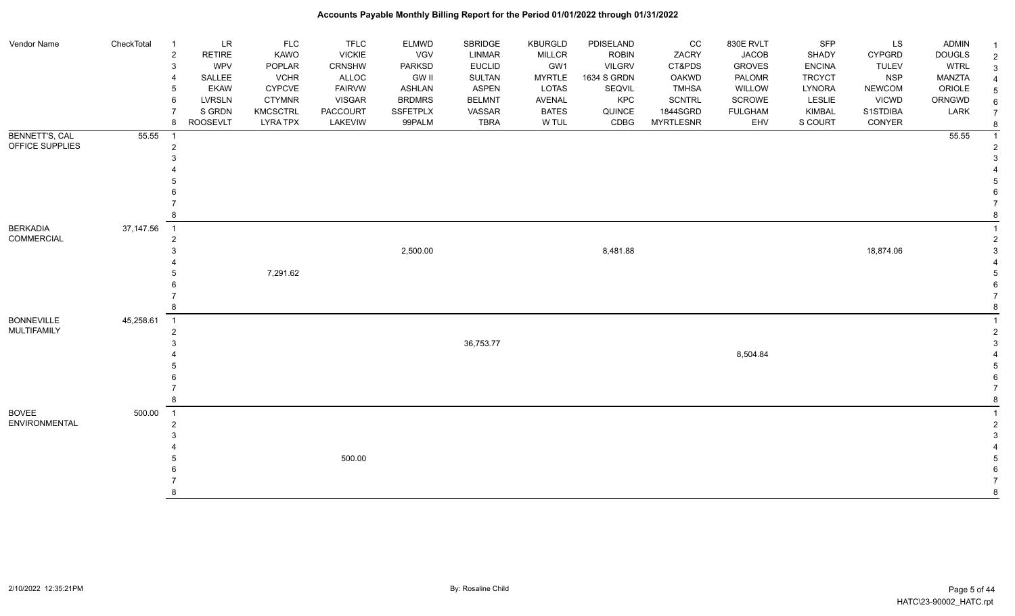#### Vendor Name CheckTotal 1 LR FLC FLC ELMWD SBRIDGE KBURGLD PDISELAND CC 830E RVLT SFP LS ADMIN <sub>1</sub> 2 RETIRE KAWO VICKIE VGV LINMAR MILLCR ROBIN ZACRY JACOB SHADY CYPGRD DOUGLS 2 3 WPV POPLAR CRNSHW PARKSD EUCLID GW1 VILGRV CT&PDS GROVES ENCINA TULEV WTRL 3 4 SALLEE VCHR ALLOC GW II SULTAN MYRTLE 1634 S GRDN OAKWD PALOMR TRCYCT NSP MANZTA 4 5 EKAW CYPCVE FAIRVW ASHLAN ASPEN LOTAS SEQVIL TMHSA WILLOW LYNORA NEWCOM ORIOLE 5 6 LVRSLN CTYMNR VISGAR BRDMRS BELMNT AVENAL KPC SCNTRL SCROWE LESLIE VICWD ORNGWD  $_{6}$ 7 SIGRDN KMCSCTRL PACCOURT SSFETPLX VASSAR BATES QUINCE 1844SGRD FULGHAM KIMBAL S1STDIBA LARK 7 8 ROOSEVLT LYRA TPX LAKEVIW 99PALM TBRA W TUL CDBG MYRTLESNR EHV S COURT CONYER <sub>8</sub> BENNETT'S, CAL OFFICE SUPPLIES 55.55 1 55.55 1 2 2  $3<sup>3</sup>$  4 4 5 5  $6$  7 7 8 8 BERKADIA COMMERCIAL 37,147.56 1 1 2 2  $2,500.00$  and  $2,500.00$  and  $3,8481.88$  and  $3,8481.88$  and  $3,874.06$  and  $3,874.06$  and  $3,874.06$  and  $3,874.06$  and  $3,874.06$  and  $3,874.06$  and  $3,874.06$  and  $3,874.06$  and  $3,874.06$  and  $3,874.06$  and  $3,874.06$  4 4 5 7,291.62 5  $6$  7 7 8 8 BONNEVILLE MULTIFAMILY 45,258.61 1 1 2 2  $3^{3}$  36,753.77 3 4 8,504.84 4 5 5  $6$  7 7 8 8 BOVEE ENVIRONMENTAL 500.00 1 1 2 2  $3<sup>3</sup>$  4 4  $500.00$  $6$  7 7 8 8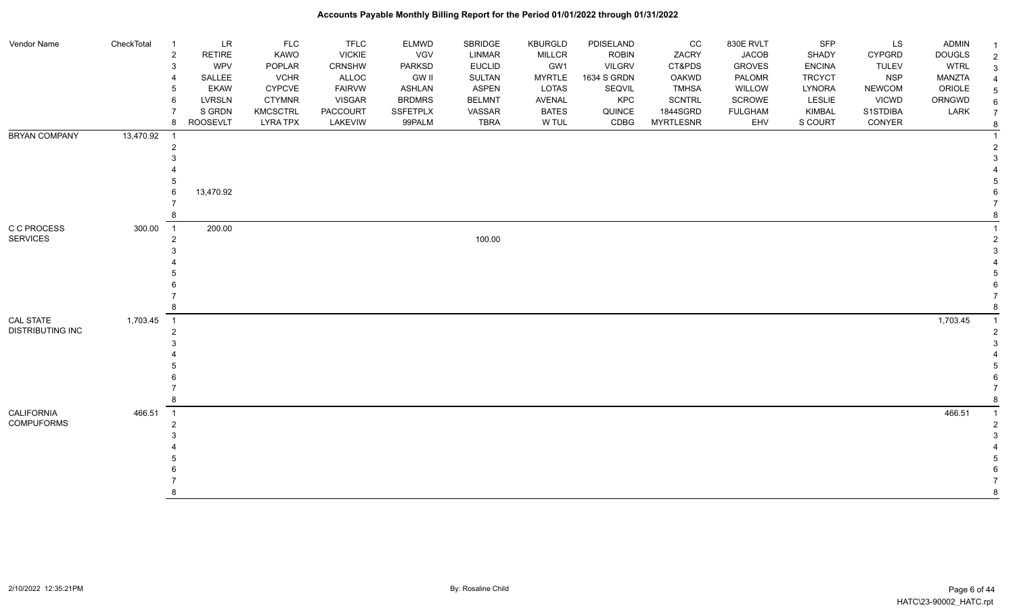| Vendor Name                            | CheckTotal | LR<br>$\overline{1}$<br>RETIRE<br>2<br>WPV<br>SALLEE<br><b>EKAW</b> | <b>FLC</b><br>KAWO<br>POPLAR<br><b>VCHR</b><br>CYPCVE | <b>TFLC</b><br><b>VICKIE</b><br>CRNSHW<br>ALLOC<br><b>FAIRVW</b> | <b>ELMWD</b><br><b>VGV</b><br>PARKSD<br><b>GW II</b><br><b>ASHLAN</b> | SBRIDGE<br>LINMAR<br><b>EUCLID</b><br>SULTAN<br><b>ASPEN</b> | <b>KBURGLD</b><br><b>MILLCR</b><br>GW1<br><b>MYRTLE</b><br>LOTAS | PDISELAND<br><b>ROBIN</b><br><b>VILGRV</b><br>1634 S GRDN<br>SEQVIL | CC<br>ZACRY<br>CT&PDS<br>OAKWD<br><b>TMHSA</b> | 830E RVLT<br><b>JACOB</b><br><b>GROVES</b><br>PALOMR<br>WILLOW | SFP<br>SHADY<br><b>ENCINA</b><br><b>TRCYCT</b><br><b>LYNORA</b> | LS<br><b>CYPGRD</b><br><b>TULEV</b><br><b>NSP</b><br><b>NEWCOM</b> | ADMIN<br><b>DOUGLS</b><br><b>WTRL</b><br>MANZTA<br>ORIOLE | $\overline{2}$<br>3<br>5 |
|----------------------------------------|------------|---------------------------------------------------------------------|-------------------------------------------------------|------------------------------------------------------------------|-----------------------------------------------------------------------|--------------------------------------------------------------|------------------------------------------------------------------|---------------------------------------------------------------------|------------------------------------------------|----------------------------------------------------------------|-----------------------------------------------------------------|--------------------------------------------------------------------|-----------------------------------------------------------|--------------------------|
|                                        |            | LVRSLN<br>S GRDN                                                    | <b>CTYMNR</b><br>KMCSCTRL                             | <b>VISGAR</b><br>PACCOURT                                        | <b>BRDMRS</b><br><b>SSFETPLX</b>                                      | <b>BELMNT</b><br>VASSAR                                      | AVENAL<br><b>BATES</b>                                           | KPC<br>QUINCE                                                       | <b>SCNTRL</b><br>1844SGRD                      | SCROWE<br><b>FULGHAM</b>                                       | LESLIE<br><b>KIMBAL</b>                                         | <b>VICWD</b><br>S1STDIBA                                           | ORNGWD<br>LARK                                            | 6                        |
|                                        |            | <b>ROOSEVLT</b><br>8                                                | <b>LYRA TPX</b>                                       | LAKEVIW                                                          | 99PALM                                                                | <b>TBRA</b>                                                  | W TUL                                                            | CDBG                                                                | <b>MYRTLESNR</b>                               | EHV                                                            | S COURT                                                         | CONYER                                                             |                                                           | $\overline{7}$<br>8      |
| <b>BRYAN COMPANY</b>                   | 13,470.92  | -1                                                                  |                                                       |                                                                  |                                                                       |                                                              |                                                                  |                                                                     |                                                |                                                                |                                                                 |                                                                    |                                                           |                          |
|                                        |            | 13,470.92                                                           |                                                       |                                                                  |                                                                       |                                                              |                                                                  |                                                                     |                                                |                                                                |                                                                 |                                                                    |                                                           |                          |
|                                        |            |                                                                     |                                                       |                                                                  |                                                                       |                                                              |                                                                  |                                                                     |                                                |                                                                |                                                                 |                                                                    |                                                           |                          |
| C C PROCESS<br><b>SERVICES</b>         | 300.00     | 200.00<br>$\overline{1}$                                            |                                                       |                                                                  |                                                                       | 100.00                                                       |                                                                  |                                                                     |                                                |                                                                |                                                                 |                                                                    |                                                           |                          |
|                                        |            |                                                                     |                                                       |                                                                  |                                                                       |                                                              |                                                                  |                                                                     |                                                |                                                                |                                                                 |                                                                    |                                                           |                          |
|                                        |            |                                                                     |                                                       |                                                                  |                                                                       |                                                              |                                                                  |                                                                     |                                                |                                                                |                                                                 |                                                                    |                                                           |                          |
| CAL STATE<br><b>DISTRIBUTING INC</b>   | 1,703.45   | $\overline{1}$                                                      |                                                       |                                                                  |                                                                       |                                                              |                                                                  |                                                                     |                                                |                                                                |                                                                 |                                                                    | 1,703.45                                                  |                          |
|                                        |            |                                                                     |                                                       |                                                                  |                                                                       |                                                              |                                                                  |                                                                     |                                                |                                                                |                                                                 |                                                                    |                                                           |                          |
|                                        |            |                                                                     |                                                       |                                                                  |                                                                       |                                                              |                                                                  |                                                                     |                                                |                                                                |                                                                 |                                                                    |                                                           |                          |
| <b>CALIFORNIA</b><br><b>COMPUFORMS</b> | 466.51     | $\overline{1}$                                                      |                                                       |                                                                  |                                                                       |                                                              |                                                                  |                                                                     |                                                |                                                                |                                                                 |                                                                    | 466.51                                                    |                          |
|                                        |            |                                                                     |                                                       |                                                                  |                                                                       |                                                              |                                                                  |                                                                     |                                                |                                                                |                                                                 |                                                                    |                                                           |                          |
|                                        |            |                                                                     |                                                       |                                                                  |                                                                       |                                                              |                                                                  |                                                                     |                                                |                                                                |                                                                 |                                                                    |                                                           |                          |
|                                        |            |                                                                     |                                                       |                                                                  |                                                                       |                                                              |                                                                  |                                                                     |                                                |                                                                |                                                                 |                                                                    |                                                           | 8                        |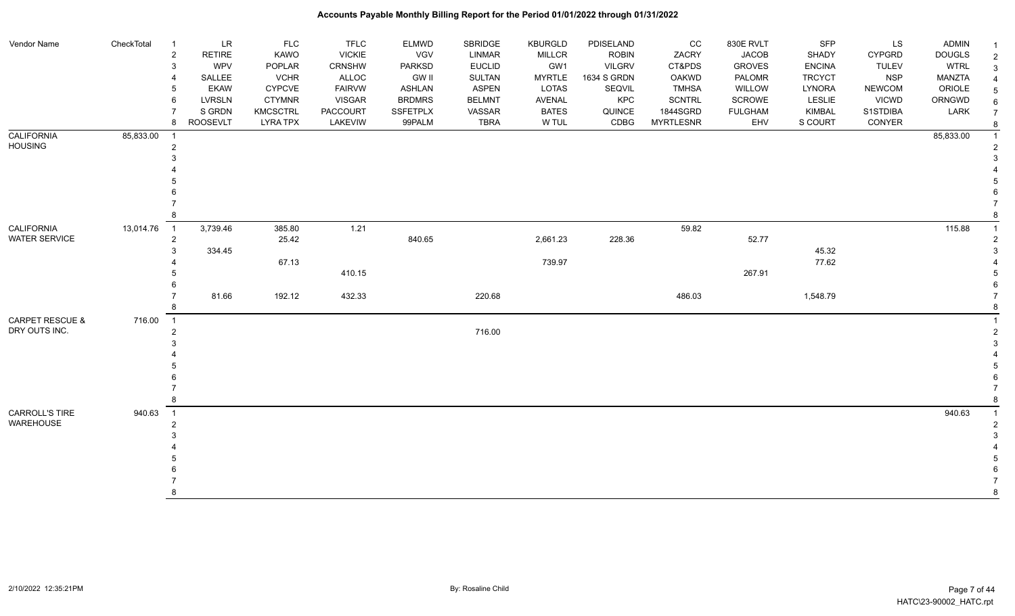| Vendor Name                | CheckTotal  | <b>LR</b><br>$\overline{1}$     | <b>FLC</b>      | <b>TFLC</b>     | <b>ELMWD</b>  | SBRIDGE       | <b>KBURGLD</b> | PDISELAND     | CC               | 830E RVLT      | SFP           | LS            | <b>ADMIN</b>  |   |
|----------------------------|-------------|---------------------------------|-----------------|-----------------|---------------|---------------|----------------|---------------|------------------|----------------|---------------|---------------|---------------|---|
|                            |             | <b>RETIRE</b><br>$\overline{2}$ | KAWO            | <b>VICKIE</b>   | VGV           | <b>LINMAR</b> | <b>MILLCR</b>  | <b>ROBIN</b>  | ZACRY            | <b>JACOB</b>   | SHADY         | <b>CYPGRD</b> | <b>DOUGLS</b> | 2 |
|                            |             | WPV<br>3                        | POPLAR          | CRNSHW          | PARKSD        | <b>EUCLID</b> | GW1            | <b>VILGRV</b> | CT&PDS           | <b>GROVES</b>  | <b>ENCINA</b> | <b>TULEV</b>  | <b>WTRL</b>   |   |
|                            |             | SALLEE                          | <b>VCHR</b>     | ALLOC           | <b>GW II</b>  | SULTAN        | <b>MYRTLE</b>  | 1634 S GRDN   | OAKWD            | PALOMR         | <b>TRCYCT</b> | <b>NSP</b>    | <b>MANZTA</b> |   |
|                            |             | <b>EKAW</b><br>5                | <b>CYPCVE</b>   | <b>FAIRVW</b>   | ASHLAN        | <b>ASPEN</b>  | LOTAS          | SEQVIL        | <b>TMHSA</b>     | WILLOW         | LYNORA        | <b>NEWCOM</b> | ORIOLE        |   |
|                            |             | <b>LVRSLN</b><br>6              | <b>CTYMNR</b>   | <b>VISGAR</b>   | <b>BRDMRS</b> | <b>BELMNT</b> | AVENAL         | KPC           | SCNTRL           | SCROWE         | LESLIE        | <b>VICWD</b>  | ORNGWD        |   |
|                            |             | S GRDN                          | <b>KMCSCTRL</b> | <b>PACCOURT</b> | SSFETPLX      | VASSAR        | <b>BATES</b>   | QUINCE        | 1844SGRD         | <b>FULGHAM</b> | <b>KIMBAL</b> | S1STDIBA      | LARK          |   |
|                            |             | <b>ROOSEVLT</b><br>8            | <b>LYRA TPX</b> | LAKEVIW         | 99PALM        | <b>TBRA</b>   | W TUL          | CDBG          | <b>MYRTLESNR</b> | EHV            | S COURT       | CONYER        |               |   |
| <b>CALIFORNIA</b>          | 85,833.00   | $\overline{1}$                  |                 |                 |               |               |                |               |                  |                |               |               | 85,833.00     |   |
| <b>HOUSING</b>             |             | $\overline{2}$                  |                 |                 |               |               |                |               |                  |                |               |               |               |   |
|                            |             |                                 |                 |                 |               |               |                |               |                  |                |               |               |               |   |
|                            |             |                                 |                 |                 |               |               |                |               |                  |                |               |               |               |   |
|                            |             |                                 |                 |                 |               |               |                |               |                  |                |               |               |               |   |
|                            |             |                                 |                 |                 |               |               |                |               |                  |                |               |               |               |   |
|                            |             |                                 |                 |                 |               |               |                |               |                  |                |               |               |               |   |
|                            |             |                                 |                 |                 |               |               |                |               |                  |                |               |               |               |   |
| <b>CALIFORNIA</b>          | 13,014.76 1 | 3,739.46                        | 385.80          | 1.21            |               |               |                |               | 59.82            |                |               |               | 115.88        |   |
| <b>WATER SERVICE</b>       |             | $\overline{2}$                  | 25.42           |                 | 840.65        |               | 2,661.23       | 228.36        |                  | 52.77          |               |               |               |   |
|                            |             | 334.45                          |                 |                 |               |               |                |               |                  |                | 45.32         |               |               |   |
|                            |             |                                 | 67.13           |                 |               |               | 739.97         |               |                  |                | 77.62         |               |               |   |
|                            |             |                                 |                 | 410.15          |               |               |                |               |                  | 267.91         |               |               |               |   |
|                            |             |                                 |                 |                 |               |               |                |               |                  |                |               |               |               |   |
|                            |             | 81.66                           | 192.12          | 432.33          |               | 220.68        |                |               | 486.03           |                | 1,548.79      |               |               |   |
|                            |             |                                 |                 |                 |               |               |                |               |                  |                |               |               |               |   |
| <b>CARPET RESCUE &amp;</b> | 716.00      | $\overline{1}$                  |                 |                 |               |               |                |               |                  |                |               |               |               |   |
| DRY OUTS INC.              |             | 2                               |                 |                 |               | 716.00        |                |               |                  |                |               |               |               |   |
|                            |             |                                 |                 |                 |               |               |                |               |                  |                |               |               |               |   |
|                            |             |                                 |                 |                 |               |               |                |               |                  |                |               |               |               |   |
|                            |             |                                 |                 |                 |               |               |                |               |                  |                |               |               |               |   |
|                            |             |                                 |                 |                 |               |               |                |               |                  |                |               |               |               |   |
|                            |             |                                 |                 |                 |               |               |                |               |                  |                |               |               |               |   |
|                            |             | 8                               |                 |                 |               |               |                |               |                  |                |               |               |               |   |
| CARROLL'S TIRE             | 940.63      | $\overline{1}$                  |                 |                 |               |               |                |               |                  |                |               |               | 940.63        |   |
| <b>WAREHOUSE</b>           |             | 2                               |                 |                 |               |               |                |               |                  |                |               |               |               |   |
|                            |             |                                 |                 |                 |               |               |                |               |                  |                |               |               |               |   |
|                            |             |                                 |                 |                 |               |               |                |               |                  |                |               |               |               |   |
|                            |             |                                 |                 |                 |               |               |                |               |                  |                |               |               |               |   |
|                            |             |                                 |                 |                 |               |               |                |               |                  |                |               |               |               |   |
|                            |             |                                 |                 |                 |               |               |                |               |                  |                |               |               |               |   |
|                            |             |                                 |                 |                 |               |               |                |               |                  |                |               |               |               |   |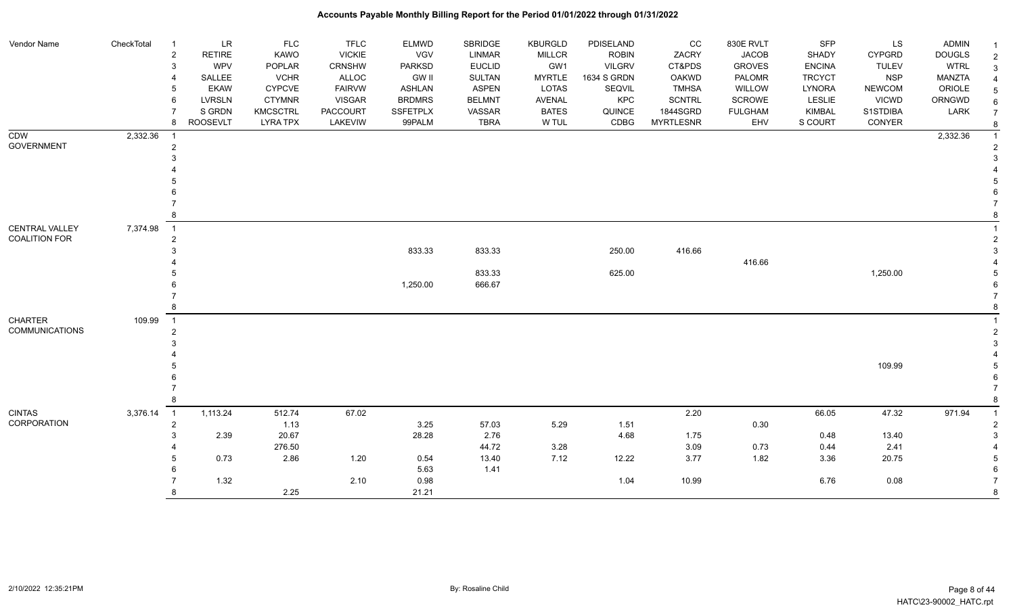| Vendor Name           | CheckTotal | -1                         | <b>LR</b>       | <b>FLC</b>      | <b>TFLC</b>     | <b>ELMWD</b>    | <b>SBRIDGE</b> | <b>KBURGLD</b> | PDISELAND     | CC               | 830E RVLT      | <b>SFP</b>    | LS            | ADMIN         |                |
|-----------------------|------------|----------------------------|-----------------|-----------------|-----------------|-----------------|----------------|----------------|---------------|------------------|----------------|---------------|---------------|---------------|----------------|
|                       |            | $\overline{2}$             | <b>RETIRE</b>   | <b>KAWO</b>     | <b>VICKIE</b>   | VGV             | <b>LINMAR</b>  | <b>MILLCR</b>  | <b>ROBIN</b>  | ZACRY            | <b>JACOB</b>   | <b>SHADY</b>  | <b>CYPGRD</b> | <b>DOUGLS</b> | $\overline{2}$ |
|                       |            | 3                          | WPV             | POPLAR          | CRNSHW          | <b>PARKSD</b>   | <b>EUCLID</b>  | GW1            | <b>VILGRV</b> | CT&PDS           | <b>GROVES</b>  | <b>ENCINA</b> | <b>TULEV</b>  | <b>WTRL</b>   | 3              |
|                       |            |                            | SALLEE          | <b>VCHR</b>     | ALLOC           | <b>GW II</b>    | <b>SULTAN</b>  | <b>MYRTLE</b>  | 1634 S GRDN   | <b>OAKWD</b>     | <b>PALOMR</b>  | <b>TRCYCT</b> | <b>NSP</b>    | MANZTA        |                |
|                       |            |                            | <b>EKAW</b>     | <b>CYPCVE</b>   | <b>FAIRVW</b>   | <b>ASHLAN</b>   | <b>ASPEN</b>   | LOTAS          | SEQVIL        | <b>TMHSA</b>     | WILLOW         | <b>LYNORA</b> | <b>NEWCOM</b> | ORIOLE        | 5              |
|                       |            | 6                          | <b>LVRSLN</b>   | <b>CTYMNR</b>   | <b>VISGAR</b>   | <b>BRDMRS</b>   | <b>BELMNT</b>  | AVENAL         | <b>KPC</b>    | <b>SCNTRL</b>    | SCROWE         | LESLIE        | VICWD         | ORNGWD        | 6              |
|                       |            |                            | S GRDN          | <b>KMCSCTRL</b> | <b>PACCOURT</b> | <b>SSFETPLX</b> | VASSAR         | <b>BATES</b>   | QUINCE        | 1844SGRD         | <b>FULGHAM</b> | <b>KIMBAL</b> | S1STDIBA      | LARK          | $\overline{7}$ |
|                       |            | 8                          | <b>ROOSEVLT</b> | <b>LYRA TPX</b> | LAKEVIW         | 99PALM          | <b>TBRA</b>    | W TUL          | CDBG          | <b>MYRTLESNR</b> | EHV            | S COURT       | CONYER        |               | 8              |
| <b>CDW</b>            | 2,332.36   |                            |                 |                 |                 |                 |                |                |               |                  |                |               |               | 2,332.36      |                |
| <b>GOVERNMENT</b>     |            | $\overline{2}$             |                 |                 |                 |                 |                |                |               |                  |                |               |               |               |                |
|                       |            |                            |                 |                 |                 |                 |                |                |               |                  |                |               |               |               |                |
|                       |            |                            |                 |                 |                 |                 |                |                |               |                  |                |               |               |               |                |
|                       |            |                            |                 |                 |                 |                 |                |                |               |                  |                |               |               |               |                |
|                       |            |                            |                 |                 |                 |                 |                |                |               |                  |                |               |               |               |                |
|                       |            |                            |                 |                 |                 |                 |                |                |               |                  |                |               |               |               |                |
|                       |            |                            |                 |                 |                 |                 |                |                |               |                  |                |               |               |               |                |
| CENTRAL VALLEY        | 7,374.98   | $\overline{1}$             |                 |                 |                 |                 |                |                |               |                  |                |               |               |               |                |
| COALITION FOR         |            | $\overline{2}$             |                 |                 |                 |                 |                |                |               |                  |                |               |               |               |                |
|                       |            |                            |                 |                 |                 | 833.33          | 833.33         |                | 250.00        | 416.66           |                |               |               |               |                |
|                       |            |                            |                 |                 |                 |                 |                |                |               |                  | 416.66         |               |               |               |                |
|                       |            |                            |                 |                 |                 |                 | 833.33         |                | 625.00        |                  |                |               | 1,250.00      |               |                |
|                       |            |                            |                 |                 |                 | 1,250.00        | 666.67         |                |               |                  |                |               |               |               |                |
|                       |            |                            |                 |                 |                 |                 |                |                |               |                  |                |               |               |               |                |
|                       |            |                            |                 |                 |                 |                 |                |                |               |                  |                |               |               |               |                |
| <b>CHARTER</b>        | 109.99     | $\overline{1}$             |                 |                 |                 |                 |                |                |               |                  |                |               |               |               |                |
| <b>COMMUNICATIONS</b> |            |                            |                 |                 |                 |                 |                |                |               |                  |                |               |               |               |                |
|                       |            |                            |                 |                 |                 |                 |                |                |               |                  |                |               |               |               |                |
|                       |            |                            |                 |                 |                 |                 |                |                |               |                  |                |               |               |               |                |
|                       |            |                            |                 |                 |                 |                 |                |                |               |                  |                |               | 109.99        |               |                |
|                       |            |                            |                 |                 |                 |                 |                |                |               |                  |                |               |               |               |                |
|                       |            |                            |                 |                 |                 |                 |                |                |               |                  |                |               |               |               |                |
|                       |            |                            |                 |                 |                 |                 |                |                |               |                  |                |               |               |               |                |
| <b>CINTAS</b>         | 3,376.14   | $\overline{\phantom{0}}$ 1 | 1,113.24        | 512.74          | 67.02           |                 |                |                |               | 2.20             |                | 66.05         | 47.32         | 971.94        |                |
| CORPORATION           |            | 2                          |                 | 1.13            |                 | 3.25            | 57.03          | 5.29           | 1.51          |                  | 0.30           |               |               |               |                |
|                       |            |                            | 2.39            | 20.67           |                 | 28.28           | 2.76           |                | 4.68          | 1.75             |                | 0.48          | 13.40         |               |                |
|                       |            |                            |                 | 276.50          |                 |                 | 44.72          | 3.28           |               | 3.09             | 0.73           | 0.44          | 2.41          |               |                |
|                       |            |                            | 0.73            | 2.86            | 1.20            | 0.54            | 13.40          | 7.12           | 12.22         | 3.77             | 1.82           | 3.36          | 20.75         |               |                |
|                       |            |                            |                 |                 |                 | 5.63            | 1.41           |                |               |                  |                |               |               |               |                |
|                       |            |                            | 1.32            |                 | 2.10            | 0.98            |                |                | 1.04          | 10.99            |                | 6.76          | 0.08          |               | $\overline{7}$ |
|                       |            |                            |                 | 2.25            |                 | 21.21           |                |                |               |                  |                |               |               |               | 8              |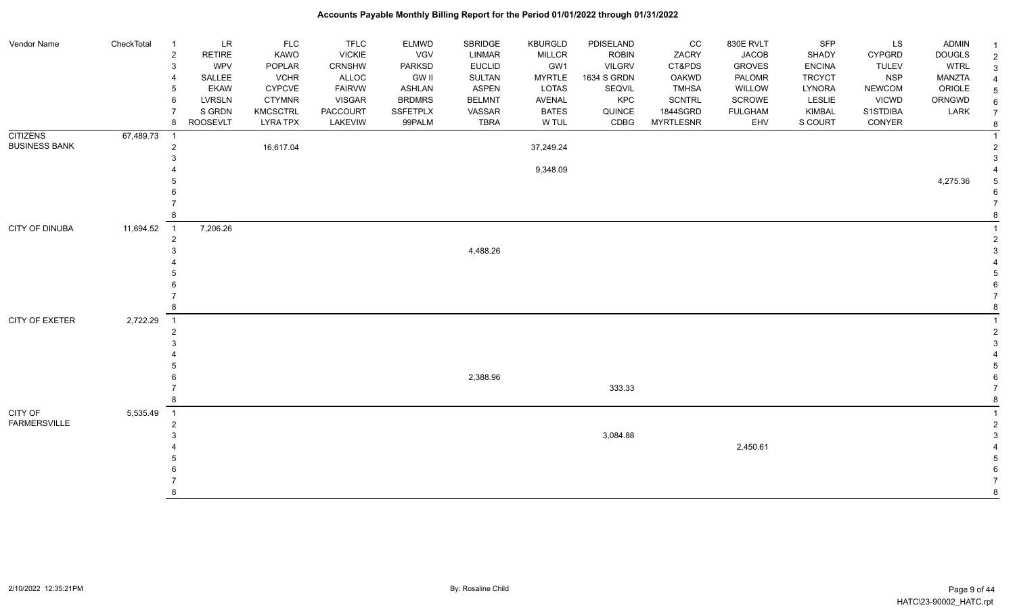| Vendor Name          | CheckTotal | $\overline{1}$             | <b>LR</b>       | <b>FLC</b>      | <b>TFLC</b>   | <b>ELMWD</b>    | SBRIDGE       | <b>KBURGLD</b> | PDISELAND     | cc               | 830E RVLT      | <b>SFP</b>    | LS            | <b>ADMIN</b>  |  |
|----------------------|------------|----------------------------|-----------------|-----------------|---------------|-----------------|---------------|----------------|---------------|------------------|----------------|---------------|---------------|---------------|--|
|                      |            | $\overline{2}$             | <b>RETIRE</b>   | KAWO            | <b>VICKIE</b> | VGV             | LINMAR        | <b>MILLCR</b>  | <b>ROBIN</b>  | ZACRY            | <b>JACOB</b>   | SHADY         | <b>CYPGRD</b> | <b>DOUGLS</b> |  |
|                      |            | 3                          | <b>WPV</b>      | POPLAR          | <b>CRNSHW</b> | <b>PARKSD</b>   | <b>EUCLID</b> | GW1            | <b>VILGRV</b> | CT&PDS           | <b>GROVES</b>  | <b>ENCINA</b> | <b>TULEV</b>  | <b>WTRL</b>   |  |
|                      |            | 4                          | SALLEE          | <b>VCHR</b>     | ALLOC         | GW II           | SULTAN        | <b>MYRTLE</b>  | 1634 S GRDN   | OAKWD            | PALOMR         | <b>TRCYCT</b> | <b>NSP</b>    | MANZTA        |  |
|                      |            | -5                         | <b>EKAW</b>     | <b>CYPCVE</b>   | <b>FAIRVW</b> | <b>ASHLAN</b>   | <b>ASPEN</b>  | LOTAS          | SEQVIL        | <b>TMHSA</b>     | WILLOW         | LYNORA        | <b>NEWCOM</b> | ORIOLE        |  |
|                      |            | 6                          | LVRSLN          | <b>CTYMNR</b>   | VISGAR        | <b>BRDMRS</b>   | <b>BELMNT</b> | AVENAL         | <b>KPC</b>    | SCNTRL           | <b>SCROWE</b>  | <b>LESLIE</b> | <b>VICWD</b>  | ORNGWD        |  |
|                      |            |                            | S GRDN          | <b>KMCSCTRL</b> | PACCOURT      | <b>SSFETPLX</b> | VASSAR        | <b>BATES</b>   | QUINCE        | 1844SGRD         | <b>FULGHAM</b> | KIMBAL        | S1STDIBA      | LARK          |  |
|                      |            | 8                          | <b>ROOSEVLT</b> | <b>LYRA TPX</b> | LAKEVIW       | 99PALM          | <b>TBRA</b>   | W TUL          | CDBG          | <b>MYRTLESNR</b> | EHV            | S COURT       | CONYER        |               |  |
| <b>CITIZENS</b>      | 67,489.73  | $\overline{\phantom{0}}$ 1 |                 |                 |               |                 |               |                |               |                  |                |               |               |               |  |
| <b>BUSINESS BANK</b> |            | $\overline{2}$             |                 | 16,617.04       |               |                 |               | 37,249.24      |               |                  |                |               |               |               |  |
|                      |            | 3                          |                 |                 |               |                 |               |                |               |                  |                |               |               |               |  |
|                      |            |                            |                 |                 |               |                 |               | 9,348.09       |               |                  |                |               |               |               |  |
|                      |            |                            |                 |                 |               |                 |               |                |               |                  |                |               |               | 4,275.36      |  |
|                      |            |                            |                 |                 |               |                 |               |                |               |                  |                |               |               |               |  |
|                      |            |                            |                 |                 |               |                 |               |                |               |                  |                |               |               |               |  |
|                      |            | 8                          |                 |                 |               |                 |               |                |               |                  |                |               |               |               |  |
| CITY OF DINUBA       | 11,694.52  | $\overline{1}$             | 7,206.26        |                 |               |                 |               |                |               |                  |                |               |               |               |  |
|                      |            | $\overline{2}$             |                 |                 |               |                 |               |                |               |                  |                |               |               |               |  |
|                      |            | 3                          |                 |                 |               |                 | 4,488.26      |                |               |                  |                |               |               |               |  |
|                      |            |                            |                 |                 |               |                 |               |                |               |                  |                |               |               |               |  |
|                      |            |                            |                 |                 |               |                 |               |                |               |                  |                |               |               |               |  |
|                      |            |                            |                 |                 |               |                 |               |                |               |                  |                |               |               |               |  |
|                      |            |                            |                 |                 |               |                 |               |                |               |                  |                |               |               |               |  |
|                      |            | 8                          |                 |                 |               |                 |               |                |               |                  |                |               |               |               |  |
| CITY OF EXETER       | 2,722.29   | $\overline{\phantom{0}}$ 1 |                 |                 |               |                 |               |                |               |                  |                |               |               |               |  |
|                      |            | $\overline{2}$             |                 |                 |               |                 |               |                |               |                  |                |               |               |               |  |
|                      |            | 3                          |                 |                 |               |                 |               |                |               |                  |                |               |               |               |  |
|                      |            |                            |                 |                 |               |                 |               |                |               |                  |                |               |               |               |  |
|                      |            |                            |                 |                 |               |                 |               |                |               |                  |                |               |               |               |  |
|                      |            |                            |                 |                 |               |                 | 2,388.96      |                |               |                  |                |               |               |               |  |
|                      |            |                            |                 |                 |               |                 |               |                | 333.33        |                  |                |               |               |               |  |
|                      |            | 8                          |                 |                 |               |                 |               |                |               |                  |                |               |               |               |  |
| CITY OF              | 5,535.49   | $\overline{\phantom{0}}$ 1 |                 |                 |               |                 |               |                |               |                  |                |               |               |               |  |
| <b>FARMERSVILLE</b>  |            | $\overline{2}$             |                 |                 |               |                 |               |                |               |                  |                |               |               |               |  |
|                      |            | 3                          |                 |                 |               |                 |               |                | 3,084.88      |                  |                |               |               |               |  |
|                      |            |                            |                 |                 |               |                 |               |                |               |                  | 2,450.61       |               |               |               |  |
|                      |            |                            |                 |                 |               |                 |               |                |               |                  |                |               |               |               |  |
|                      |            |                            |                 |                 |               |                 |               |                |               |                  |                |               |               |               |  |
|                      |            |                            |                 |                 |               |                 |               |                |               |                  |                |               |               |               |  |
|                      |            | 8                          |                 |                 |               |                 |               |                |               |                  |                |               |               |               |  |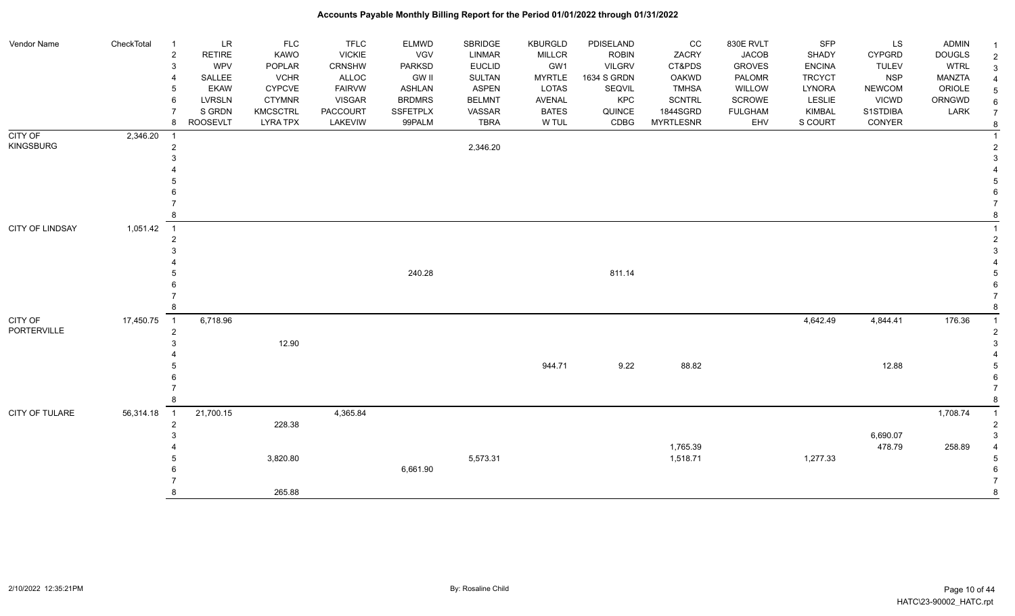#### Vendor Name CheckTotal 1 LR FLC FLC ELMWD SBRIDGE KBURGLD PDISELAND CC 830E RVLT SFP LS ADMIN <sub>1</sub> 2 RETIRE KAWO VICKIE VGV LINMAR MILLCR ROBIN ZACRY JACOB SHADY CYPGRD DOUGLS 2 3 WPV POPLAR CRNSHW PARKSD EUCLID GW1 VILGRV CT&PDS GROVES ENCINA TULEV WTRL 3 4 SALLEE VCHR ALLOC GW II SULTAN MYRTLE 1634 S GRDN OAKWD PALOMR TRCYCT NSP MANZTA 4 5 EKAW CYPCVE FAIRVW ASHLAN ASPEN LOTAS SEQVIL TMHSA WILLOW LYNORA NEWCOM ORIOLE 5 6 LVRSLN CTYMNR VISGAR BRDMRS BELMNT AVENAL KPC SCNTRL SCROWE LESLIE VICWD ORNGWD  $_{6}$ 7 SIGRDN KMCSCTRL PACCOURT SSFETPLX VASSAR BATES QUINCE 1844SGRD FULGHAM KIMBAL S1STDIBA LARK 7 8 ROOSEVLT LYRA TPX LAKEVIW 99PALM TBRA W TUL CDBG MYRTLESNR EHV S COURT CONYER <sub>8</sub> CITY OF KINGSBURG 2,346.20 1 1 2 and a set of the set of the set of the set of the set of the set of the set of the set of the set of the set of the set of the set of the set of the set of the set of the set of the set of the set of the set of the set  $3<sup>3</sup>$  4 4 5 5  $6$  7 7 8 8 CITY OF LINDSAY 1,051.42 1 1 2 2  $3<sup>3</sup>$  4 4 5 240.28 811.14 5  $6$  7 7 8 8 CITY OF PORTERVILLE 17,450.75 1 6,718.96 4,642.49 4,844.41 176.36 1 2 2  $3 \hspace{5cm} 12.90$  4 4 5 944.71 9.22 88.82 12.88 5  $6$  7 7 8 8 CITY OF TULARE 56,314.18 1 21,700.15 4,365.84 1,200 and 4,365.84 1,708.74 1,708.74 1,708.74 1,708.74 1,708.74 1,708.74 1,708.74 1,708.74 1,708.74 1,708.74 1,708.74 1,708.74 1,708.74 1,708.74 1,708.74 1,708.74 1,708.74 1,70 2 декабря — 228.38 году — 228.38 декабря — 2 декабря — 2 декабря — 2 декабря — 2 декабря — 2 декабря — 2 декабря — 2  $3 \times 6,690.07$  3 4 1,765.39 478.79 258.89 4 5 3,820.80 5,573.31 1,518.71 1,277.33 5 6 6,661.90 6 7 7 8 265.88 8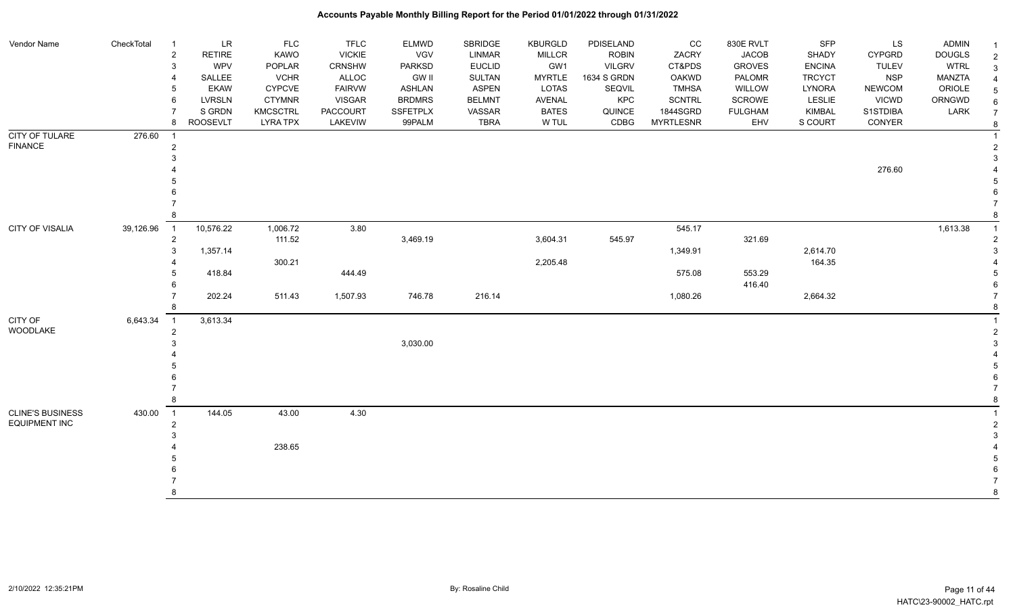| Vendor Name           | CheckTotal | LR<br>-1                    | FLC             | <b>TFLC</b>     | <b>ELMWD</b>    | SBRIDGE       | KBURGLD       | PDISELAND     | cc               | 830E RVLT      | SFP           | LS            | <b>ADMIN</b>  | -1             |
|-----------------------|------------|-----------------------------|-----------------|-----------------|-----------------|---------------|---------------|---------------|------------------|----------------|---------------|---------------|---------------|----------------|
|                       |            | RETIRE<br>$\overline{2}$    | KAWO            | <b>VICKIE</b>   | VGV             | LINMAR        | <b>MILLCR</b> | <b>ROBIN</b>  | ZACRY            | <b>JACOB</b>   | SHADY         | <b>CYPGRD</b> | <b>DOUGLS</b> | $\overline{2}$ |
|                       |            | <b>WPV</b><br>3             | POPLAR          | CRNSHW          | PARKSD          | <b>EUCLID</b> | GW1           | <b>VILGRV</b> | CT&PDS           | <b>GROVES</b>  | <b>ENCINA</b> | <b>TULEV</b>  | <b>WTRL</b>   | 3              |
|                       |            | SALLEE                      | <b>VCHR</b>     | <b>ALLOC</b>    | <b>GW II</b>    | <b>SULTAN</b> | <b>MYRTLE</b> | 1634 S GRDN   | <b>OAKWD</b>     | PALOMR         | <b>TRCYCT</b> | <b>NSP</b>    | <b>MANZTA</b> |                |
|                       |            | <b>EKAW</b>                 | <b>CYPCVE</b>   | <b>FAIRVW</b>   | <b>ASHLAN</b>   | <b>ASPEN</b>  | <b>LOTAS</b>  | SEQVIL        | <b>TMHSA</b>     | WILLOW         | LYNORA        | <b>NEWCOM</b> | ORIOLE        |                |
|                       |            | <b>LVRSLN</b><br>6          | <b>CTYMNR</b>   | <b>VISGAR</b>   | <b>BRDMRS</b>   | <b>BELMNT</b> | AVENAL        | KPC           | <b>SCNTRL</b>    | SCROWE         | <b>LESLIE</b> | <b>VICWD</b>  | ORNGWD        | 6              |
|                       |            | S GRDN                      | <b>KMCSCTRL</b> | <b>PACCOURT</b> | <b>SSFETPLX</b> | VASSAR        | <b>BATES</b>  | QUINCE        | 1844SGRD         | <b>FULGHAM</b> | <b>KIMBAL</b> | S1STDIBA      | LARK          | $\overline{7}$ |
|                       |            | <b>ROOSEVLT</b><br>8        | <b>LYRA TPX</b> | LAKEVIW         | 99PALM          | <b>TBRA</b>   | W TUL         | CDBG          | <b>MYRTLESNR</b> | EHV            | S COURT       | CONYER        |               | 8              |
| <b>CITY OF TULARE</b> | 276.60     | $\overline{1}$              |                 |                 |                 |               |               |               |                  |                |               |               |               |                |
| <b>FINANCE</b>        |            |                             |                 |                 |                 |               |               |               |                  |                |               |               |               |                |
|                       |            |                             |                 |                 |                 |               |               |               |                  |                |               |               |               |                |
|                       |            |                             |                 |                 |                 |               |               |               |                  |                |               | 276.60        |               |                |
|                       |            |                             |                 |                 |                 |               |               |               |                  |                |               |               |               |                |
|                       |            |                             |                 |                 |                 |               |               |               |                  |                |               |               |               |                |
|                       |            |                             |                 |                 |                 |               |               |               |                  |                |               |               |               |                |
|                       |            |                             |                 |                 |                 |               |               |               |                  |                |               |               |               |                |
| CITY OF VISALIA       | 39,126.96  | 10,576.22<br>$\overline{1}$ | 1,006.72        | 3.80            |                 |               |               |               | 545.17           |                |               |               | 1,613.38      |                |
|                       |            | $\overline{2}$              | 111.52          |                 | 3,469.19        |               | 3,604.31      | 545.97        |                  | 321.69         |               |               |               |                |
|                       |            | 1,357.14<br>3               |                 |                 |                 |               |               |               | 1,349.91         |                | 2,614.70      |               |               |                |
|                       |            |                             | 300.21          |                 |                 |               | 2,205.48      |               |                  |                | 164.35        |               |               |                |
|                       |            | 418.84                      |                 | 444.49          |                 |               |               |               | 575.08           | 553.29         |               |               |               |                |
|                       |            |                             |                 |                 |                 |               |               |               |                  | 416.40         |               |               |               |                |
|                       |            | 202.24                      | 511.43          | 1,507.93        | 746.78          | 216.14        |               |               | 1,080.26         |                | 2,664.32      |               |               |                |
|                       |            |                             |                 |                 |                 |               |               |               |                  |                |               |               |               |                |
| CITY OF               | 6,643.34   | 3,613.34<br>$\overline{1}$  |                 |                 |                 |               |               |               |                  |                |               |               |               |                |
| WOODLAKE              |            | $\overline{2}$              |                 |                 |                 |               |               |               |                  |                |               |               |               |                |
|                       |            |                             |                 |                 | 3,030.00        |               |               |               |                  |                |               |               |               |                |
|                       |            |                             |                 |                 |                 |               |               |               |                  |                |               |               |               |                |
|                       |            |                             |                 |                 |                 |               |               |               |                  |                |               |               |               |                |
|                       |            |                             |                 |                 |                 |               |               |               |                  |                |               |               |               |                |
|                       |            |                             |                 |                 |                 |               |               |               |                  |                |               |               |               |                |
|                       |            |                             |                 |                 |                 |               |               |               |                  |                |               |               |               |                |
| CLINE'S BUSINESS      | 430.00     | 144.05<br>$\overline{1}$    | 43.00           | 4.30            |                 |               |               |               |                  |                |               |               |               |                |
| <b>EQUIPMENT INC</b>  |            | $\overline{2}$              |                 |                 |                 |               |               |               |                  |                |               |               |               |                |
|                       |            |                             |                 |                 |                 |               |               |               |                  |                |               |               |               |                |
|                       |            |                             | 238.65          |                 |                 |               |               |               |                  |                |               |               |               |                |
|                       |            |                             |                 |                 |                 |               |               |               |                  |                |               |               |               |                |
|                       |            |                             |                 |                 |                 |               |               |               |                  |                |               |               |               |                |
|                       |            |                             |                 |                 |                 |               |               |               |                  |                |               |               |               |                |
|                       |            |                             |                 |                 |                 |               |               |               |                  |                |               |               |               | 8              |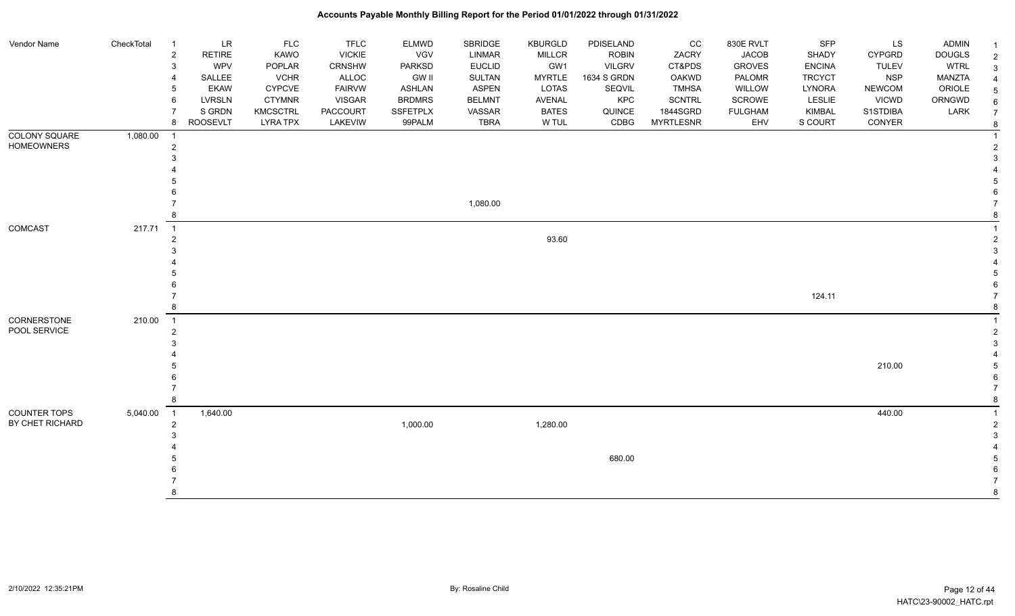| Vendor Name          | CheckTotal | $\overline{1}$ | LR              | <b>FLC</b>      | <b>TFLC</b>     | ELMWD         | SBRIDGE       | <b>KBURGLD</b> | PDISELAND     | cc               | 830E RVLT      | SFP           | LS            | <b>ADMIN</b>  |  |
|----------------------|------------|----------------|-----------------|-----------------|-----------------|---------------|---------------|----------------|---------------|------------------|----------------|---------------|---------------|---------------|--|
|                      |            | $\overline{c}$ | <b>RETIRE</b>   | KAWO            | <b>VICKIE</b>   | VGV           | LINMAR        | <b>MILLCR</b>  | <b>ROBIN</b>  | ZACRY            | <b>JACOB</b>   | SHADY         | <b>CYPGRD</b> | <b>DOUGLS</b> |  |
|                      |            | 3              | <b>WPV</b>      | POPLAR          | <b>CRNSHW</b>   | PARKSD        | <b>EUCLID</b> | GW1            | <b>VILGRV</b> | CT&PDS           | <b>GROVES</b>  | <b>ENCINA</b> | <b>TULEV</b>  | <b>WTRL</b>   |  |
|                      |            |                | SALLEE          | <b>VCHR</b>     | ALLOC           | <b>GW II</b>  | <b>SULTAN</b> | <b>MYRTLE</b>  | 1634 S GRDN   | <b>OAKWD</b>     | PALOMR         | <b>TRCYCT</b> | <b>NSP</b>    | <b>MANZTA</b> |  |
|                      |            | 5              | <b>EKAW</b>     | <b>CYPCVE</b>   | <b>FAIRVW</b>   | ASHLAN        | <b>ASPEN</b>  | LOTAS          | <b>SEQVIL</b> | <b>TMHSA</b>     | WILLOW         | <b>LYNORA</b> | <b>NEWCOM</b> | ORIOLE        |  |
|                      |            | 6              | <b>LVRSLN</b>   | <b>CTYMNR</b>   | <b>VISGAR</b>   | <b>BRDMRS</b> | <b>BELMNT</b> | AVENAL         | KPC           | <b>SCNTRL</b>    | SCROWE         | LESLIE        | <b>VICWD</b>  | ORNGWD        |  |
|                      |            |                | S GRDN          | <b>KMCSCTRL</b> | <b>PACCOURT</b> | SSFETPLX      | VASSAR        | <b>BATES</b>   | QUINCE        | 1844SGRD         | <b>FULGHAM</b> | KIMBAL        | S1STDIBA      | LARK          |  |
|                      |            | 8              | <b>ROOSEVLT</b> | <b>LYRA TPX</b> | LAKEVIW         | 99PALM        | <b>TBRA</b>   | W TUL          | CDBG          | <b>MYRTLESNR</b> | EHV            | S COURT       | CONYER        |               |  |
| <b>COLONY SQUARE</b> | 1,080.00   | $\overline{1}$ |                 |                 |                 |               |               |                |               |                  |                |               |               |               |  |
| <b>HOMEOWNERS</b>    |            | $\overline{2}$ |                 |                 |                 |               |               |                |               |                  |                |               |               |               |  |
|                      |            | 3              |                 |                 |                 |               |               |                |               |                  |                |               |               |               |  |
|                      |            |                |                 |                 |                 |               |               |                |               |                  |                |               |               |               |  |
|                      |            |                |                 |                 |                 |               |               |                |               |                  |                |               |               |               |  |
|                      |            |                |                 |                 |                 |               |               |                |               |                  |                |               |               |               |  |
|                      |            |                |                 |                 |                 |               | 1,080.00      |                |               |                  |                |               |               |               |  |
|                      |            | 8              |                 |                 |                 |               |               |                |               |                  |                |               |               |               |  |
| COMCAST              | 217.71     | $\overline{1}$ |                 |                 |                 |               |               |                |               |                  |                |               |               |               |  |
|                      |            | $\overline{2}$ |                 |                 |                 |               |               | 93.60          |               |                  |                |               |               |               |  |
|                      |            |                |                 |                 |                 |               |               |                |               |                  |                |               |               |               |  |
|                      |            |                |                 |                 |                 |               |               |                |               |                  |                |               |               |               |  |
|                      |            |                |                 |                 |                 |               |               |                |               |                  |                |               |               |               |  |
|                      |            |                |                 |                 |                 |               |               |                |               |                  |                |               |               |               |  |
|                      |            |                |                 |                 |                 |               |               |                |               |                  |                | 124.11        |               |               |  |
|                      |            | 8              |                 |                 |                 |               |               |                |               |                  |                |               |               |               |  |
| CORNERSTONE          | 210.00     | $\overline{1}$ |                 |                 |                 |               |               |                |               |                  |                |               |               |               |  |
| POOL SERVICE         |            | 2              |                 |                 |                 |               |               |                |               |                  |                |               |               |               |  |
|                      |            | 3              |                 |                 |                 |               |               |                |               |                  |                |               |               |               |  |
|                      |            |                |                 |                 |                 |               |               |                |               |                  |                |               |               |               |  |
|                      |            |                |                 |                 |                 |               |               |                |               |                  |                |               | 210.00        |               |  |
|                      |            |                |                 |                 |                 |               |               |                |               |                  |                |               |               |               |  |
|                      |            |                |                 |                 |                 |               |               |                |               |                  |                |               |               |               |  |
|                      |            | 8              |                 |                 |                 |               |               |                |               |                  |                |               |               |               |  |
| <b>COUNTER TOPS</b>  | 5,040.00   | $\overline{1}$ | 1,640.00        |                 |                 |               |               |                |               |                  |                |               | 440.00        |               |  |
| BY CHET RICHARD      |            | 2              |                 |                 |                 | 1,000.00      |               | 1,280.00       |               |                  |                |               |               |               |  |
|                      |            |                |                 |                 |                 |               |               |                |               |                  |                |               |               |               |  |
|                      |            |                |                 |                 |                 |               |               |                |               |                  |                |               |               |               |  |
|                      |            |                |                 |                 |                 |               |               |                | 680.00        |                  |                |               |               |               |  |
|                      |            |                |                 |                 |                 |               |               |                |               |                  |                |               |               |               |  |
|                      |            |                |                 |                 |                 |               |               |                |               |                  |                |               |               |               |  |
|                      |            | 8              |                 |                 |                 |               |               |                |               |                  |                |               |               |               |  |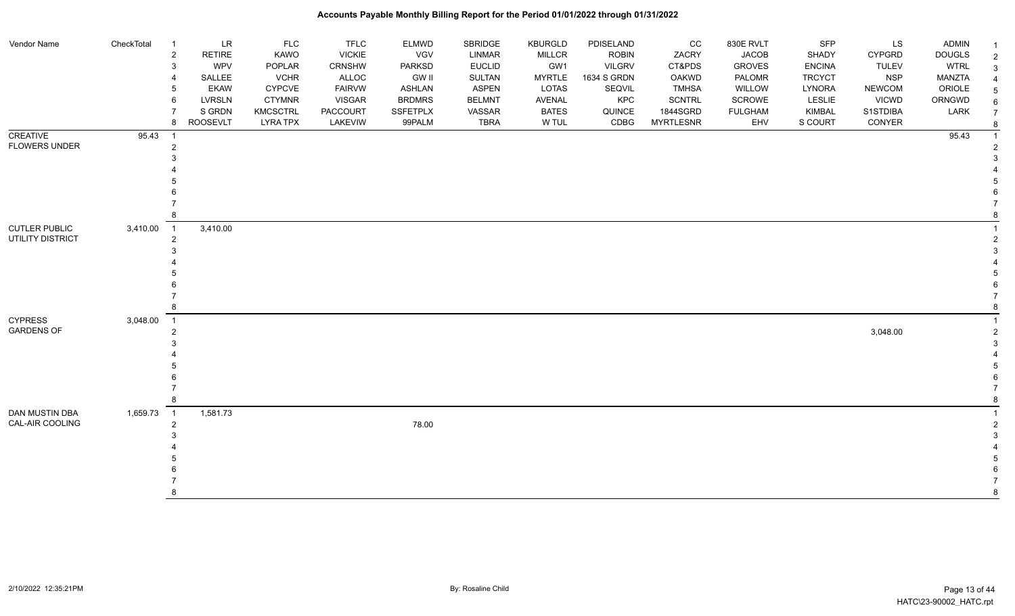#### Vendor Name CheckTotal 1 LR FLC FLC ELMWD SBRIDGE KBURGLD PDISELAND CC 830E RVLT SFP LS ADMIN <sub>1</sub> 2 RETIRE KAWO VICKIE VGV LINMAR MILLCR ROBIN ZACRY JACOB SHADY CYPGRD DOUGLS 2 3 WPV POPLAR CRNSHW PARKSD EUCLID GW1 VILGRV CT&PDS GROVES ENCINA TULEV WTRL 3 4 SALLEE VCHR ALLOC GW II SULTAN MYRTLE 1634 S GRDN OAKWD PALOMR TRCYCT NSP MANZTA 4 5 EKAW CYPCVE FAIRVW ASHLAN ASPEN LOTAS SEQVIL TMHSA WILLOW LYNORA NEWCOM ORIOLE 5 6 LVRSLN CTYMNR VISGAR BRDMRS BELMNT AVENAL KPC SCNTRL SCROWE LESLIE VICWD ORNGWD  $_{6}$ 7 SIGRDN KMCSCTRL PACCOURT SSFETPLX VASSAR BATES QUINCE 1844SGRD FULGHAM KIMBAL S1STDIBA LARK 7 8 ROOSEVLT LYRA TPX LAKEVIW 99PALM TBRA W TUL CDBG MYRTLESNR EHV S COURT CONYER <sub>8</sub> **CREATIVE** FLOWERS UNDER 95.43 1 95.43 1 2 2  $3<sup>3</sup>$  4 4 5 5  $6$  7 7 8 8 CUTLER PUBLIC UTILITY DISTRICT 3,410.00 1 3,410.00 1 2 2  $3<sup>3</sup>$  4 4 5 5  $6$  7 7 8 8 CYPRESS GARDENS OF 3,048.00 1 1 2 3,048.00 2  $3<sup>3</sup>$  4 4 5 5  $6$  7 7 8 8 DAN MUSTIN DBA CAL-AIR COOLING 1,659.73 1 1,581.73 1 2 мая также там топах в том топах в топах в топах в топах в топах в топах в топах в топах в топах в топах в го<br>2 мая топах в топах в топах в топах в топах в топах в топах в топах в топах в топах в топах в топах в топах в  $3<sup>3</sup>$  4 4 5 5  $6$  7 7 8 8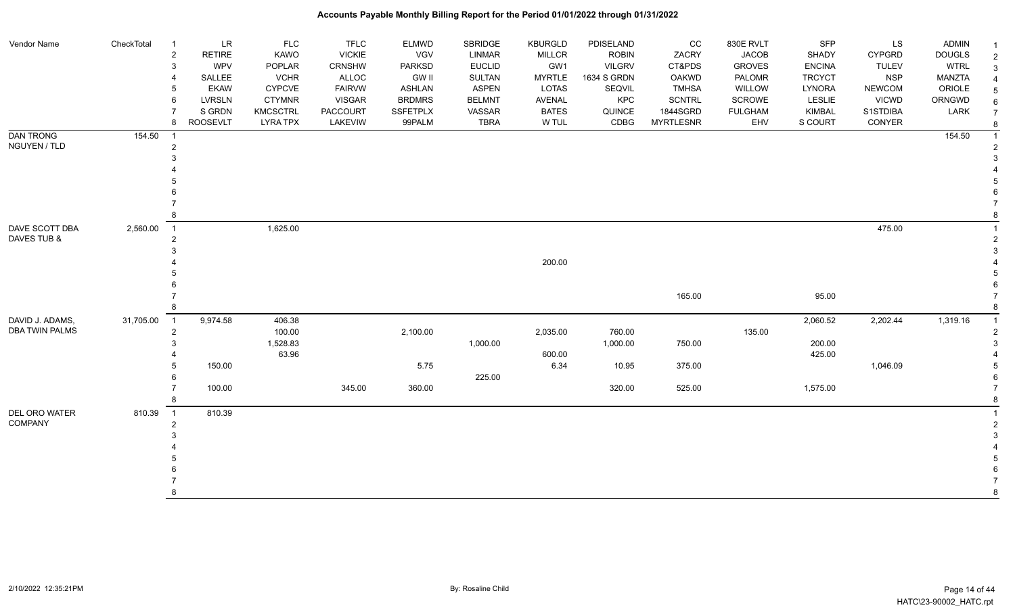| Vendor Name                               | CheckTotal  | $\overline{1}$ | <b>LR</b>       | <b>FLC</b>      | <b>TFLC</b>     | <b>ELMWD</b>    | SBRIDGE       | <b>KBURGLD</b> | PDISELAND     | cc               | 830E RVLT      | <b>SFP</b>    | LS            | <b>ADMIN</b>  | $\overline{1}$ |
|-------------------------------------------|-------------|----------------|-----------------|-----------------|-----------------|-----------------|---------------|----------------|---------------|------------------|----------------|---------------|---------------|---------------|----------------|
|                                           |             | $\sqrt{2}$     | <b>RETIRE</b>   | <b>KAWO</b>     | <b>VICKIE</b>   | <b>VGV</b>      | <b>LINMAR</b> | <b>MILLCR</b>  | <b>ROBIN</b>  | ZACRY            | <b>JACOB</b>   | SHADY         | <b>CYPGRD</b> | <b>DOUGLS</b> | $\overline{2}$ |
|                                           |             | 3              | <b>WPV</b>      | POPLAR          | CRNSHW          | PARKSD          | <b>EUCLID</b> | GW1            | <b>VILGRV</b> | CT&PDS           | <b>GROVES</b>  | <b>ENCINA</b> | <b>TULEV</b>  | <b>WTRL</b>   | 3              |
|                                           |             |                | SALLEE          | <b>VCHR</b>     | <b>ALLOC</b>    | <b>GW II</b>    | <b>SULTAN</b> | <b>MYRTLE</b>  | 1634 S GRDN   | <b>OAKWD</b>     | PALOMR         | <b>TRCYCT</b> | <b>NSP</b>    | <b>MANZTA</b> |                |
|                                           |             | 5              | <b>EKAW</b>     | <b>CYPCVE</b>   | <b>FAIRVW</b>   | <b>ASHLAN</b>   | <b>ASPEN</b>  | <b>LOTAS</b>   | SEQVIL        | <b>TMHSA</b>     | WILLOW         | LYNORA        | <b>NEWCOM</b> | ORIOLE        | 5              |
|                                           |             | 6              | <b>LVRSLN</b>   | <b>CTYMNR</b>   | <b>VISGAR</b>   | <b>BRDMRS</b>   | <b>BELMNT</b> | <b>AVENAL</b>  | KPC           | <b>SCNTRL</b>    | SCROWE         | LESLIE        | <b>VICWD</b>  | ORNGWD        | 6              |
|                                           |             |                | S GRDN          | <b>KMCSCTRL</b> | <b>PACCOURT</b> | <b>SSFETPLX</b> | VASSAR        | <b>BATES</b>   | QUINCE        | 1844SGRD         | <b>FULGHAM</b> | KIMBAL        | S1STDIBA      | LARK          | $\overline{7}$ |
|                                           |             | 8              | <b>ROOSEVLT</b> | <b>LYRA TPX</b> | LAKEVIW         | 99PALM          | <b>TBRA</b>   | W TUL          | CDBG          | <b>MYRTLESNR</b> | EHV            | S COURT       | CONYER        |               | 8              |
| <b>DAN TRONG</b>                          | 154.50      |                |                 |                 |                 |                 |               |                |               |                  |                |               |               | 154.50        |                |
| NGUYEN / TLD                              |             | $\overline{2}$ |                 |                 |                 |                 |               |                |               |                  |                |               |               |               |                |
|                                           |             | 3              |                 |                 |                 |                 |               |                |               |                  |                |               |               |               |                |
|                                           |             |                |                 |                 |                 |                 |               |                |               |                  |                |               |               |               |                |
|                                           |             |                |                 |                 |                 |                 |               |                |               |                  |                |               |               |               |                |
|                                           |             |                |                 |                 |                 |                 |               |                |               |                  |                |               |               |               |                |
|                                           |             |                |                 |                 |                 |                 |               |                |               |                  |                |               |               |               |                |
| DAVE SCOTT DBA<br>2,560.00<br>DAVES TUB & |             |                |                 |                 |                 |                 |               |                |               |                  |                |               |               |               |                |
|                                           |             | $\overline{1}$ |                 | 1,625.00        |                 |                 |               |                |               |                  |                |               | 475.00        |               |                |
|                                           |             | $\overline{2}$ |                 |                 |                 |                 |               |                |               |                  |                |               |               |               |                |
|                                           |             |                |                 |                 |                 |                 |               |                |               |                  |                |               |               |               |                |
|                                           |             |                |                 |                 |                 |                 |               | 200.00         |               |                  |                |               |               |               |                |
|                                           |             |                |                 |                 |                 |                 |               |                |               |                  |                |               |               |               |                |
|                                           |             |                |                 |                 |                 |                 |               |                |               |                  |                |               |               |               |                |
|                                           |             |                |                 |                 |                 |                 |               |                |               | 165.00           |                | 95.00         |               |               |                |
|                                           |             | 8              |                 |                 |                 |                 |               |                |               |                  |                |               |               |               | 8              |
| DAVID J. ADAMS,                           | 31,705.00 1 |                | 9,974.58        | 406.38          |                 |                 |               |                |               |                  |                | 2,060.52      | 2,202.44      | 1,319.16      |                |
| <b>DBA TWIN PALMS</b>                     |             | $\overline{2}$ |                 | 100.00          |                 | 2,100.00        |               | 2,035.00       | 760.00        |                  | 135.00         |               |               |               |                |
|                                           |             | 3              |                 | 1,528.83        |                 |                 | 1,000.00      |                | 1,000.00      | 750.00           |                | 200.00        |               |               |                |
|                                           |             |                |                 | 63.96           |                 |                 |               | 600.00         |               |                  |                | 425.00        |               |               |                |
|                                           |             |                | 150.00          |                 |                 | 5.75            |               | 6.34           | 10.95         | 375.00           |                |               | 1,046.09      |               |                |
|                                           |             |                |                 |                 |                 |                 | 225.00        |                |               |                  |                |               |               |               |                |
|                                           |             |                | 100.00          |                 | 345.00          | 360.00          |               |                | 320.00        | 525.00           |                | 1,575.00      |               |               |                |
|                                           |             | 8              |                 |                 |                 |                 |               |                |               |                  |                |               |               |               |                |
| DEL ORO WATER                             | 810.39      | $\overline{1}$ | 810.39          |                 |                 |                 |               |                |               |                  |                |               |               |               |                |
| <b>COMPANY</b>                            |             | $\overline{2}$ |                 |                 |                 |                 |               |                |               |                  |                |               |               |               |                |
|                                           |             |                |                 |                 |                 |                 |               |                |               |                  |                |               |               |               |                |
|                                           |             |                |                 |                 |                 |                 |               |                |               |                  |                |               |               |               |                |
|                                           |             |                |                 |                 |                 |                 |               |                |               |                  |                |               |               |               |                |
|                                           |             |                |                 |                 |                 |                 |               |                |               |                  |                |               |               |               |                |
|                                           |             |                |                 |                 |                 |                 |               |                |               |                  |                |               |               |               |                |
|                                           |             | 8              |                 |                 |                 |                 |               |                |               |                  |                |               |               |               | 8              |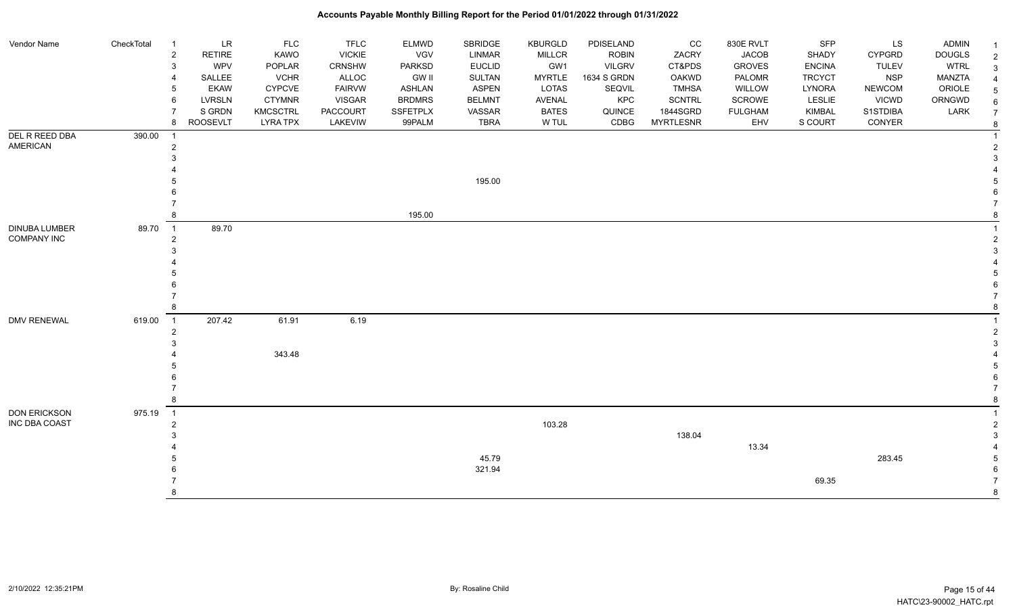#### Vendor Name CheckTotal 1 LR FLC FLC ELMWD SBRIDGE KBURGLD PDISELAND CC 830E RVLT SFP LS ADMIN <sub>1</sub> 2 RETIRE KAWO VICKIE VGV LINMAR MILLCR ROBIN ZACRY JACOB SHADY CYPGRD DOUGLS 2 3 WPV POPLAR CRNSHW PARKSD EUCLID GW1 VILGRV CT&PDS GROVES ENCINA TULEV WTRL 3 4 SALLEE VCHR ALLOC GW II SULTAN MYRTLE 1634 S GRDN OAKWD PALOMR TRCYCT NSP MANZTA 4 5 EKAW CYPCVE FAIRVW ASHLAN ASPEN LOTAS SEQVIL TMHSA WILLOW LYNORA NEWCOM ORIOLE 5 6 LVRSLN CTYMNR VISGAR BRDMRS BELMNT AVENAL KPC SCNTRL SCROWE LESLIE VICWD ORNGWD  $_{6}$ 7 SIGRDN KMCSCTRL PACCOURT SSFETPLX VASSAR BATES QUINCE 1844SGRD FULGHAM KIMBAL S1STDIBA LARK 7 8 ROOSEVLT LYRA TPX LAKEVIW 99PALM TBRA W TUL CDBG MYRTLESNR EHV S COURT CONYER <sub>8</sub> DEL R REED DBA AMERICAN 390.00 1 1 2 2  $3<sup>3</sup>$  4 4 5 195.00 5  $6$  7 7 8 195.00 8 DINUBA LUMBER COMPANY INC 89.70 1 89.70 1 2 2  $3<sup>3</sup>$  4 4 5 5  $6$  7 7 8 8 DMV RENEWAL 619.00 1 207.42 61.91 6.19 1 2 2  $3<sup>3</sup>$ 4 343.48 343.48 5 5  $6$  7 7 8 8 DON ERICKSON INC DBA COAST 975.19 1 1 2 103.28 2  $3 \times 138.04$  3 4 13.34 4 5 45.79 283.45 5 6 321.94 6 7 69.35 7 8 8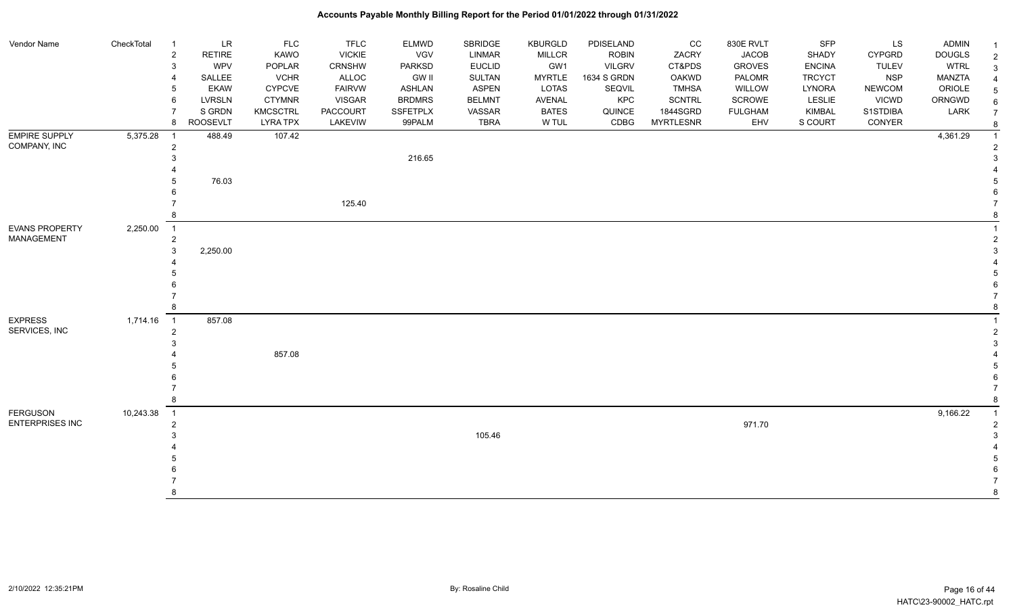| Vendor Name                               | CheckTotal | $\overline{1}$                               | <b>LR</b>     | <b>FLC</b>      | <b>TFLC</b>     | ELMWD           | SBRIDGE       | <b>KBURGLD</b> | PDISELAND     | cc               | 830E RVLT      | <b>SFP</b>    | LS            | ADMIN         | -1             |
|-------------------------------------------|------------|----------------------------------------------|---------------|-----------------|-----------------|-----------------|---------------|----------------|---------------|------------------|----------------|---------------|---------------|---------------|----------------|
|                                           |            | $\overline{c}$                               | <b>RETIRE</b> | KAWO            | <b>VICKIE</b>   | <b>VGV</b>      | <b>LINMAR</b> | <b>MILLCR</b>  | <b>ROBIN</b>  | ZACRY            | <b>JACOB</b>   | SHADY         | CYPGRD        | <b>DOUGLS</b> | $\overline{2}$ |
|                                           |            | 3                                            | <b>WPV</b>    | POPLAR          | CRNSHW          | <b>PARKSD</b>   | <b>EUCLID</b> | GW1            | <b>VILGRV</b> | CT&PDS           | <b>GROVES</b>  | <b>ENCINA</b> | <b>TULEV</b>  | <b>WTRL</b>   | 3              |
|                                           |            |                                              | SALLEE        | <b>VCHR</b>     | <b>ALLOC</b>    | <b>GW II</b>    | SULTAN        | <b>MYRTLE</b>  | 1634 S GRDN   | <b>OAKWD</b>     | <b>PALOMR</b>  | <b>TRCYCT</b> | <b>NSP</b>    | MANZTA        |                |
|                                           |            | 5                                            | <b>EKAW</b>   | <b>CYPCVE</b>   | <b>FAIRVW</b>   | <b>ASHLAN</b>   | <b>ASPEN</b>  | LOTAS          | SEQVIL        | <b>TMHSA</b>     | WILLOW         | LYNORA        | <b>NEWCOM</b> | ORIOLE        | 5              |
|                                           |            | 6                                            | LVRSLN        | <b>CTYMNR</b>   | <b>VISGAR</b>   | <b>BRDMRS</b>   | <b>BELMNT</b> | AVENAL         | KPC           | <b>SCNTRL</b>    | SCROWE         | LESLIE        | <b>VICWD</b>  | ORNGWD        |                |
|                                           |            |                                              | S GRDN        | <b>KMCSCTRL</b> | <b>PACCOURT</b> | <b>SSFETPLX</b> | VASSAR        | <b>BATES</b>   | QUINCE        | 1844SGRD         | <b>FULGHAM</b> | KIMBAL        | S1STDIBA      | LARK          |                |
|                                           |            | 8                                            | ROOSEVLT      | <b>LYRA TPX</b> | LAKEVIW         | 99PALM          | <b>TBRA</b>   | W TUL          | CDBG          | <b>MYRTLESNR</b> | EHV            | S COURT       | CONYER        |               |                |
| <b>EMPIRE SUPPLY</b>                      | 5,375.28   | $\overline{1}$                               | 488.49        | 107.42          |                 |                 |               |                |               |                  |                |               |               | 4,361.29      |                |
| COMPANY, INC                              |            | $\overline{c}$                               |               |                 |                 |                 |               |                |               |                  |                |               |               |               |                |
|                                           |            |                                              |               |                 |                 | 216.65          |               |                |               |                  |                |               |               |               |                |
|                                           |            |                                              |               |                 |                 |                 |               |                |               |                  |                |               |               |               |                |
|                                           |            |                                              | 76.03         |                 |                 |                 |               |                |               |                  |                |               |               |               |                |
|                                           |            |                                              |               |                 |                 |                 |               |                |               |                  |                |               |               |               |                |
|                                           |            |                                              |               |                 | 125.40          |                 |               |                |               |                  |                |               |               |               |                |
|                                           |            |                                              |               |                 |                 |                 |               |                |               |                  |                |               |               |               |                |
| <b>EVANS PROPERTY</b>                     | 2,250.00   | $\overline{1}$                               |               |                 |                 |                 |               |                |               |                  |                |               |               |               |                |
| <b>MANAGEMENT</b>                         |            | $\overline{2}$                               |               |                 |                 |                 |               |                |               |                  |                |               |               |               |                |
|                                           |            | 3                                            | 2,250.00      |                 |                 |                 |               |                |               |                  |                |               |               |               |                |
|                                           |            |                                              |               |                 |                 |                 |               |                |               |                  |                |               |               |               |                |
|                                           |            |                                              |               |                 |                 |                 |               |                |               |                  |                |               |               |               |                |
|                                           |            |                                              |               |                 |                 |                 |               |                |               |                  |                |               |               |               |                |
|                                           |            |                                              |               |                 |                 |                 |               |                |               |                  |                |               |               |               |                |
|                                           |            |                                              |               |                 |                 |                 |               |                |               |                  |                |               |               |               |                |
| <b>EXPRESS</b><br>SERVICES, INC           | 1,714.16   | $\overline{1}$                               | 857.08        |                 |                 |                 |               |                |               |                  |                |               |               |               |                |
|                                           |            | $\overline{2}$                               |               |                 |                 |                 |               |                |               |                  |                |               |               |               | 2              |
|                                           |            |                                              |               | 857.08          |                 |                 |               |                |               |                  |                |               |               |               |                |
|                                           |            |                                              |               |                 |                 |                 |               |                |               |                  |                |               |               |               |                |
|                                           |            |                                              |               |                 |                 |                 |               |                |               |                  |                |               |               |               |                |
|                                           |            |                                              |               |                 |                 |                 |               |                |               |                  |                |               |               |               |                |
|                                           |            |                                              |               |                 |                 |                 |               |                |               |                  |                |               |               |               | 8              |
|                                           | 10,243.38  |                                              |               |                 |                 |                 |               |                |               |                  |                |               |               |               |                |
| <b>FERGUSON</b><br><b>ENTERPRISES INC</b> |            | $\overline{\phantom{0}}$ 1<br>$\overline{2}$ |               |                 |                 |                 |               |                |               |                  | 971.70         |               |               | 9,166.22      | $\overline{2}$ |
|                                           |            |                                              |               |                 |                 |                 | 105.46        |                |               |                  |                |               |               |               |                |
|                                           |            |                                              |               |                 |                 |                 |               |                |               |                  |                |               |               |               |                |
|                                           |            |                                              |               |                 |                 |                 |               |                |               |                  |                |               |               |               |                |
|                                           |            |                                              |               |                 |                 |                 |               |                |               |                  |                |               |               |               |                |
|                                           |            |                                              |               |                 |                 |                 |               |                |               |                  |                |               |               |               |                |
|                                           |            |                                              |               |                 |                 |                 |               |                |               |                  |                |               |               |               |                |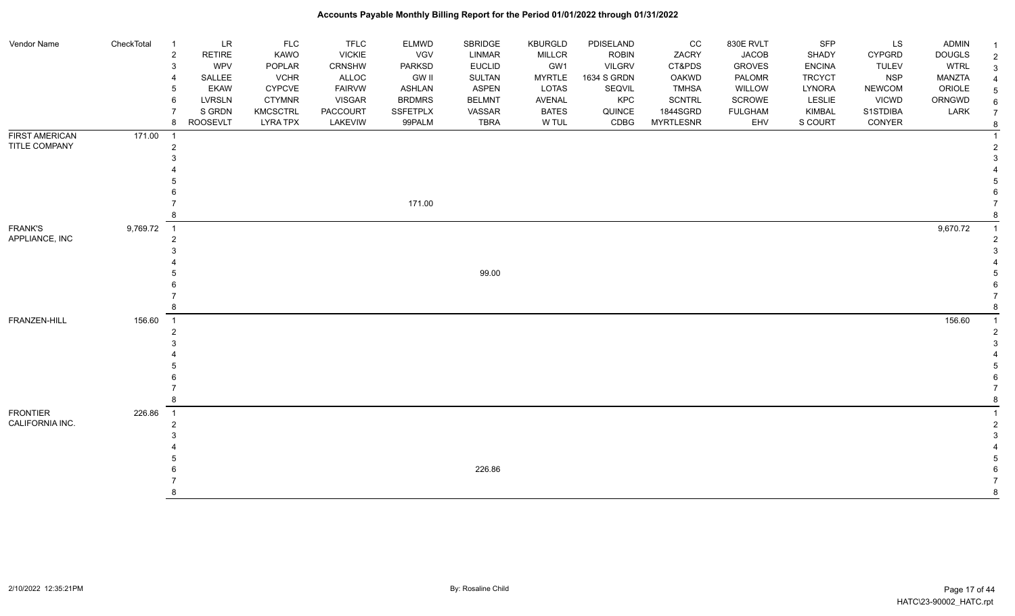| Vendor Name                            | CheckTotal | $\overline{1}$                               | <b>LR</b>               | <b>FLC</b>                         | TFLC                           | <b>ELMWD</b>                   | SBRIDGE                       | KBURGLD               | PDISELAND      | CC                           | 830E RVLT             | <b>SFP</b>        | LS                       | ADMIN         |                |
|----------------------------------------|------------|----------------------------------------------|-------------------------|------------------------------------|--------------------------------|--------------------------------|-------------------------------|-----------------------|----------------|------------------------------|-----------------------|-------------------|--------------------------|---------------|----------------|
|                                        |            | $\overline{2}$                               | RETIRE                  | KAWO                               | <b>VICKIE</b>                  | VGV                            | <b>LINMAR</b>                 | <b>MILLCR</b>         | <b>ROBIN</b>   | ZACRY                        | <b>JACOB</b>          | SHADY             | CYPGRD                   | <b>DOUGLS</b> | $\overline{2}$ |
|                                        |            | 3                                            | <b>WPV</b>              | POPLAR                             | CRNSHW                         | PARKSD                         | <b>EUCLID</b>                 | GW1                   | <b>VILGRV</b>  | CT&PDS                       | <b>GROVES</b>         | <b>ENCINA</b>     | <b>TULEV</b>             | <b>WTRL</b>   | 3              |
|                                        |            |                                              | SALLEE                  | <b>VCHR</b>                        | <b>ALLOC</b>                   | <b>GW II</b>                   | SULTAN                        | <b>MYRTLE</b>         | 1634 S GRDN    | OAKWD                        | PALOMR                | <b>TRCYCT</b>     | <b>NSP</b>               | <b>MANZTA</b> |                |
|                                        |            | 6                                            | <b>EKAW</b>             | <b>CYPCVE</b>                      | <b>FAIRVW</b><br><b>VISGAR</b> | <b>ASHLAN</b><br><b>BRDMRS</b> | <b>ASPEN</b><br><b>BELMNT</b> | LOTAS                 | SEQVIL         | <b>TMHSA</b>                 | WILLOW<br>SCROWE      | LYNORA            | <b>NEWCOM</b>            | ORIOLE        | 5              |
|                                        |            |                                              | <b>LVRSLN</b><br>S GRDN | <b>CTYMNR</b>                      |                                | <b>SSFETPLX</b>                |                               | AVENAL                | KPC            | <b>SCNTRL</b>                |                       | LESLIE            | <b>VICWD</b><br>S1STDIBA | ORNGWD        | 6              |
|                                        |            | 8                                            | <b>ROOSEVLT</b>         | <b>KMCSCTRL</b><br><b>LYRA TPX</b> | <b>PACCOURT</b><br>LAKEVIW     | 99PALM                         | VASSAR<br><b>TBRA</b>         | <b>BATES</b><br>W TUL | QUINCE<br>CDBG | 1844SGRD<br><b>MYRTLESNR</b> | <b>FULGHAM</b><br>EHV | KIMBAL<br>S COURT | CONYER                   | LARK          | $\overline{7}$ |
|                                        |            |                                              |                         |                                    |                                |                                |                               |                       |                |                              |                       |                   |                          |               | -8             |
| <b>FIRST AMERICAN</b><br>TITLE COMPANY | 171.00     | $\overline{\phantom{0}}$ 1<br>$\overline{2}$ |                         |                                    |                                |                                |                               |                       |                |                              |                       |                   |                          |               |                |
|                                        |            |                                              |                         |                                    |                                |                                |                               |                       |                |                              |                       |                   |                          |               |                |
|                                        |            |                                              |                         |                                    |                                |                                |                               |                       |                |                              |                       |                   |                          |               |                |
|                                        |            |                                              |                         |                                    |                                |                                |                               |                       |                |                              |                       |                   |                          |               |                |
|                                        |            |                                              |                         |                                    |                                |                                |                               |                       |                |                              |                       |                   |                          |               |                |
|                                        |            |                                              |                         |                                    |                                | 171.00                         |                               |                       |                |                              |                       |                   |                          |               |                |
|                                        |            |                                              |                         |                                    |                                |                                |                               |                       |                |                              |                       |                   |                          |               |                |
| <b>FRANK'S</b>                         | 9,769.72   | $\overline{1}$                               |                         |                                    |                                |                                |                               |                       |                |                              |                       |                   |                          | 9,670.72      |                |
| APPLIANCE, INC                         |            | $\overline{2}$                               |                         |                                    |                                |                                |                               |                       |                |                              |                       |                   |                          |               |                |
|                                        |            |                                              |                         |                                    |                                |                                |                               |                       |                |                              |                       |                   |                          |               |                |
|                                        |            |                                              |                         |                                    |                                |                                |                               |                       |                |                              |                       |                   |                          |               |                |
|                                        |            |                                              |                         |                                    |                                |                                | 99.00                         |                       |                |                              |                       |                   |                          |               |                |
|                                        |            |                                              |                         |                                    |                                |                                |                               |                       |                |                              |                       |                   |                          |               |                |
|                                        |            |                                              |                         |                                    |                                |                                |                               |                       |                |                              |                       |                   |                          |               |                |
|                                        |            |                                              |                         |                                    |                                |                                |                               |                       |                |                              |                       |                   |                          |               |                |
| FRANZEN-HILL                           | 156.60     | $\overline{1}$                               |                         |                                    |                                |                                |                               |                       |                |                              |                       |                   |                          | 156.60        |                |
|                                        |            | 2                                            |                         |                                    |                                |                                |                               |                       |                |                              |                       |                   |                          |               |                |
|                                        |            |                                              |                         |                                    |                                |                                |                               |                       |                |                              |                       |                   |                          |               |                |
|                                        |            |                                              |                         |                                    |                                |                                |                               |                       |                |                              |                       |                   |                          |               |                |
|                                        |            |                                              |                         |                                    |                                |                                |                               |                       |                |                              |                       |                   |                          |               |                |
|                                        |            |                                              |                         |                                    |                                |                                |                               |                       |                |                              |                       |                   |                          |               |                |
|                                        |            |                                              |                         |                                    |                                |                                |                               |                       |                |                              |                       |                   |                          |               |                |
|                                        |            |                                              |                         |                                    |                                |                                |                               |                       |                |                              |                       |                   |                          |               |                |
| <b>FRONTIER</b>                        | 226.86     | $\overline{\phantom{0}}$ 1                   |                         |                                    |                                |                                |                               |                       |                |                              |                       |                   |                          |               |                |
| CALIFORNIA INC.                        |            | $\mathfrak{p}$                               |                         |                                    |                                |                                |                               |                       |                |                              |                       |                   |                          |               |                |
|                                        |            |                                              |                         |                                    |                                |                                |                               |                       |                |                              |                       |                   |                          |               |                |
|                                        |            |                                              |                         |                                    |                                |                                |                               |                       |                |                              |                       |                   |                          |               |                |
|                                        |            |                                              |                         |                                    |                                |                                |                               |                       |                |                              |                       |                   |                          |               |                |
|                                        |            |                                              |                         |                                    |                                |                                | 226.86                        |                       |                |                              |                       |                   |                          |               |                |
|                                        |            |                                              |                         |                                    |                                |                                |                               |                       |                |                              |                       |                   |                          |               |                |
|                                        |            |                                              |                         |                                    |                                |                                |                               |                       |                |                              |                       |                   |                          |               | 8              |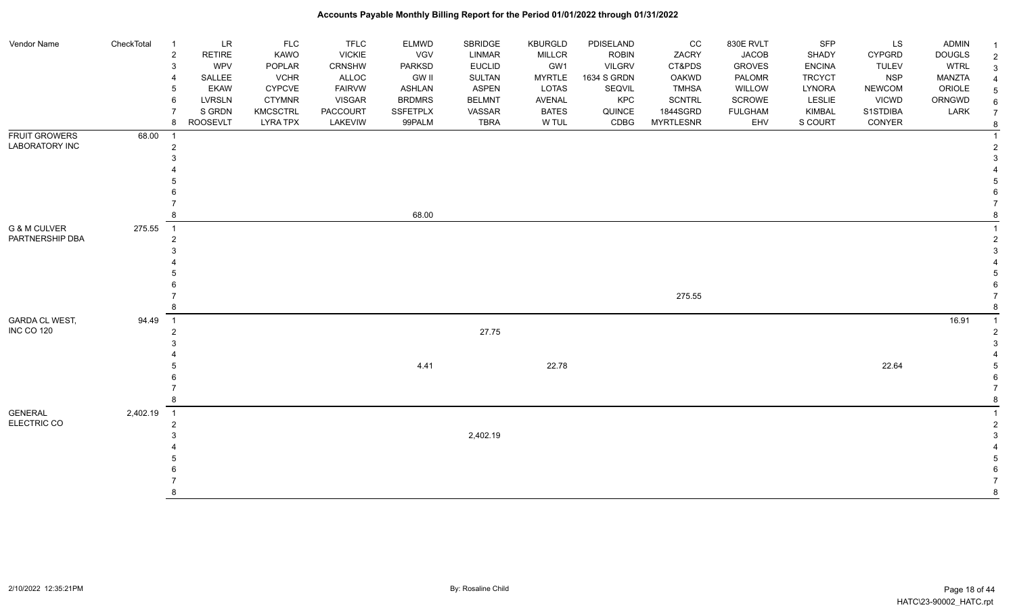#### Vendor Name CheckTotal 1 LR FLC FLC ELMWD SBRIDGE KBURGLD PDISELAND CC 830E RVLT SFP LS ADMIN <sub>1</sub> 2 RETIRE KAWO VICKIE VGV LINMAR MILLCR ROBIN ZACRY JACOB SHADY CYPGRD DOUGLS 2 3 WPV POPLAR CRNSHW PARKSD EUCLID GW1 VILGRV CT&PDS GROVES ENCINA TULEV WTRL 3 4 SALLEE VCHR ALLOC GW II SULTAN MYRTLE 1634 S GRDN OAKWD PALOMR TRCYCT NSP MANZTA 4 5 EKAW CYPCVE FAIRVW ASHLAN ASPEN LOTAS SEQVIL TMHSA WILLOW LYNORA NEWCOM ORIOLE 5 6 LVRSLN CTYMNR VISGAR BRDMRS BELMNT AVENAL KPC SCNTRL SCROWE LESLIE VICWD ORNGWD  $_{6}$ 7 SIGRDN KMCSCTRL PACCOURT SSFETPLX VASSAR BATES QUINCE 1844SGRD FULGHAM KIMBAL S1STDIBA LARK 7 8 ROOSEVLT LYRA TPX LAKEVIW 99PALM TBRA W TUL CDBG MYRTLESNR EHV S COURT CONYER <sub>8</sub> FRUIT GROWERS LABORATORY INC 68.00 1 1 2 2  $3<sup>3</sup>$  4 4 5 5  $6$  7 7 8 68.00 8 G & M CULVER PARTNERSHIP DBA 275.55 1 1 2 2  $3<sup>3</sup>$  4 4 5 5  $6$  7 275.55 7 8 8 GARDA CL WEST, INC CO 120 94.49 1 16.91 1 2 27.75 2  $3<sup>3</sup>$  4 4 5 4.41 22.78 22.64 5  $6$  7 7 8 8 GENERAL ELECTRIC CO 2,402.19 1 1 2 2  $2,402.19$  3 4 4 5 5  $6$  7 7 8 8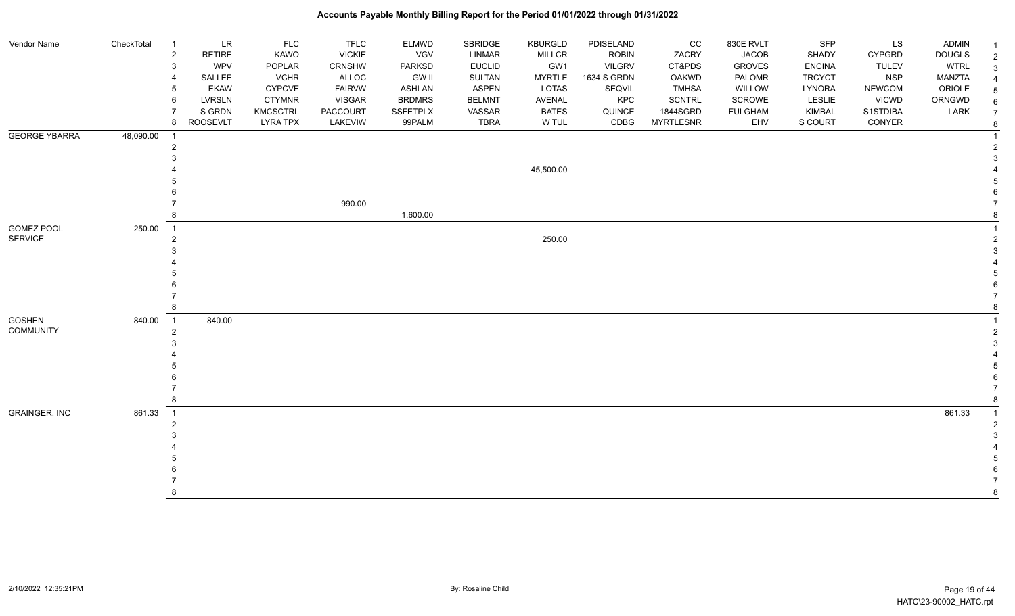#### Vendor Name CheckTotal 1 LR FLC FLC ELMWD SBRIDGE KBURGLD PDISELAND CC 830E RVLT SFP LS ADMIN <sub>1</sub> 2 RETIRE KAWO VICKIE VGV LINMAR MILLCR ROBIN ZACRY JACOB SHADY CYPGRD DOUGLS 2 3 WPV POPLAR CRNSHW PARKSD EUCLID GW1 VILGRV CT&PDS GROVES ENCINA TULEV WTRL 3 4 SALLEE VCHR ALLOC GW II SULTAN MYRTLE 1634 S GRDN OAKWD PALOMR TRCYCT NSP MANZTA 4 5 EKAW CYPCVE FAIRVW ASHLAN ASPEN LOTAS SEQVIL TMHSA WILLOW LYNORA NEWCOM ORIOLE 5 6 LVRSLN CTYMNR VISGAR BRDMRS BELMNT AVENAL KPC SCNTRL SCROWE LESLIE VICWD ORNGWD  $_{6}$ 7 SIGRDN KMCSCTRL PACCOURT SSFETPLX VASSAR BATES QUINCE 1844SGRD FULGHAM KIMBAL S1STDIBA LARK 7 8 ROOSEVLT LYRA TPX LAKEVIW 99PALM TBRA W TUL CDBG MYRTLESNR EHV S COURT CONYER <sub>8</sub> GEORGE YBARRA 48,090.00 1 1 2 2  $3<sup>3</sup>$  4 45,500.00 4 5 5  $6$  7 990.00 7 в в нашем последний последний последний последний последний последний последний последний последний последний в<br>В последний последний последний последний последний последний последний последний последний последний послед GOMEZ POOL SERVICE 250.00 1 1  $250.00$  $3<sup>3</sup>$  4 4 5 5  $6$  7 7 8 8 GOSHEN COMMUNITY 840.00 1 840.00 1 2 2  $3<sup>3</sup>$  4 4 5 5  $6$  7 7 8 8 GRAINGER, INC 861.33 1 861.33 1 2 2  $3<sup>3</sup>$  4 4 5 5  $6$  7 7 8 8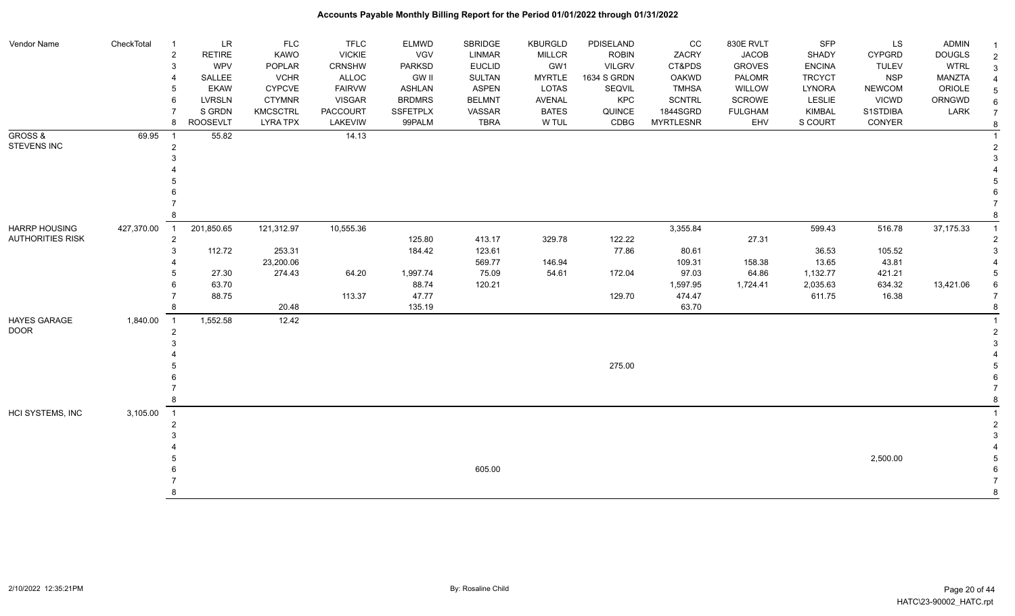| Vendor Name             | CheckTotal | $\overline{1}$       | <b>LR</b>       | <b>FLC</b>      | <b>TFLC</b>     | <b>ELMWD</b>    | <b>SBRIDGE</b> | <b>KBURGLD</b> | PDISELAND     | CC               | 830E RVLT      | <b>SFP</b>    | LS            | <b>ADMIN</b>  |   |
|-------------------------|------------|----------------------|-----------------|-----------------|-----------------|-----------------|----------------|----------------|---------------|------------------|----------------|---------------|---------------|---------------|---|
|                         |            | $\overline{2}$       | <b>RETIRE</b>   | <b>KAWO</b>     | <b>VICKIE</b>   | VGV             | <b>LINMAR</b>  | <b>MILLCR</b>  | <b>ROBIN</b>  | ZACRY            | <b>JACOB</b>   | SHADY         | <b>CYPGRD</b> | <b>DOUGLS</b> |   |
|                         |            | 3                    | WPV             | <b>POPLAR</b>   | <b>CRNSHW</b>   | <b>PARKSD</b>   | <b>EUCLID</b>  | GW1            | <b>VILGRV</b> | CT&PDS           | <b>GROVES</b>  | <b>ENCINA</b> | <b>TULEV</b>  | <b>WTRL</b>   | 3 |
|                         |            | 4                    | SALLEE          | <b>VCHR</b>     | ALLOC           | GW II           | SULTAN         | <b>MYRTLE</b>  | 1634 S GRDN   | <b>OAKWD</b>     | <b>PALOMR</b>  | <b>TRCYCT</b> | <b>NSP</b>    | <b>MANZTA</b> |   |
|                         |            | 5                    | <b>EKAW</b>     | <b>CYPCVE</b>   | <b>FAIRVW</b>   | <b>ASHLAN</b>   | <b>ASPEN</b>   | <b>LOTAS</b>   | SEQVIL        | <b>TMHSA</b>     | <b>WILLOW</b>  | <b>LYNORA</b> | <b>NEWCOM</b> | ORIOLE        |   |
|                         |            | 6                    | <b>LVRSLN</b>   | <b>CTYMNR</b>   | <b>VISGAR</b>   | <b>BRDMRS</b>   | <b>BELMNT</b>  | <b>AVENAL</b>  | KPC           | <b>SCNTRL</b>    | <b>SCROWE</b>  | LESLIE        | <b>VICWD</b>  | ORNGWD        |   |
|                         |            |                      | S GRDN          | <b>KMCSCTRL</b> | <b>PACCOURT</b> | <b>SSFETPLX</b> | VASSAR         | <b>BATES</b>   | QUINCE        | 1844SGRD         | <b>FULGHAM</b> | KIMBAL        | S1STDIBA      | LARK          |   |
|                         |            | 8                    | <b>ROOSEVLT</b> | <b>LYRA TPX</b> | LAKEVIW         | 99PALM          | <b>TBRA</b>    | W TUL          | CDBG          | <b>MYRTLESNR</b> | EHV            | S COURT       | CONYER        |               | 8 |
| GROSS &<br>STEVENS INC  | 69.95      | -1<br>$\overline{c}$ | 55.82           |                 | 14.13           |                 |                |                |               |                  |                |               |               |               |   |
|                         |            | 3                    |                 |                 |                 |                 |                |                |               |                  |                |               |               |               |   |
|                         |            |                      |                 |                 |                 |                 |                |                |               |                  |                |               |               |               |   |
|                         |            |                      |                 |                 |                 |                 |                |                |               |                  |                |               |               |               |   |
|                         |            |                      |                 |                 |                 |                 |                |                |               |                  |                |               |               |               |   |
|                         |            |                      |                 |                 |                 |                 |                |                |               |                  |                |               |               |               |   |
|                         |            |                      |                 |                 |                 |                 |                |                |               |                  |                |               |               |               |   |
| <b>HARRP HOUSING</b>    | 427,370.00 | $\overline{1}$       | 201,850.65      | 121,312.97      | 10,555.36       |                 |                |                |               | 3,355.84         |                | 599.43        | 516.78        | 37,175.33     |   |
| <b>AUTHORITIES RISK</b> |            | $\overline{2}$       |                 |                 |                 | 125.80          | 413.17         | 329.78         | 122.22        |                  | 27.31          |               |               |               |   |
|                         |            | 3                    | 112.72          | 253.31          |                 | 184.42          | 123.61         |                | 77.86         | 80.61            |                | 36.53         | 105.52        |               |   |
|                         |            |                      |                 | 23,200.06       |                 |                 | 569.77         | 146.94         |               | 109.31           | 158.38         | 13.65         | 43.81         |               |   |
|                         |            |                      | 27.30           | 274.43          | 64.20           | 1,997.74        | 75.09          | 54.61          | 172.04        | 97.03            | 64.86          | 1,132.77      | 421.21        |               |   |
|                         |            |                      | 63.70           |                 |                 | 88.74           | 120.21         |                |               | 1,597.95         | 1,724.41       | 2,035.63      | 634.32        | 13,421.06     |   |
|                         |            |                      | 88.75           |                 | 113.37          | 47.77           |                |                | 129.70        | 474.47           |                | 611.75        | 16.38         |               |   |
|                         |            | 8                    |                 | 20.48           |                 | 135.19          |                |                |               | 63.70            |                |               |               |               |   |
| HAYES GARAGE            | 1,840.00   | $\overline{1}$       | 1,552.58        | 12.42           |                 |                 |                |                |               |                  |                |               |               |               |   |
| <b>DOOR</b>             |            | $\overline{2}$       |                 |                 |                 |                 |                |                |               |                  |                |               |               |               |   |
|                         |            |                      |                 |                 |                 |                 |                |                |               |                  |                |               |               |               |   |
|                         |            |                      |                 |                 |                 |                 |                |                |               |                  |                |               |               |               |   |
|                         |            |                      |                 |                 |                 |                 |                |                | 275.00        |                  |                |               |               |               |   |
|                         |            |                      |                 |                 |                 |                 |                |                |               |                  |                |               |               |               |   |
|                         |            |                      |                 |                 |                 |                 |                |                |               |                  |                |               |               |               |   |
|                         |            | 8                    |                 |                 |                 |                 |                |                |               |                  |                |               |               |               |   |
| HCI SYSTEMS, INC        | 3,105.00   | $\overline{1}$       |                 |                 |                 |                 |                |                |               |                  |                |               |               |               |   |
|                         |            | $\overline{2}$       |                 |                 |                 |                 |                |                |               |                  |                |               |               |               |   |
|                         |            |                      |                 |                 |                 |                 |                |                |               |                  |                |               |               |               |   |
|                         |            |                      |                 |                 |                 |                 |                |                |               |                  |                |               |               |               |   |
|                         |            |                      |                 |                 |                 |                 | 605.00         |                |               |                  |                |               | 2,500.00      |               |   |
|                         |            |                      |                 |                 |                 |                 |                |                |               |                  |                |               |               |               |   |
|                         |            |                      |                 |                 |                 |                 |                |                |               |                  |                |               |               |               | R |
|                         |            |                      |                 |                 |                 |                 |                |                |               |                  |                |               |               |               |   |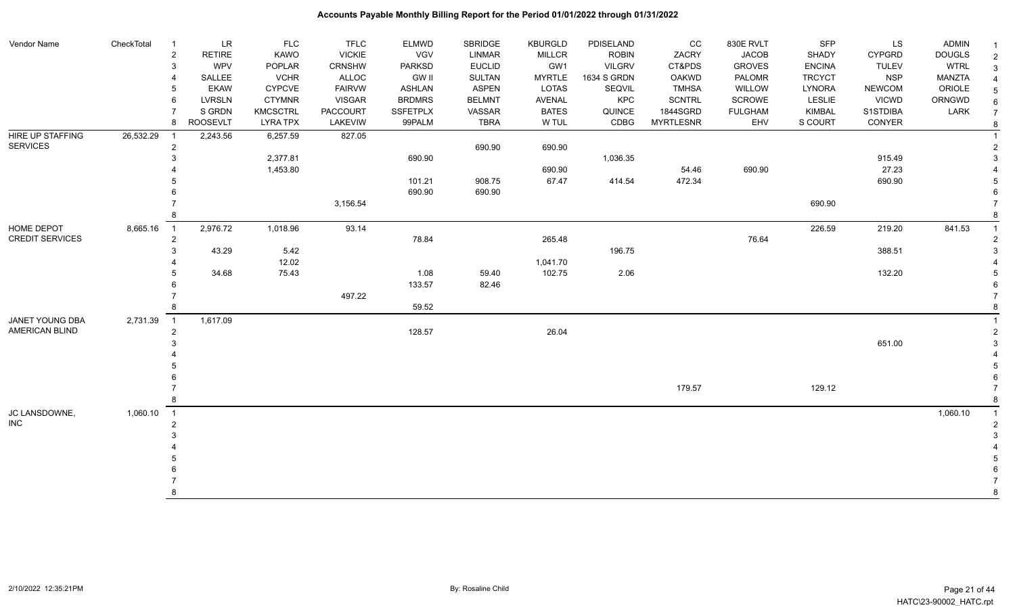#### Vendor Name CheckTotal 1 LR FLC FLC ELMWD SBRIDGE KBURGLD PDISELAND CC 830E RVLT SFP LS ADMIN <sub>1</sub> 2 RETIRE KAWO VICKIE VGV LINMAR MILLCR ROBIN ZACRY JACOB SHADY CYPGRD DOUGLS 2 3 WPV POPLAR CRNSHW PARKSD EUCLID GW1 VILGRV CT&PDS GROVES ENCINA TULEV WTRL 3 4 SALLEE VCHR ALLOC GW II SULTAN MYRTLE 1634 S GRDN OAKWD PALOMR TRCYCT NSP MANZTA 4 5 EKAW CYPCVE FAIRVW ASHLAN ASPEN LOTAS SEQVIL TMHSA WILLOW LYNORA NEWCOM ORIOLE 5 6 LVRSLN CTYMNR VISGAR BRDMRS BELMNT AVENAL KPC SCNTRL SCROWE LESLIE VICWD ORNGWD  $_{6}$ 7 SIGRDN KMCSCTRL PACCOURT SSFETPLX VASSAR BATES QUINCE 1844SGRD FULGHAM KIMBAL S1STDIBA LARK 7 8 ROOSEVLT LYRA TPX LAKEVIW 99PALM TBRA W TUL CDBG MYRTLESNR EHV S COURT CONYER <sub>8</sub> HIRE UP STAFFING SERVICES 26,532.29 1 2,243.56 6,257.59 827.05 1 2 690.90 690.90 2 3 2,377.81 690.90 1,036.35 915.49 3 4 1,453.80 690.90 54.46 690.90 27.23 4 5 101.21 908.75 67.47 414.54 472.34 690.90 5 6 690.90 690.90 6 та в селото в селото в 3,156.54 се при остава на селото в селото в 1990.90 селото в 1990.90 селото в 2,156.54 8 8 HOME DEPOT CREDIT SERVICES 8,665.16 1 2,976.72 1,018.96 93.14 226.59 219.20 841.53 1 2 година в 2005. године в 2005. године 265.48 година в 2005. године 2005. година в 2005. године 2006. година д  $3$  43.29 5.42 5.42 388.51 3 4 12.02 12.02 12.02 12.02 1,041.70 1,041.70 1,041.70 1,041.70 1,041.70 1,041.70 1,041.70 1,041.70 1,041.70 1,041.70 1,041.70 1,041.70 1,041.70 1,041.70 1,041.70 1,041.70 1,041.70 1,041.70 1,041.70 1,041.70 1,041.70 1,041.7 5 34.68 75.43 1.08 59.40 102.75 2.06 132.20 5 6 133.57 82.46 6 7 497.22 7 8 59.52 59.52 and the state of the state of the state of the state of the state of the state of the state of the state of the state of the state of the state of the state of the state of the state of the state of the state JANET YOUNG DBA AMERICAN BLIND 2,731.39 1 1,617.09 1 2  $128.57$   $26.04$  $3$  651.00  $3$  4 4 5 5  $6$  7 179.57 129.12 7 8 8 JC LANSDOWNE, INC 1,060.10 1 1,060.10 1 2 2  $3<sup>3</sup>$  4 4 5 5  $6$  7 7 8 8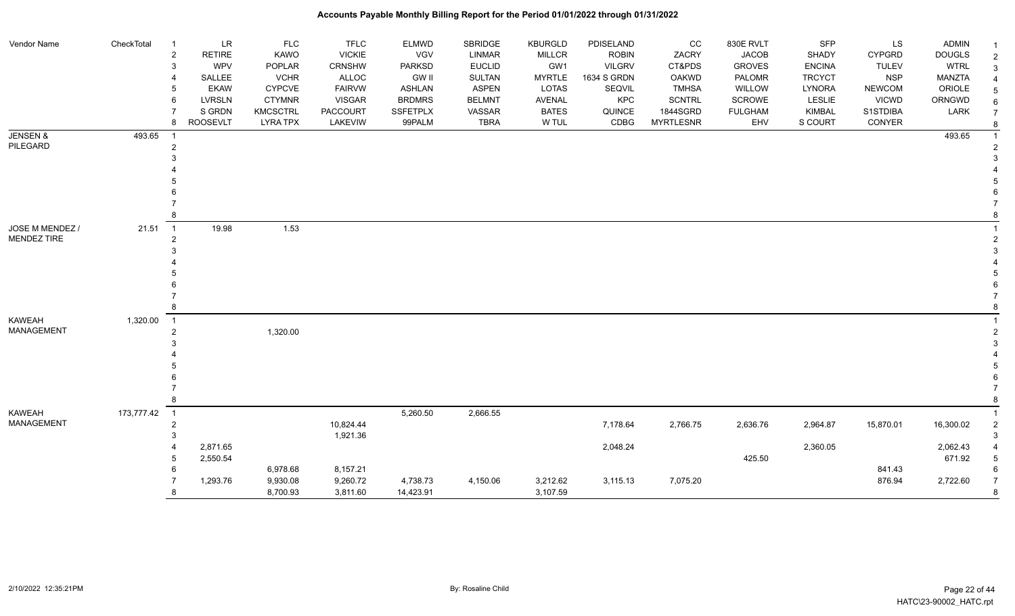#### Vendor Name CheckTotal 1 LR FLC FLC ELMWD SBRIDGE KBURGLD PDISELAND CC 830E RVLT SFP LS ADMIN <sub>1</sub> 2 RETIRE KAWO VICKIE VGV LINMAR MILLCR ROBIN ZACRY JACOB SHADY CYPGRD DOUGLS 2 3 WPV POPLAR CRNSHW PARKSD EUCLID GW1 VILGRV CT&PDS GROVES ENCINA TULEV WTRL 3 4 SALLEE VCHR ALLOC GW II SULTAN MYRTLE 1634 S GRDN OAKWD PALOMR TRCYCT NSP MANZTA 4 5 EKAW CYPCVE FAIRVW ASHLAN ASPEN LOTAS SEQVIL TMHSA WILLOW LYNORA NEWCOM ORIOLE 5 6 LVRSLN CTYMNR VISGAR BRDMRS BELMNT AVENAL KPC SCNTRL SCROWE LESLIE VICWD ORNGWD  $_{6}$ 7 SIGRDN KMCSCTRL PACCOURT SSFETPLX VASSAR BATES QUINCE 1844SGRD FULGHAM KIMBAL S1STDIBA LARK 7 8 ROOSEVLT LYRA TPX LAKEVIW 99PALM TBRA W TUL CDBG MYRTLESNR EHV S COURT CONYER <sub>8</sub> JENSEN & PILEGARD 493.65 1 493.65 1 2 2  $3<sup>3</sup>$  4 4 5 5  $6$  7 7 8 8 JOSE M MENDEZ / MENDEZ TIRE  $21.51$  1 19.98 1.53 1 2 2  $3<sup>3</sup>$  4 4 5 5  $6$  7 7 8 8 KAWEAH MANAGEMENT 1,320.00 1 1 е в последници производительно последници при последници по последници при последници при последници при последн<br>2012 году в последници при последници при последници при последници при последници при последници при послед  $3<sup>3</sup>$  4 4 5 5  $6$  7 7 8 8 KAWEAH MANAGEMENT 173,777.42 1 5,260.50 2,666.55 1 2 10,824.44 7,178.64 2,766.75 2,636.76 2,964.87 15,870.01 16,300.02 2  $1,921.36$   $3$  4 2,871.65 2,048.24 2,360.05 2,062.43 4 5 2,550.54 425.50 671.92 5  $6.978.68$   $8.157.21$  6.978.68 8.157.21 7 1,293.76 9,930.08 9,260.72 4,738.73 4,150.06 3,212.62 3,115.13 7,075.20 876.94 2,722.60 7 8 8 8,700.93 3,811.60 14,423.91 3,107.59 3,107.59 3,107.59 3,107.59 3,107.59 3,107.59 3,107.59 3,107.59 3 3,107.59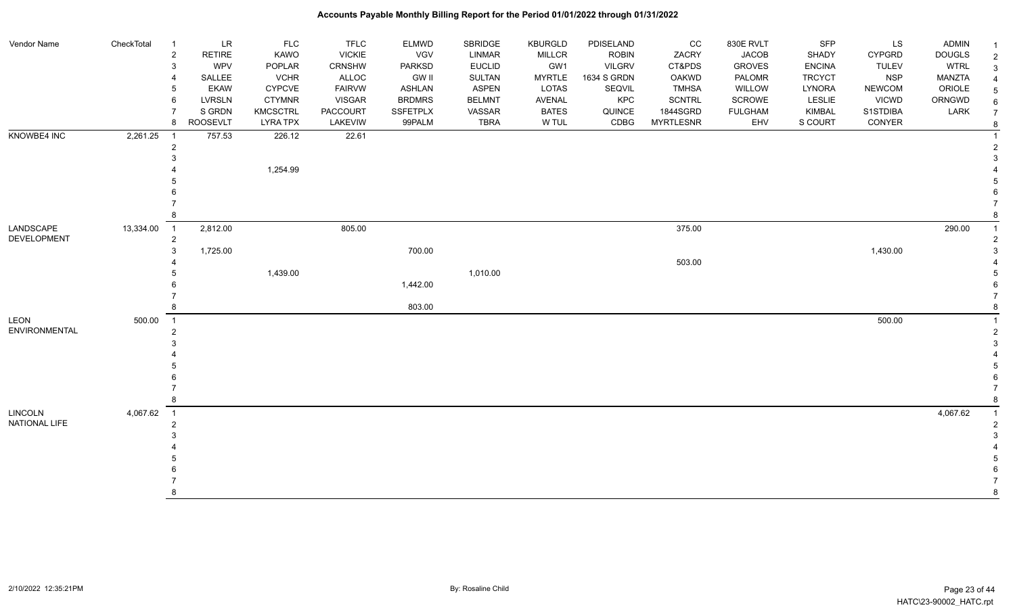| Vendor Name                     | CheckTotal | $\overline{1}$                   | <b>LR</b>       | <b>FLC</b>      | <b>TFLC</b>     | <b>ELMWD</b>  | SBRIDGE       | <b>KBURGLD</b> | PDISELAND     | CC               | 830E RVLT      | SFP           | LS            | <b>ADMIN</b>  | -1                      |
|---------------------------------|------------|----------------------------------|-----------------|-----------------|-----------------|---------------|---------------|----------------|---------------|------------------|----------------|---------------|---------------|---------------|-------------------------|
|                                 |            | $\overline{c}$                   | <b>RETIRE</b>   | KAWO            | <b>VICKIE</b>   | VGV           | LINMAR        | <b>MILLCR</b>  | <b>ROBIN</b>  | ZACRY            | <b>JACOB</b>   | SHADY         | <b>CYPGRD</b> | <b>DOUGLS</b> | $\overline{2}$          |
|                                 |            | 3                                | <b>WPV</b>      | POPLAR          | <b>CRNSHW</b>   | <b>PARKSD</b> | <b>EUCLID</b> | GW1            | <b>VILGRV</b> | CT&PDS           | <b>GROVES</b>  | <b>ENCINA</b> | <b>TULEV</b>  | <b>WTRL</b>   | 3                       |
|                                 |            | 4                                | SALLEE          | <b>VCHR</b>     | ALLOC           | <b>GW II</b>  | SULTAN        | <b>MYRTLE</b>  | 1634 S GRDN   | <b>OAKWD</b>     | PALOMR         | <b>TRCYCT</b> | <b>NSP</b>    | <b>MANZTA</b> | $\overline{4}$          |
|                                 |            | 5                                | <b>EKAW</b>     | <b>CYPCVE</b>   | <b>FAIRVW</b>   | <b>ASHLAN</b> | <b>ASPEN</b>  | LOTAS          | SEQVIL        | <b>TMHSA</b>     | WILLOW         | LYNORA        | <b>NEWCOM</b> | ORIOLE        | 5                       |
|                                 |            | 6                                | <b>LVRSLN</b>   | <b>CTYMNR</b>   | <b>VISGAR</b>   | <b>BRDMRS</b> | <b>BELMNT</b> | <b>AVENAL</b>  | KPC           | <b>SCNTRL</b>    | <b>SCROWE</b>  | LESLIE        | <b>VICWD</b>  | ORNGWD        |                         |
|                                 |            | $\overline{7}$                   | S GRDN          | <b>KMCSCTRL</b> | <b>PACCOURT</b> | SSFETPLX      | VASSAR        | <b>BATES</b>   | QUINCE        | 1844SGRD         | <b>FULGHAM</b> | <b>KIMBAL</b> | S1STDIBA      | LARK          |                         |
|                                 |            | 8                                | <b>ROOSEVLT</b> | <b>LYRA TPX</b> | LAKEVIW         | 99PALM        | <b>TBRA</b>   | W TUL          | CDBG          | <b>MYRTLESNR</b> | EHV            | S COURT       | CONYER        |               | 8                       |
| KNOWBE4 INC                     | 2,261.25   | $\overline{1}$                   | 757.53          | 226.12          | 22.61           |               |               |                |               |                  |                |               |               |               |                         |
|                                 |            | $\overline{2}$                   |                 |                 |                 |               |               |                |               |                  |                |               |               |               | $\overline{2}$          |
|                                 |            |                                  |                 |                 |                 |               |               |                |               |                  |                |               |               |               | 3                       |
|                                 |            |                                  |                 | 1,254.99        |                 |               |               |                |               |                  |                |               |               |               |                         |
|                                 |            |                                  |                 |                 |                 |               |               |                |               |                  |                |               |               |               |                         |
|                                 |            |                                  |                 |                 |                 |               |               |                |               |                  |                |               |               |               |                         |
|                                 |            |                                  |                 |                 |                 |               |               |                |               |                  |                |               |               |               |                         |
|                                 |            |                                  |                 |                 |                 |               |               |                |               |                  |                |               |               |               |                         |
| LANDSCAPE<br><b>DEVELOPMENT</b> | 13,334.00  | $\overline{1}$<br>$\overline{2}$ | 2,812.00        |                 | 805.00          |               |               |                |               | 375.00           |                |               |               | 290.00        | -1<br>2                 |
|                                 |            | 3                                | 1,725.00        |                 |                 | 700.00        |               |                |               |                  |                |               | 1,430.00      |               |                         |
|                                 |            |                                  |                 |                 |                 |               |               |                |               | 503.00           |                |               |               |               |                         |
|                                 |            |                                  |                 | 1,439.00        |                 |               | 1,010.00      |                |               |                  |                |               |               |               |                         |
|                                 |            |                                  |                 |                 |                 | 1,442.00      |               |                |               |                  |                |               |               |               |                         |
|                                 |            |                                  |                 |                 |                 |               |               |                |               |                  |                |               |               |               |                         |
|                                 |            | 8                                |                 |                 |                 | 803.00        |               |                |               |                  |                |               |               |               |                         |
| LEON                            | 500.00     | $\overline{1}$                   |                 |                 |                 |               |               |                |               |                  |                |               | 500.00        |               |                         |
| <b>ENVIRONMENTAL</b>            |            | $\overline{2}$                   |                 |                 |                 |               |               |                |               |                  |                |               |               |               | $\overline{2}$          |
|                                 |            |                                  |                 |                 |                 |               |               |                |               |                  |                |               |               |               | 3                       |
|                                 |            |                                  |                 |                 |                 |               |               |                |               |                  |                |               |               |               |                         |
|                                 |            |                                  |                 |                 |                 |               |               |                |               |                  |                |               |               |               |                         |
|                                 |            |                                  |                 |                 |                 |               |               |                |               |                  |                |               |               |               |                         |
|                                 |            |                                  |                 |                 |                 |               |               |                |               |                  |                |               |               |               |                         |
|                                 |            | 8                                |                 |                 |                 |               |               |                |               |                  |                |               |               |               | 8                       |
| <b>LINCOLN</b>                  | 4,067.62   | $\overline{\phantom{0}}$ 1       |                 |                 |                 |               |               |                |               |                  |                |               |               | 4,067.62      | $\overline{\mathbf{1}}$ |
| NATIONAL LIFE                   |            | $\overline{2}$                   |                 |                 |                 |               |               |                |               |                  |                |               |               |               | $\overline{2}$          |
|                                 |            |                                  |                 |                 |                 |               |               |                |               |                  |                |               |               |               |                         |
|                                 |            |                                  |                 |                 |                 |               |               |                |               |                  |                |               |               |               |                         |
|                                 |            |                                  |                 |                 |                 |               |               |                |               |                  |                |               |               |               |                         |
|                                 |            |                                  |                 |                 |                 |               |               |                |               |                  |                |               |               |               |                         |
|                                 |            |                                  |                 |                 |                 |               |               |                |               |                  |                |               |               |               | 8                       |
|                                 |            |                                  |                 |                 |                 |               |               |                |               |                  |                |               |               |               |                         |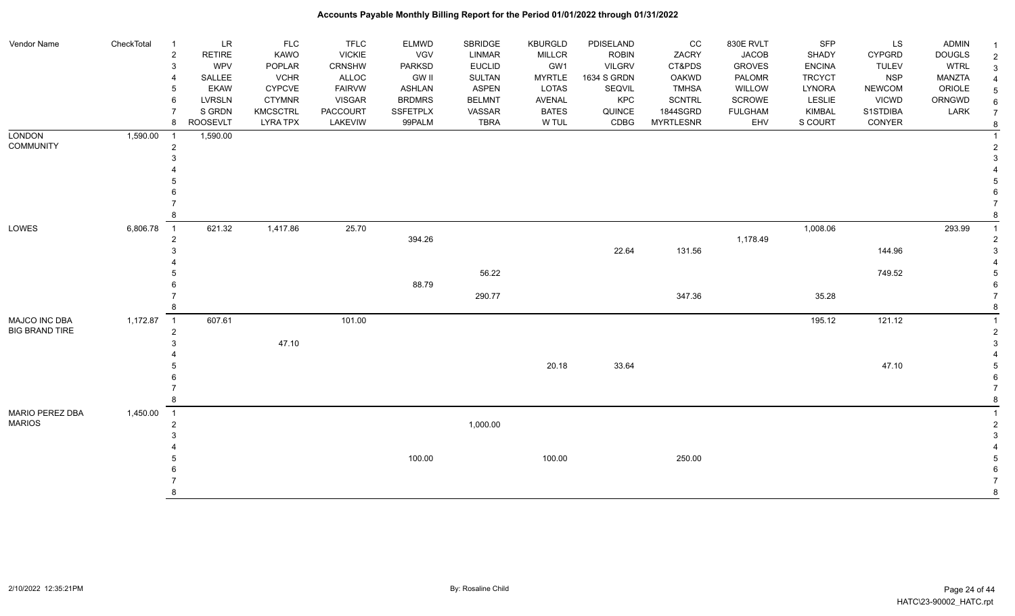| Vendor Name           | CheckTotal | $\overline{1}$             | <b>LR</b>       | FLC             | <b>TFLC</b>     | <b>ELMWD</b>    | SBRIDGE       | <b>KBURGLD</b> | PDISELAND     | cc               | 830E RVLT      | SFP           | LS            | <b>ADMIN</b>  |  |
|-----------------------|------------|----------------------------|-----------------|-----------------|-----------------|-----------------|---------------|----------------|---------------|------------------|----------------|---------------|---------------|---------------|--|
|                       |            | $\overline{2}$             | <b>RETIRE</b>   | <b>KAWO</b>     | <b>VICKIE</b>   | <b>VGV</b>      | LINMAR        | <b>MILLCR</b>  | <b>ROBIN</b>  | ZACRY            | <b>JACOB</b>   | SHADY         | <b>CYPGRD</b> | <b>DOUGLS</b> |  |
|                       |            | 3                          | <b>WPV</b>      | POPLAR          | CRNSHW          | <b>PARKSD</b>   | <b>EUCLID</b> | GW1            | <b>VILGRV</b> | CT&PDS           | <b>GROVES</b>  | <b>ENCINA</b> | <b>TULEV</b>  | <b>WTRL</b>   |  |
|                       |            | $\overline{4}$             | SALLEE          | <b>VCHR</b>     | ALLOC           | <b>GW II</b>    | SULTAN        | <b>MYRTLE</b>  | 1634 S GRDN   | <b>OAKWD</b>     | PALOMR         | <b>TRCYCT</b> | <b>NSP</b>    | MANZTA        |  |
|                       |            | 5                          | <b>EKAW</b>     | <b>CYPCVE</b>   | <b>FAIRVW</b>   | <b>ASHLAN</b>   | <b>ASPEN</b>  | LOTAS          | SEQVIL        | <b>TMHSA</b>     | WILLOW         | LYNORA        | <b>NEWCOM</b> | ORIOLE        |  |
|                       |            | 6                          | LVRSLN          | <b>CTYMNR</b>   | <b>VISGAR</b>   | <b>BRDMRS</b>   | <b>BELMNT</b> | AVENAL         | <b>KPC</b>    | <b>SCNTRL</b>    | <b>SCROWE</b>  | <b>LESLIE</b> | <b>VICWD</b>  | ORNGWD        |  |
|                       |            | $\overline{7}$             | S GRDN          | <b>KMCSCTRL</b> | <b>PACCOURT</b> | <b>SSFETPLX</b> | VASSAR        | <b>BATES</b>   | QUINCE        | 1844SGRD         | <b>FULGHAM</b> | KIMBAL        | S1STDIBA      | LARK          |  |
|                       |            | 8                          | <b>ROOSEVLT</b> | <b>LYRA TPX</b> | LAKEVIW         | 99PALM          | <b>TBRA</b>   | W TUL          | CDBG          | <b>MYRTLESNR</b> | EHV            | S COURT       | CONYER        |               |  |
| <b>LONDON</b>         | 1,590.00   | $\overline{1}$             | 1,590.00        |                 |                 |                 |               |                |               |                  |                |               |               |               |  |
| <b>COMMUNITY</b>      |            | $\overline{2}$             |                 |                 |                 |                 |               |                |               |                  |                |               |               |               |  |
|                       |            | 3                          |                 |                 |                 |                 |               |                |               |                  |                |               |               |               |  |
|                       |            |                            |                 |                 |                 |                 |               |                |               |                  |                |               |               |               |  |
|                       |            | 5                          |                 |                 |                 |                 |               |                |               |                  |                |               |               |               |  |
|                       |            |                            |                 |                 |                 |                 |               |                |               |                  |                |               |               |               |  |
|                       |            |                            |                 |                 |                 |                 |               |                |               |                  |                |               |               |               |  |
|                       |            | 8                          |                 |                 |                 |                 |               |                |               |                  |                |               |               |               |  |
| LOWES                 | 6,806.78   | $\overline{1}$             | 621.32          | 1,417.86        | 25.70           |                 |               |                |               |                  |                | 1,008.06      |               | 293.99        |  |
|                       |            | $\overline{2}$             |                 |                 |                 | 394.26          |               |                |               |                  | 1,178.49       |               |               |               |  |
|                       |            | 3                          |                 |                 |                 |                 |               |                | 22.64         | 131.56           |                |               | 144.96        |               |  |
|                       |            |                            |                 |                 |                 |                 |               |                |               |                  |                |               |               |               |  |
|                       |            |                            |                 |                 |                 |                 | 56.22         |                |               |                  |                |               | 749.52        |               |  |
|                       |            | 6                          |                 |                 |                 | 88.79           |               |                |               |                  |                |               |               |               |  |
|                       |            |                            |                 |                 |                 |                 | 290.77        |                |               | 347.36           |                | 35.28         |               |               |  |
|                       |            | 8                          |                 |                 |                 |                 |               |                |               |                  |                |               |               |               |  |
| MAJCO INC DBA         | 1,172.87   | $\overline{\phantom{0}}$ 1 | 607.61          |                 | 101.00          |                 |               |                |               |                  |                | 195.12        | 121.12        |               |  |
| <b>BIG BRAND TIRE</b> |            | $\overline{c}$             |                 |                 |                 |                 |               |                |               |                  |                |               |               |               |  |
|                       |            | 3                          |                 | 47.10           |                 |                 |               |                |               |                  |                |               |               |               |  |
|                       |            |                            |                 |                 |                 |                 |               |                |               |                  |                |               |               |               |  |
|                       |            |                            |                 |                 |                 |                 |               | 20.18          | 33.64         |                  |                |               | 47.10         |               |  |
|                       |            |                            |                 |                 |                 |                 |               |                |               |                  |                |               |               |               |  |
|                       |            |                            |                 |                 |                 |                 |               |                |               |                  |                |               |               |               |  |
|                       |            | 8                          |                 |                 |                 |                 |               |                |               |                  |                |               |               |               |  |
| MARIO PEREZ DBA       | 1,450.00   | $\overline{\phantom{0}}$ 1 |                 |                 |                 |                 |               |                |               |                  |                |               |               |               |  |
| <b>MARIOS</b>         |            | $\overline{2}$             |                 |                 |                 |                 | 1,000.00      |                |               |                  |                |               |               |               |  |
|                       |            | 3                          |                 |                 |                 |                 |               |                |               |                  |                |               |               |               |  |
|                       |            |                            |                 |                 |                 |                 |               |                |               |                  |                |               |               |               |  |
|                       |            | 5                          |                 |                 |                 | 100.00          |               | 100.00         |               | 250.00           |                |               |               |               |  |
|                       |            |                            |                 |                 |                 |                 |               |                |               |                  |                |               |               |               |  |
|                       |            |                            |                 |                 |                 |                 |               |                |               |                  |                |               |               |               |  |
|                       |            | 8                          |                 |                 |                 |                 |               |                |               |                  |                |               |               |               |  |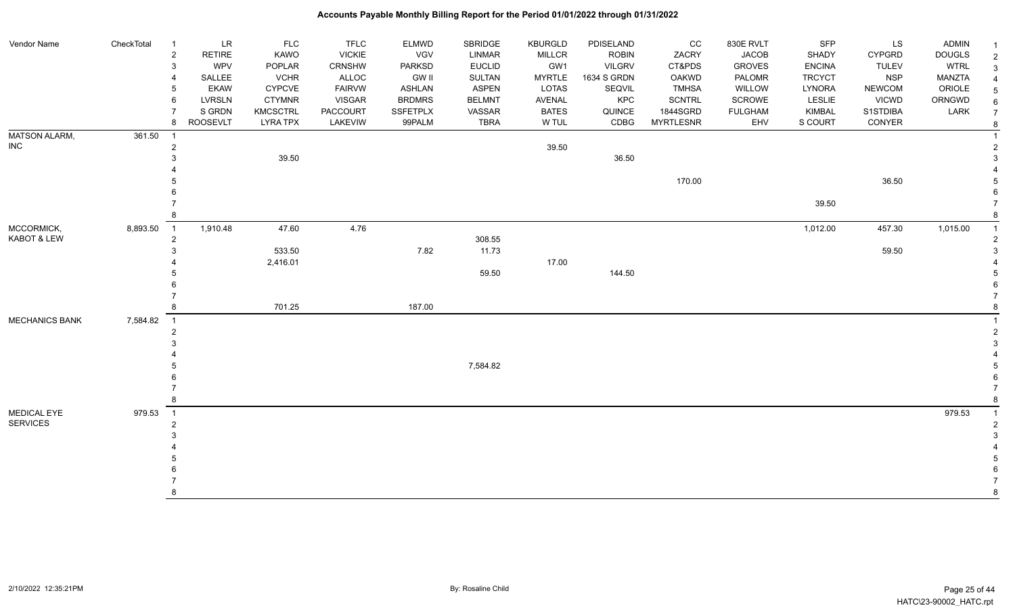#### Vendor Name CheckTotal 1 LR FLC FLC ELMWD SBRIDGE KBURGLD PDISELAND CC 830E RVLT SFP LS ADMIN <sub>1</sub> 2 RETIRE KAWO VICKIE VGV LINMAR MILLCR ROBIN ZACRY JACOB SHADY CYPGRD DOUGLS 2 3 WPV POPLAR CRNSHW PARKSD EUCLID GW1 VILGRV CT&PDS GROVES ENCINA TULEV WTRL 3 4 SALLEE VCHR ALLOC GW II SULTAN MYRTLE 1634 S GRDN OAKWD PALOMR TRCYCT NSP MANZTA 4 5 EKAW CYPCVE FAIRVW ASHLAN ASPEN LOTAS SEQVIL TMHSA WILLOW LYNORA NEWCOM ORIOLE 5 6 LVRSLN CTYMNR VISGAR BRDMRS BELMNT AVENAL KPC SCNTRL SCROWE LESLIE VICWD ORNGWD  $_{6}$ 7 SIGRDN KMCSCTRL PACCOURT SSFETPLX VASSAR BATES QUINCE 1844SGRD FULGHAM KIMBAL S1STDIBA LARK 7 8 ROOSEVLT LYRA TPX LAKEVIW 99PALM TBRA W TUL CDBG MYRTLESNR EHV S COURT CONYER <sub>8</sub> MATSON ALARM, INC 361.50 1 1 2 39.50 2  $33$  39.50  $39.50$  4 4 5 170.00 36.50 5  $6$  7 39.50 7 8 8 MCCORMICK, KABOT & LEW 8,893.50 1 1,910.48 47.60 4.76 1,012.00 457.30 1,015.00 1 2 308.55 2  $3$  533.50 59.50 59.50 59.50 59.50 59.50 59.50 59.50 59.50 59.50 59.50 59.50 59.50 59.50 59.50 59.50 59.50 59.50 59.50 59.50 59.50 59.50 59.50 59.50 59.50 59.50 59.50 59.50 59.50 59.50 59.50 59.50 59.50 59.50 59.50 59.50 4 2,416.01 17.00 4  $5 - 5$  59.50  $144.50$  5  $6$  7 7 8 701.25 187.00 8 <code>MECHANICS</code> BANK  $\,$   $\,$  7,584.82  $\,$  1  $\,$   $\,$  1  $\,$   $\,$  1  $\,$   $\,$  1  $\,$   $\,$  1  $\,$   $\,$  1  $\,$   $\,$  1  $\,$   $\,$  1  $\,$   $\,$  1  $\,$   $\,$  1  $\,$   $\,$  1  $\,$   $\,$  1  $\,$   $\,$   $\,$  1  $\,$   $\,$   $\,$   $\,$   $\,$   $\,$  2 2  $3<sup>3</sup>$  4 4 5 7,584.82 5  $6$  7 7 8 8 MEDICAL EYE SERVICES 979.53 1 979.53 1 2 2  $3<sup>3</sup>$  4 4 5 5  $6$  7 7 8 8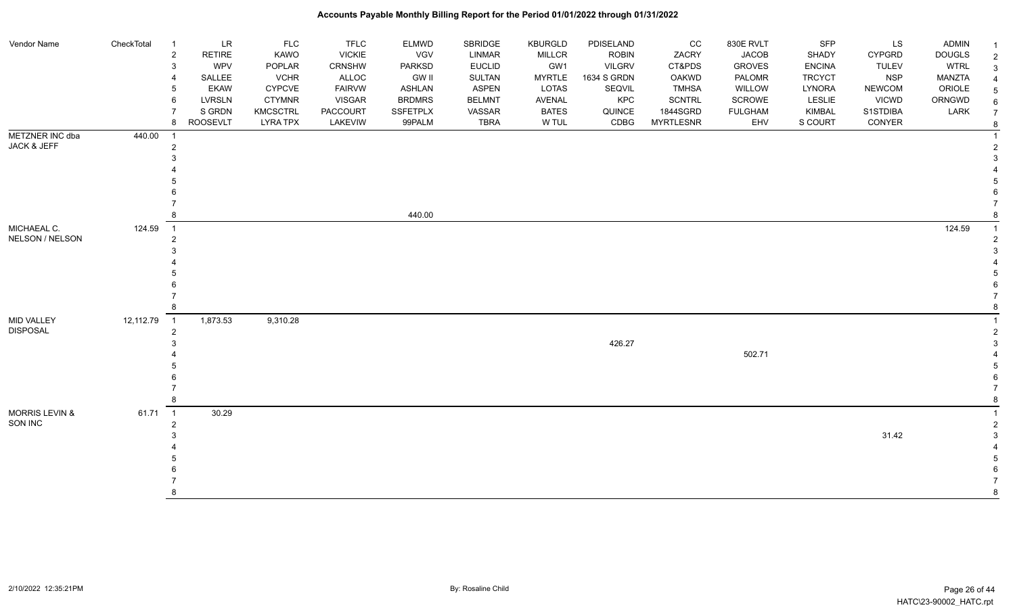| Vendor Name                   | CheckTotal  | $\overline{1}$           | <b>LR</b>     | <b>FLC</b>      | <b>TFLC</b>   | <b>ELMWD</b>    | SBRIDGE       | <b>KBURGLD</b> | PDISELAND     | CC               | 830E RVLT      | SFP           | LS            | <b>ADMIN</b>  |  |
|-------------------------------|-------------|--------------------------|---------------|-----------------|---------------|-----------------|---------------|----------------|---------------|------------------|----------------|---------------|---------------|---------------|--|
|                               |             | $\sqrt{2}$               | <b>RETIRE</b> | KAWO            | <b>VICKIE</b> | VGV             | <b>LINMAR</b> | MILLCR         | <b>ROBIN</b>  | ZACRY            | <b>JACOB</b>   | SHADY         | <b>CYPGRD</b> | <b>DOUGLS</b> |  |
|                               |             | 3                        | WPV           | POPLAR          | <b>CRNSHW</b> | <b>PARKSD</b>   | <b>EUCLID</b> | GW1            | <b>VILGRV</b> | CT&PDS           | <b>GROVES</b>  | <b>ENCINA</b> | <b>TULEV</b>  | <b>WTRL</b>   |  |
|                               |             | $\overline{4}$           | SALLEE        | <b>VCHR</b>     | ALLOC         | <b>GW II</b>    | SULTAN        | <b>MYRTLE</b>  | 1634 S GRDN   | <b>OAKWD</b>     | PALOMR         | <b>TRCYCT</b> | <b>NSP</b>    | MANZTA        |  |
|                               |             | 5                        | <b>EKAW</b>   | <b>CYPCVE</b>   | <b>FAIRVW</b> | <b>ASHLAN</b>   | ASPEN         | LOTAS          | SEQVIL        | <b>TMHSA</b>     | WILLOW         | LYNORA        | <b>NEWCOM</b> | ORIOLE        |  |
|                               |             | 6                        | LVRSLN        | <b>CTYMNR</b>   | <b>VISGAR</b> | <b>BRDMRS</b>   | <b>BELMNT</b> | <b>AVENAL</b>  | <b>KPC</b>    | <b>SCNTRL</b>    | <b>SCROWE</b>  | <b>LESLIE</b> | <b>VICWD</b>  | ORNGWD        |  |
|                               |             | $\overline{7}$           | S GRDN        | <b>KMCSCTRL</b> | PACCOURT      | <b>SSFETPLX</b> | VASSAR        | <b>BATES</b>   | QUINCE        | 1844SGRD         | <b>FULGHAM</b> | <b>KIMBAL</b> | S1STDIBA      | LARK          |  |
|                               |             | 8                        | ROOSEVLT      | <b>LYRA TPX</b> | LAKEVIW       | 99PALM          | TBRA          | W TUL          | CDBG          | <b>MYRTLESNR</b> | EHV            | S COURT       | CONYER        |               |  |
| METZNER INC dba               | 440.00      | $\overline{1}$           |               |                 |               |                 |               |                |               |                  |                |               |               |               |  |
| JACK & JEFF                   |             | $\overline{2}$           |               |                 |               |                 |               |                |               |                  |                |               |               |               |  |
|                               |             | 3                        |               |                 |               |                 |               |                |               |                  |                |               |               |               |  |
|                               |             |                          |               |                 |               |                 |               |                |               |                  |                |               |               |               |  |
|                               |             |                          |               |                 |               |                 |               |                |               |                  |                |               |               |               |  |
|                               |             |                          |               |                 |               |                 |               |                |               |                  |                |               |               |               |  |
|                               |             |                          |               |                 |               |                 |               |                |               |                  |                |               |               |               |  |
|                               |             | 8                        |               |                 |               | 440.00          |               |                |               |                  |                |               |               |               |  |
| MICHAEAL C.                   | 124.59      | $\overline{1}$           |               |                 |               |                 |               |                |               |                  |                |               |               | 124.59        |  |
| NELSON / NELSON               |             | $\overline{2}$           |               |                 |               |                 |               |                |               |                  |                |               |               |               |  |
|                               |             | 3                        |               |                 |               |                 |               |                |               |                  |                |               |               |               |  |
|                               |             |                          |               |                 |               |                 |               |                |               |                  |                |               |               |               |  |
|                               |             |                          |               |                 |               |                 |               |                |               |                  |                |               |               |               |  |
|                               |             | 6                        |               |                 |               |                 |               |                |               |                  |                |               |               |               |  |
|                               |             | 8                        |               |                 |               |                 |               |                |               |                  |                |               |               |               |  |
|                               |             |                          |               |                 |               |                 |               |                |               |                  |                |               |               |               |  |
| MID VALLEY<br><b>DISPOSAL</b> | 12,112.79 1 |                          | 1,873.53      | 9,310.28        |               |                 |               |                |               |                  |                |               |               |               |  |
|                               |             | $\overline{c}$<br>3      |               |                 |               |                 |               |                | 426.27        |                  |                |               |               |               |  |
|                               |             |                          |               |                 |               |                 |               |                |               |                  | 502.71         |               |               |               |  |
|                               |             |                          |               |                 |               |                 |               |                |               |                  |                |               |               |               |  |
|                               |             |                          |               |                 |               |                 |               |                |               |                  |                |               |               |               |  |
|                               |             |                          |               |                 |               |                 |               |                |               |                  |                |               |               |               |  |
|                               |             | 8                        |               |                 |               |                 |               |                |               |                  |                |               |               |               |  |
| <b>MORRIS LEVIN &amp;</b>     | 61.71       | $\overline{\phantom{1}}$ | 30.29         |                 |               |                 |               |                |               |                  |                |               |               |               |  |
| SON INC                       |             | $\overline{2}$           |               |                 |               |                 |               |                |               |                  |                |               |               |               |  |
|                               |             | 3                        |               |                 |               |                 |               |                |               |                  |                |               | 31.42         |               |  |
|                               |             |                          |               |                 |               |                 |               |                |               |                  |                |               |               |               |  |
|                               |             |                          |               |                 |               |                 |               |                |               |                  |                |               |               |               |  |
|                               |             |                          |               |                 |               |                 |               |                |               |                  |                |               |               |               |  |
|                               |             |                          |               |                 |               |                 |               |                |               |                  |                |               |               |               |  |
|                               |             | 8                        |               |                 |               |                 |               |                |               |                  |                |               |               |               |  |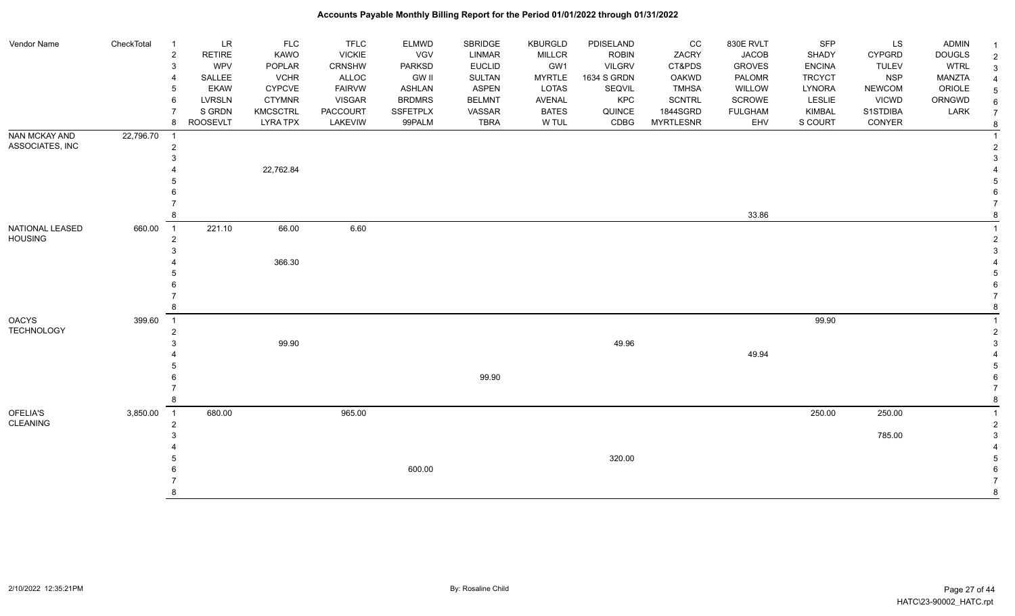| Vendor Name       | CheckTotal | $\overline{1}$      | <b>LR</b>       | FLC             | <b>TFLC</b>   | <b>ELMWD</b>    | SBRIDGE       | <b>KBURGLD</b> | PDISELAND     | $_{\rm CC}$      | 830E RVLT      | SFP           | LS            | <b>ADMIN</b>  |                |
|-------------------|------------|---------------------|-----------------|-----------------|---------------|-----------------|---------------|----------------|---------------|------------------|----------------|---------------|---------------|---------------|----------------|
|                   |            | $\sqrt{2}$          | <b>RETIRE</b>   | KAWO            | <b>VICKIE</b> | VGV             | <b>LINMAR</b> | <b>MILLCR</b>  | <b>ROBIN</b>  | ZACRY            | <b>JACOB</b>   | SHADY         | <b>CYPGRD</b> | <b>DOUGLS</b> | 2              |
|                   |            | $\mathsf 3$         | <b>WPV</b>      | POPLAR          | CRNSHW        | <b>PARKSD</b>   | <b>EUCLID</b> | GW1            | <b>VILGRV</b> | CT&PDS           | <b>GROVES</b>  | <b>ENCINA</b> | <b>TULEV</b>  | <b>WTRL</b>   |                |
|                   |            | $\overline{4}$      | SALLEE          | <b>VCHR</b>     | ALLOC         | <b>GW II</b>    | <b>SULTAN</b> | <b>MYRTLE</b>  | 1634 S GRDN   | OAKWD            | PALOMR         | <b>TRCYCT</b> | <b>NSP</b>    | <b>MANZTA</b> |                |
|                   |            | 5                   | <b>EKAW</b>     | <b>CYPCVE</b>   | <b>FAIRVW</b> | <b>ASHLAN</b>   | <b>ASPEN</b>  | <b>LOTAS</b>   | SEQVIL        | <b>TMHSA</b>     | WILLOW         | LYNORA        | <b>NEWCOM</b> | ORIOLE        |                |
|                   |            | 6                   | <b>LVRSLN</b>   | <b>CTYMNR</b>   | <b>VISGAR</b> | <b>BRDMRS</b>   | <b>BELMNT</b> | AVENAL         | KPC           | <b>SCNTRL</b>    | SCROWE         | <b>LESLIE</b> | <b>VICWD</b>  | ORNGWD        |                |
|                   |            | $\overline{7}$      | S GRDN          | <b>KMCSCTRL</b> | PACCOURT      | <b>SSFETPLX</b> | VASSAR        | <b>BATES</b>   | QUINCE        | 1844SGRD         | <b>FULGHAM</b> | <b>KIMBAL</b> | S1STDIBA      | LARK          |                |
|                   |            | 8                   | <b>ROOSEVLT</b> | <b>LYRA TPX</b> | LAKEVIW       | 99PALM          | <b>TBRA</b>   | W TUL          | CDBG          | <b>MYRTLESNR</b> | EHV            | S COURT       | CONYER        |               |                |
| NAN MCKAY AND     | 22,796.70  | $\overline{1}$      |                 |                 |               |                 |               |                |               |                  |                |               |               |               |                |
| ASSOCIATES, INC   |            | $\overline{2}$      |                 |                 |               |                 |               |                |               |                  |                |               |               |               |                |
|                   |            | $\mathbf{3}$        |                 |                 |               |                 |               |                |               |                  |                |               |               |               |                |
|                   |            | 4                   |                 | 22,762.84       |               |                 |               |                |               |                  |                |               |               |               |                |
|                   |            | 5                   |                 |                 |               |                 |               |                |               |                  |                |               |               |               |                |
|                   |            |                     |                 |                 |               |                 |               |                |               |                  |                |               |               |               |                |
|                   |            | 8                   |                 |                 |               |                 |               |                |               |                  | 33.86          |               |               |               |                |
|                   |            |                     |                 |                 |               |                 |               |                |               |                  |                |               |               |               |                |
| NATIONAL LEASED   | 660.00     | $\overline{1}$      | 221.10          | 66.00           | 6.60          |                 |               |                |               |                  |                |               |               |               |                |
| <b>HOUSING</b>    |            | $\overline{2}$<br>3 |                 |                 |               |                 |               |                |               |                  |                |               |               |               |                |
|                   |            |                     |                 | 366.30          |               |                 |               |                |               |                  |                |               |               |               |                |
|                   |            | 5                   |                 |                 |               |                 |               |                |               |                  |                |               |               |               |                |
|                   |            | 6                   |                 |                 |               |                 |               |                |               |                  |                |               |               |               |                |
|                   |            | $\overline{7}$      |                 |                 |               |                 |               |                |               |                  |                |               |               |               |                |
|                   |            | 8                   |                 |                 |               |                 |               |                |               |                  |                |               |               |               |                |
| <b>OACYS</b>      | 399.60     | $\overline{1}$      |                 |                 |               |                 |               |                |               |                  |                | 99.90         |               |               |                |
| <b>TECHNOLOGY</b> |            | $\overline{c}$      |                 |                 |               |                 |               |                |               |                  |                |               |               |               |                |
|                   |            | 3                   |                 | 99.90           |               |                 |               |                | 49.96         |                  |                |               |               |               |                |
|                   |            |                     |                 |                 |               |                 |               |                |               |                  | 49.94          |               |               |               |                |
|                   |            | 5                   |                 |                 |               |                 |               |                |               |                  |                |               |               |               |                |
|                   |            | 6                   |                 |                 |               |                 | 99.90         |                |               |                  |                |               |               |               |                |
|                   |            | $\overline{7}$      |                 |                 |               |                 |               |                |               |                  |                |               |               |               |                |
|                   |            | 8                   |                 |                 |               |                 |               |                |               |                  |                |               |               |               |                |
| OFELIA'S          | 3,850.00   | $\overline{1}$      | 680.00          |                 | 965.00        |                 |               |                |               |                  |                | 250.00        | 250.00        |               |                |
| <b>CLEANING</b>   |            | $\overline{2}$      |                 |                 |               |                 |               |                |               |                  |                |               |               |               | $\overline{2}$ |
|                   |            | 3                   |                 |                 |               |                 |               |                |               |                  |                |               | 785.00        |               |                |
|                   |            |                     |                 |                 |               |                 |               |                |               |                  |                |               |               |               |                |
|                   |            | 5                   |                 |                 |               |                 |               |                | 320.00        |                  |                |               |               |               |                |
|                   |            |                     |                 |                 |               | 600.00          |               |                |               |                  |                |               |               |               |                |
|                   |            |                     |                 |                 |               |                 |               |                |               |                  |                |               |               |               |                |
|                   |            | 8                   |                 |                 |               |                 |               |                |               |                  |                |               |               |               |                |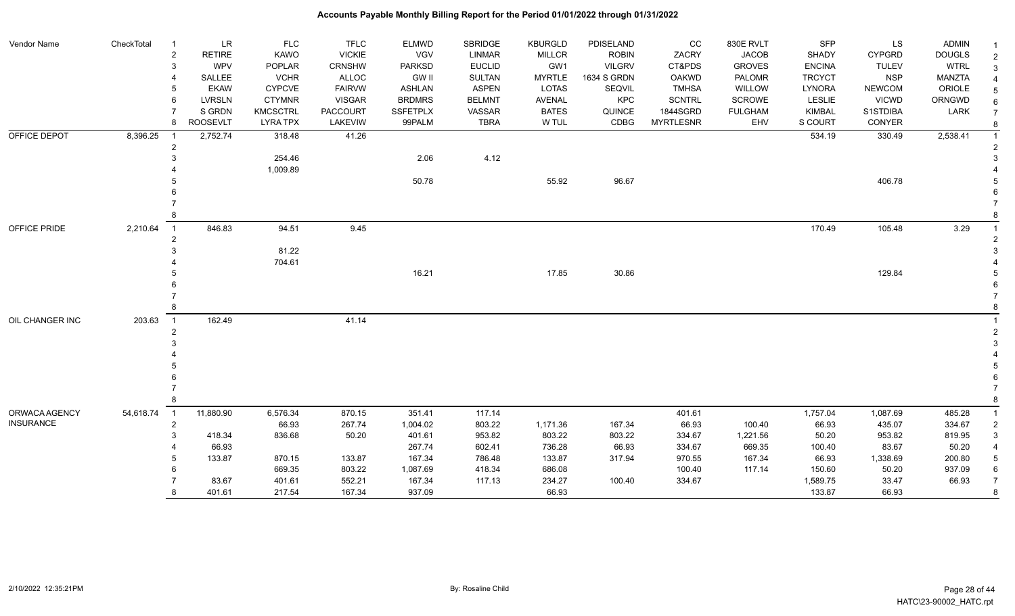| Vendor Name      | CheckTotal<br>-1            | LR                       | <b>FLC</b>      | <b>TFLC</b>     | ELMWD           | SBRIDGE       | <b>KBURGLD</b> | PDISELAND     | CC               | 830E RVLT      | SFP           | LS            | <b>ADMIN</b>  |                |
|------------------|-----------------------------|--------------------------|-----------------|-----------------|-----------------|---------------|----------------|---------------|------------------|----------------|---------------|---------------|---------------|----------------|
|                  |                             | RETIRE<br>$\overline{c}$ | KAWO            | <b>VICKIE</b>   | VGV             | <b>LINMAR</b> | <b>MILLCR</b>  | <b>ROBIN</b>  | ZACRY            | <b>JACOB</b>   | <b>SHADY</b>  | <b>CYPGRD</b> | <b>DOUGLS</b> |                |
|                  |                             | WPV<br>3                 | POPLAR          | <b>CRNSHW</b>   | PARKSD          | <b>EUCLID</b> | GW1            | <b>VILGRV</b> | CT&PDS           | <b>GROVES</b>  | <b>ENCINA</b> | <b>TULEV</b>  | <b>WTRL</b>   | 3              |
|                  |                             | SALLEE                   | <b>VCHR</b>     | ALLOC           | <b>GW II</b>    | <b>SULTAN</b> | <b>MYRTLE</b>  | 1634 S GRDN   | <b>OAKWD</b>     | PALOMR         | <b>TRCYCT</b> | <b>NSP</b>    | MANZTA        |                |
|                  |                             | <b>EKAW</b>              | <b>CYPCVE</b>   | <b>FAIRVW</b>   | <b>ASHLAN</b>   | <b>ASPEN</b>  | <b>LOTAS</b>   | SEQVIL        | <b>TMHSA</b>     | <b>WILLOW</b>  | <b>LYNORA</b> | <b>NEWCOM</b> | ORIOLE        |                |
|                  |                             | <b>LVRSLN</b><br>6       | <b>CTYMNR</b>   | <b>VISGAR</b>   | <b>BRDMRS</b>   | <b>BELMNT</b> | <b>AVENAL</b>  | <b>KPC</b>    | <b>SCNTRL</b>    | SCROWE         | LESLIE        | <b>VICWD</b>  | ORNGWD        |                |
|                  |                             | S GRDN                   | <b>KMCSCTRL</b> | <b>PACCOURT</b> | <b>SSFETPLX</b> | VASSAR        | <b>BATES</b>   | QUINCE        | 1844SGRD         | <b>FULGHAM</b> | <b>KIMBAL</b> | S1STDIBA      | LARK          |                |
|                  |                             | <b>ROOSEVLT</b><br>8     | <b>LYRA TPX</b> | LAKEVIW         | 99PALM          | <b>TBRA</b>   | W TUL          | CDBG          | <b>MYRTLESNR</b> | EHV            | S COURT       | CONYER        |               | 8              |
| OFFICE DEPOT     | 8,396.25<br>- 1             | 2,752.74                 | 318.48          | 41.26           |                 |               |                |               |                  |                | 534.19        | 330.49        | 2,538.41      |                |
|                  |                             | $\overline{2}$           |                 |                 |                 |               |                |               |                  |                |               |               |               |                |
|                  |                             |                          | 254.46          |                 | 2.06            | 4.12          |                |               |                  |                |               |               |               |                |
|                  |                             |                          | 1,009.89        |                 |                 |               |                |               |                  |                |               |               |               |                |
|                  |                             |                          |                 |                 | 50.78           |               | 55.92          | 96.67         |                  |                |               | 406.78        |               |                |
|                  |                             |                          |                 |                 |                 |               |                |               |                  |                |               |               |               |                |
|                  |                             |                          |                 |                 |                 |               |                |               |                  |                |               |               |               |                |
|                  |                             |                          |                 |                 |                 |               |                |               |                  |                |               |               |               |                |
| OFFICE PRIDE     | 2,210.64<br>$\overline{1}$  | 846.83                   | 94.51           | 9.45            |                 |               |                |               |                  |                | 170.49        | 105.48        | 3.29          |                |
|                  |                             |                          | 81.22           |                 |                 |               |                |               |                  |                |               |               |               |                |
|                  |                             |                          |                 |                 |                 |               |                |               |                  |                |               |               |               |                |
|                  |                             |                          | 704.61          |                 | 16.21           |               | 17.85          | 30.86         |                  |                |               | 129.84        |               |                |
|                  |                             |                          |                 |                 |                 |               |                |               |                  |                |               |               |               |                |
|                  |                             |                          |                 |                 |                 |               |                |               |                  |                |               |               |               |                |
|                  |                             |                          |                 |                 |                 |               |                |               |                  |                |               |               |               |                |
| OIL CHANGER INC  | 203.63<br>$\overline{1}$    | 162.49                   |                 | 41.14           |                 |               |                |               |                  |                |               |               |               |                |
|                  |                             |                          |                 |                 |                 |               |                |               |                  |                |               |               |               |                |
|                  |                             |                          |                 |                 |                 |               |                |               |                  |                |               |               |               |                |
|                  |                             |                          |                 |                 |                 |               |                |               |                  |                |               |               |               |                |
|                  |                             |                          |                 |                 |                 |               |                |               |                  |                |               |               |               |                |
|                  |                             |                          |                 |                 |                 |               |                |               |                  |                |               |               |               |                |
|                  |                             |                          |                 |                 |                 |               |                |               |                  |                |               |               |               |                |
|                  |                             |                          |                 |                 |                 |               |                |               |                  |                |               |               |               |                |
| ORWACA AGENCY    | $\overline{1}$<br>54,618.74 | 11,880.90                | 6,576.34        | 870.15          | 351.41          | 117.14        |                |               | 401.61           |                | 1,757.04      | 1,087.69      | 485.28        |                |
| <b>INSURANCE</b> |                             | $\overline{2}$           | 66.93           | 267.74          | 1,004.02        | 803.22        | 1,171.36       | 167.34        | 66.93            | 100.40         | 66.93         | 435.07        | 334.67        | 2              |
|                  |                             | 418.34                   | 836.68          | 50.20           | 401.61          | 953.82        | 803.22         | 803.22        | 334.67           | 1,221.56       | 50.20         | 953.82        | 819.95        | 3              |
|                  |                             | 66.93                    |                 |                 | 267.74          | 602.41        | 736.28         | 66.93         | 334.67           | 669.35         | 100.40        | 83.67         | 50.20         |                |
|                  |                             | 133.87                   | 870.15          | 133.87          | 167.34          | 786.48        | 133.87         | 317.94        | 970.55           | 167.34         | 66.93         | 1,338.69      | 200.80        | 5              |
|                  |                             |                          | 669.35          | 803.22          | 1,087.69        | 418.34        | 686.08         |               | 100.40           | 117.14         | 150.60        | 50.20         | 937.09        | 6              |
|                  |                             | 83.67                    | 401.61          | 552.21          | 167.34          | 117.13        | 234.27         | 100.40        | 334.67           |                | 1,589.75      | 33.47         | 66.93         | $\overline{7}$ |
|                  |                             | 401.61<br>8              | 217.54          | 167.34          | 937.09          |               | 66.93          |               |                  |                | 133.87        | 66.93         |               | 8              |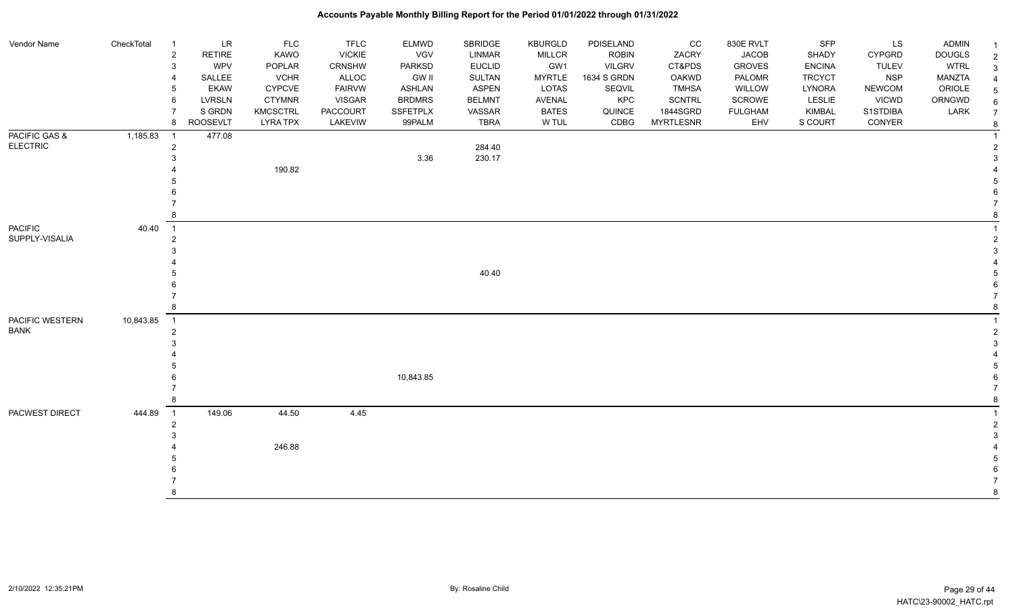| <b>Vendor Name</b> | CheckTotal | $\overline{1}$             | $\ensuremath{\mathsf{LR}}\xspace$ | FLC             | <b>TFLC</b>   | <b>ELMWD</b>    | SBRIDGE       | KBURGLD       | PDISELAND     | CC               | 830E RVLT      | <b>SFP</b>    | LS            | <b>ADMIN</b>  | $\mathbf{1}$   |
|--------------------|------------|----------------------------|-----------------------------------|-----------------|---------------|-----------------|---------------|---------------|---------------|------------------|----------------|---------------|---------------|---------------|----------------|
|                    |            | $\overline{2}$             | <b>RETIRE</b>                     | KAWO            | <b>VICKIE</b> | VGV             | LINMAR        | <b>MILLCR</b> | <b>ROBIN</b>  | ZACRY            | <b>JACOB</b>   | SHADY         | CYPGRD        | <b>DOUGLS</b> | $\overline{c}$ |
|                    |            | 3                          | WPV                               | POPLAR          | CRNSHW        | <b>PARKSD</b>   | <b>EUCLID</b> | GW1           | <b>VILGRV</b> | CT&PDS           | <b>GROVES</b>  | <b>ENCINA</b> | <b>TULEV</b>  | <b>WTRL</b>   | 3              |
|                    |            | $\overline{4}$             | SALLEE                            | <b>VCHR</b>     | ALLOC         | <b>GW II</b>    | <b>SULTAN</b> | <b>MYRTLE</b> | 1634 S GRDN   | <b>OAKWD</b>     | PALOMR         | <b>TRCYCT</b> | <b>NSP</b>    | <b>MANZTA</b> |                |
|                    |            | 5                          | <b>EKAW</b>                       | <b>CYPCVE</b>   | <b>FAIRVW</b> | <b>ASHLAN</b>   | <b>ASPEN</b>  | LOTAS         | SEQVIL        | <b>TMHSA</b>     | WILLOW         | LYNORA        | <b>NEWCOM</b> | ORIOLE        |                |
|                    |            | 6                          | LVRSLN                            | <b>CTYMNR</b>   | <b>VISGAR</b> | <b>BRDMRS</b>   | <b>BELMNT</b> | AVENAL        | KPC           | <b>SCNTRL</b>    | SCROWE         | LESLIE        | <b>VICWD</b>  | ORNGWD        |                |
|                    |            | $\overline{7}$             | S GRDN                            | <b>KMCSCTRL</b> | PACCOURT      | <b>SSFETPLX</b> | VASSAR        | <b>BATES</b>  | QUINCE        | 1844SGRD         | <b>FULGHAM</b> | KIMBAL        | S1STDIBA      | LARK          |                |
|                    |            | 8                          | <b>ROOSEVLT</b>                   | <b>LYRA TPX</b> | LAKEVIW       | 99PALM          | <b>TBRA</b>   | W TUL         | CDBG          | <b>MYRTLESNR</b> | EHV            | S COURT       | CONYER        |               | 8              |
| PACIFIC GAS &      | 1,185.83   | $\overline{\phantom{0}}$ 1 | 477.08                            |                 |               |                 |               |               |               |                  |                |               |               |               |                |
| <b>ELECTRIC</b>    |            | $\overline{2}$             |                                   |                 |               |                 | 284.40        |               |               |                  |                |               |               |               |                |
|                    |            | 3                          |                                   |                 |               | 3.36            | 230.17        |               |               |                  |                |               |               |               |                |
|                    |            |                            |                                   | 190.82          |               |                 |               |               |               |                  |                |               |               |               |                |
|                    |            |                            |                                   |                 |               |                 |               |               |               |                  |                |               |               |               |                |
|                    |            |                            |                                   |                 |               |                 |               |               |               |                  |                |               |               |               |                |
|                    |            |                            |                                   |                 |               |                 |               |               |               |                  |                |               |               |               |                |
|                    |            | 8                          |                                   |                 |               |                 |               |               |               |                  |                |               |               |               |                |
| <b>PACIFIC</b>     | 40.40      | $\overline{1}$             |                                   |                 |               |                 |               |               |               |                  |                |               |               |               |                |
| SUPPLY-VISALIA     |            | $\overline{2}$             |                                   |                 |               |                 |               |               |               |                  |                |               |               |               |                |
|                    |            | 3                          |                                   |                 |               |                 |               |               |               |                  |                |               |               |               |                |
|                    |            |                            |                                   |                 |               |                 |               |               |               |                  |                |               |               |               |                |
|                    |            |                            |                                   |                 |               |                 | 40.40         |               |               |                  |                |               |               |               |                |
|                    |            |                            |                                   |                 |               |                 |               |               |               |                  |                |               |               |               |                |
|                    |            |                            |                                   |                 |               |                 |               |               |               |                  |                |               |               |               |                |
|                    |            | 8                          |                                   |                 |               |                 |               |               |               |                  |                |               |               |               |                |
| PACIFIC WESTERN    | 10,843.85  | $\overline{1}$             |                                   |                 |               |                 |               |               |               |                  |                |               |               |               |                |
| <b>BANK</b>        |            | $\overline{2}$             |                                   |                 |               |                 |               |               |               |                  |                |               |               |               |                |
|                    |            | 3                          |                                   |                 |               |                 |               |               |               |                  |                |               |               |               |                |
|                    |            |                            |                                   |                 |               |                 |               |               |               |                  |                |               |               |               |                |
|                    |            |                            |                                   |                 |               |                 |               |               |               |                  |                |               |               |               |                |
|                    |            |                            |                                   |                 |               | 10,843.85       |               |               |               |                  |                |               |               |               |                |
|                    |            | 7                          |                                   |                 |               |                 |               |               |               |                  |                |               |               |               |                |
|                    |            | 8                          |                                   |                 |               |                 |               |               |               |                  |                |               |               |               |                |
| PACWEST DIRECT     | 444.89     | $\overline{1}$             | 149.06                            | 44.50           | 4.45          |                 |               |               |               |                  |                |               |               |               |                |
|                    |            | $\overline{2}$             |                                   |                 |               |                 |               |               |               |                  |                |               |               |               |                |
|                    |            | 3                          |                                   |                 |               |                 |               |               |               |                  |                |               |               |               |                |
|                    |            |                            |                                   | 246.88          |               |                 |               |               |               |                  |                |               |               |               |                |
|                    |            |                            |                                   |                 |               |                 |               |               |               |                  |                |               |               |               |                |
|                    |            |                            |                                   |                 |               |                 |               |               |               |                  |                |               |               |               |                |
|                    |            |                            |                                   |                 |               |                 |               |               |               |                  |                |               |               |               |                |
|                    |            | 8                          |                                   |                 |               |                 |               |               |               |                  |                |               |               |               | 8              |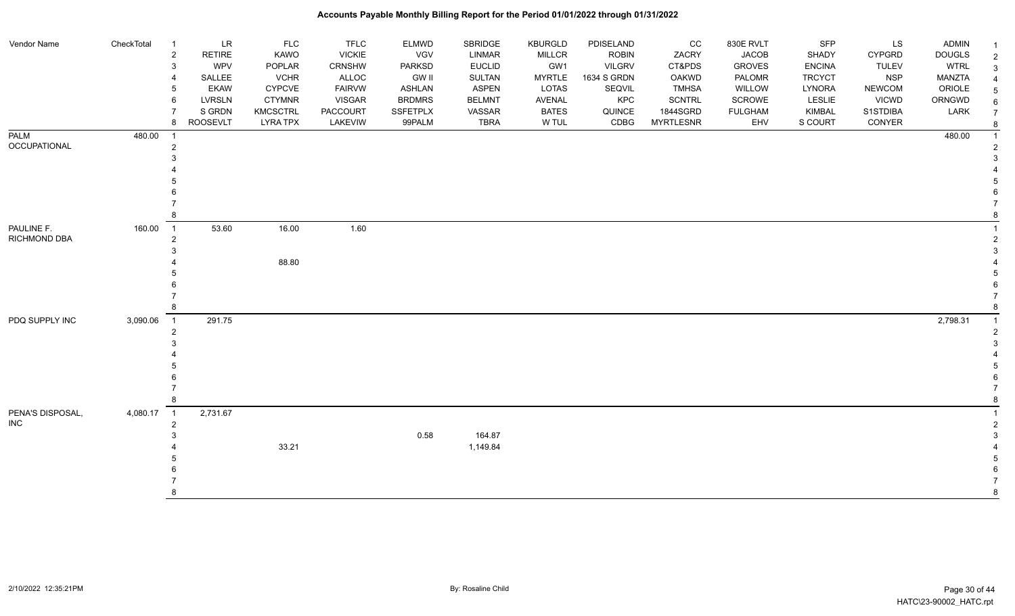| Vendor Name                | CheckTotal | $\overline{1}$                   | <b>LR</b>       | <b>FLC</b>      | <b>TFLC</b>   | <b>ELMWD</b>  | SBRIDGE       | <b>KBURGLD</b> | PDISELAND     | CC               | 830E RVLT      | <b>SFP</b>    | LS            | <b>ADMIN</b>  | $\mathbf 1$    |
|----------------------------|------------|----------------------------------|-----------------|-----------------|---------------|---------------|---------------|----------------|---------------|------------------|----------------|---------------|---------------|---------------|----------------|
|                            |            | $\overline{2}$                   | <b>RETIRE</b>   | <b>KAWO</b>     | <b>VICKIE</b> | VGV           | <b>LINMAR</b> | <b>MILLCR</b>  | <b>ROBIN</b>  | ZACRY            | <b>JACOB</b>   | SHADY         | <b>CYPGRD</b> | <b>DOUGLS</b> | $\overline{2}$ |
|                            |            | 3                                | <b>WPV</b>      | POPLAR          | CRNSHW        | <b>PARKSD</b> | <b>EUCLID</b> | GW1            | <b>VILGRV</b> | CT&PDS           | <b>GROVES</b>  | <b>ENCINA</b> | <b>TULEV</b>  | <b>WTRL</b>   | 3              |
|                            |            | 4                                | SALLEE          | <b>VCHR</b>     | ALLOC         | GW II         | <b>SULTAN</b> | <b>MYRTLE</b>  | 1634 S GRDN   | <b>OAKWD</b>     | PALOMR         | <b>TRCYCT</b> | <b>NSP</b>    | <b>MANZTA</b> |                |
|                            |            | 5                                | <b>EKAW</b>     | <b>CYPCVE</b>   | <b>FAIRVW</b> | <b>ASHLAN</b> | <b>ASPEN</b>  | <b>LOTAS</b>   | SEQVIL        | <b>TMHSA</b>     | WILLOW         | LYNORA        | <b>NEWCOM</b> | ORIOLE        | 5              |
|                            |            | 6                                | <b>LVRSLN</b>   | <b>CTYMNR</b>   | VISGAR        | <b>BRDMRS</b> | <b>BELMNT</b> | AVENAL         | KPC           | <b>SCNTRL</b>    | SCROWE         | LESLIE        | <b>VICWD</b>  | ORNGWD        | 6              |
|                            |            |                                  | S GRDN          | <b>KMCSCTRL</b> | PACCOURT      | SSFETPLX      | VASSAR        | <b>BATES</b>   | QUINCE        | 1844SGRD         | <b>FULGHAM</b> | KIMBAL        | S1STDIBA      | LARK          | $\overline{7}$ |
|                            |            | 8                                | <b>ROOSEVLT</b> | <b>LYRA TPX</b> | LAKEVIW       | 99PALM        | <b>TBRA</b>   | W TUL          | CDBG          | <b>MYRTLESNR</b> | EHV            | S COURT       | CONYER        |               | 8              |
| <b>PALM</b>                | 480.00     | - 1                              |                 |                 |               |               |               |                |               |                  |                |               |               | 480.00        |                |
| OCCUPATIONAL               |            | $\overline{2}$                   |                 |                 |               |               |               |                |               |                  |                |               |               |               |                |
|                            |            | 3                                |                 |                 |               |               |               |                |               |                  |                |               |               |               |                |
|                            |            |                                  |                 |                 |               |               |               |                |               |                  |                |               |               |               |                |
|                            |            |                                  |                 |                 |               |               |               |                |               |                  |                |               |               |               |                |
|                            |            |                                  |                 |                 |               |               |               |                |               |                  |                |               |               |               |                |
|                            |            |                                  |                 |                 |               |               |               |                |               |                  |                |               |               |               |                |
|                            |            |                                  |                 |                 |               |               |               |                |               |                  |                |               |               |               |                |
| PAULINE F.<br>RICHMOND DBA | 160.00     | $\overline{1}$                   | 53.60           | 16.00           | 1.60          |               |               |                |               |                  |                |               |               |               |                |
|                            |            | $\overline{2}$                   |                 |                 |               |               |               |                |               |                  |                |               |               |               |                |
|                            |            |                                  |                 |                 |               |               |               |                |               |                  |                |               |               |               |                |
|                            |            |                                  |                 | 88.80           |               |               |               |                |               |                  |                |               |               |               |                |
|                            |            |                                  |                 |                 |               |               |               |                |               |                  |                |               |               |               |                |
|                            |            |                                  |                 |                 |               |               |               |                |               |                  |                |               |               |               |                |
|                            |            |                                  |                 |                 |               |               |               |                |               |                  |                |               |               |               |                |
|                            |            |                                  |                 |                 |               |               |               |                |               |                  |                |               |               |               |                |
| PDQ SUPPLY INC             | 3,090.06   | $\overline{1}$<br>$\overline{2}$ | 291.75          |                 |               |               |               |                |               |                  |                |               |               | 2,798.31      |                |
|                            |            |                                  |                 |                 |               |               |               |                |               |                  |                |               |               |               |                |
|                            |            |                                  |                 |                 |               |               |               |                |               |                  |                |               |               |               |                |
|                            |            |                                  |                 |                 |               |               |               |                |               |                  |                |               |               |               |                |
|                            |            |                                  |                 |                 |               |               |               |                |               |                  |                |               |               |               |                |
|                            |            |                                  |                 |                 |               |               |               |                |               |                  |                |               |               |               |                |
|                            |            |                                  |                 |                 |               |               |               |                |               |                  |                |               |               |               |                |
| PENA'S DISPOSAL,           | 4,080.17   | $\overline{1}$                   | 2,731.67        |                 |               |               |               |                |               |                  |                |               |               |               |                |
| <b>INC</b>                 |            | 2                                |                 |                 |               |               |               |                |               |                  |                |               |               |               |                |
|                            |            |                                  |                 |                 |               | 0.58          | 164.87        |                |               |                  |                |               |               |               |                |
|                            |            |                                  |                 | 33.21           |               |               | 1,149.84      |                |               |                  |                |               |               |               |                |
|                            |            |                                  |                 |                 |               |               |               |                |               |                  |                |               |               |               |                |
|                            |            |                                  |                 |                 |               |               |               |                |               |                  |                |               |               |               |                |
|                            |            |                                  |                 |                 |               |               |               |                |               |                  |                |               |               |               |                |
|                            |            |                                  |                 |                 |               |               |               |                |               |                  |                |               |               |               | 8              |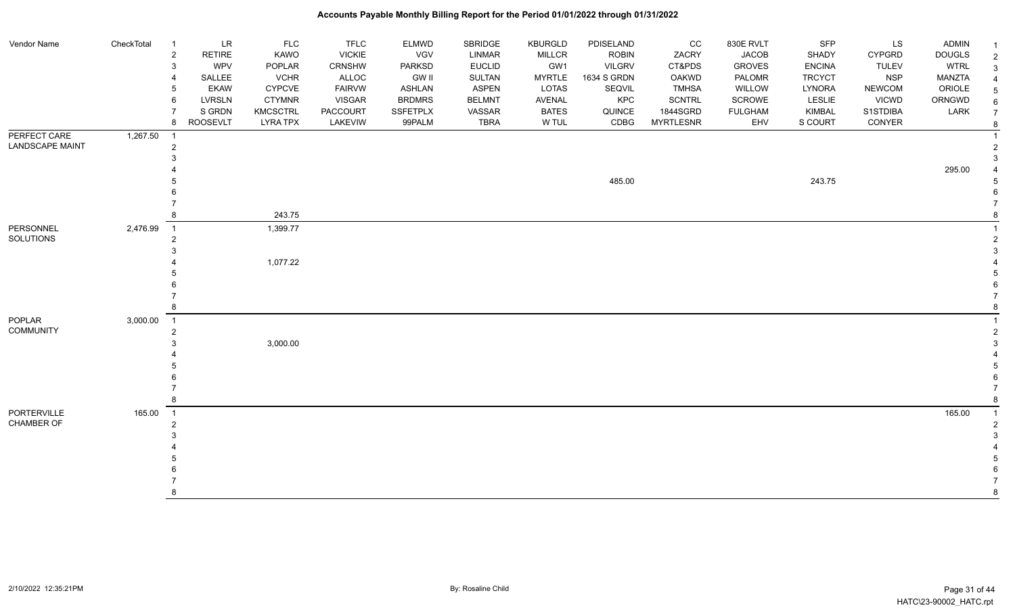| Vendor Name                       | CheckTotal | -1<br>$\overline{2}$<br>3<br>6   | <b>LR</b><br><b>RETIRE</b><br>WPV<br>SALLEE<br><b>EKAW</b><br><b>LVRSLN</b> | <b>FLC</b><br>KAWO<br>POPLAR<br><b>VCHR</b><br><b>CYPCVE</b><br><b>CTYMNR</b> | <b>TFLC</b><br><b>VICKIE</b><br>CRNSHW<br>ALLOC<br><b>FAIRVW</b><br><b>VISGAR</b> | <b>ELMWD</b><br><b>VGV</b><br>PARKSD<br><b>GW II</b><br><b>ASHLAN</b><br><b>BRDMRS</b> | SBRIDGE<br>LINMAR<br><b>EUCLID</b><br>SULTAN<br><b>ASPEN</b><br><b>BELMNT</b> | <b>KBURGLD</b><br><b>MILLCR</b><br>GW1<br><b>MYRTLE</b><br>LOTAS<br>AVENAL | PDISELAND<br><b>ROBIN</b><br><b>VILGRV</b><br>1634 S GRDN<br>SEQVIL<br>KPC | CC<br>ZACRY<br>CT&PDS<br>OAKWD<br><b>TMHSA</b><br><b>SCNTRL</b> | 830E RVLT<br><b>JACOB</b><br><b>GROVES</b><br>PALOMR<br>WILLOW<br>SCROWE | <b>SFP</b><br>SHADY<br><b>ENCINA</b><br><b>TRCYCT</b><br><b>LYNORA</b><br>LESLIE | LS<br><b>CYPGRD</b><br><b>TULEV</b><br><b>NSP</b><br><b>NEWCOM</b><br><b>VICWD</b> | <b>ADMIN</b><br><b>DOUGLS</b><br><b>WTRL</b><br>MANZTA<br>ORIOLE<br>ORNGWD | $\overline{2}$<br>3<br>$\overline{4}$<br>5<br>6 |
|-----------------------------------|------------|----------------------------------|-----------------------------------------------------------------------------|-------------------------------------------------------------------------------|-----------------------------------------------------------------------------------|----------------------------------------------------------------------------------------|-------------------------------------------------------------------------------|----------------------------------------------------------------------------|----------------------------------------------------------------------------|-----------------------------------------------------------------|--------------------------------------------------------------------------|----------------------------------------------------------------------------------|------------------------------------------------------------------------------------|----------------------------------------------------------------------------|-------------------------------------------------|
|                                   |            | 8                                | S GRDN<br><b>ROOSEVLT</b>                                                   | <b>KMCSCTRL</b><br><b>LYRA TPX</b>                                            | PACCOURT<br>LAKEVIW                                                               | <b>SSFETPLX</b><br>99PALM                                                              | VASSAR<br><b>TBRA</b>                                                         | <b>BATES</b><br>W TUL                                                      | QUINCE<br>CDBG                                                             | 1844SGRD<br><b>MYRTLESNR</b>                                    | <b>FULGHAM</b><br>EHV                                                    | <b>KIMBAL</b><br>S COURT                                                         | S1STDIBA<br>CONYER                                                                 | LARK                                                                       | $\overline{7}$                                  |
| PERFECT CARE<br>LANDSCAPE MAINT   | 1,267.50   | - 1<br>$\overline{2}$            |                                                                             |                                                                               |                                                                                   |                                                                                        |                                                                               |                                                                            |                                                                            |                                                                 |                                                                          |                                                                                  |                                                                                    |                                                                            |                                                 |
|                                   |            |                                  |                                                                             |                                                                               |                                                                                   |                                                                                        |                                                                               |                                                                            | 485.00                                                                     |                                                                 |                                                                          | 243.75                                                                           |                                                                                    | 295.00                                                                     |                                                 |
|                                   |            |                                  |                                                                             | 243.75                                                                        |                                                                                   |                                                                                        |                                                                               |                                                                            |                                                                            |                                                                 |                                                                          |                                                                                  |                                                                                    |                                                                            |                                                 |
| PERSONNEL<br>SOLUTIONS            | 2,476.99   | $\overline{1}$<br>$\overline{2}$ |                                                                             | 1,399.77                                                                      |                                                                                   |                                                                                        |                                                                               |                                                                            |                                                                            |                                                                 |                                                                          |                                                                                  |                                                                                    |                                                                            |                                                 |
|                                   |            |                                  |                                                                             | 1,077.22                                                                      |                                                                                   |                                                                                        |                                                                               |                                                                            |                                                                            |                                                                 |                                                                          |                                                                                  |                                                                                    |                                                                            |                                                 |
|                                   |            |                                  |                                                                             |                                                                               |                                                                                   |                                                                                        |                                                                               |                                                                            |                                                                            |                                                                 |                                                                          |                                                                                  |                                                                                    |                                                                            |                                                 |
| <b>POPLAR</b><br><b>COMMUNITY</b> | 3,000.00   | $\overline{1}$<br>$\overline{2}$ |                                                                             | 3,000.00                                                                      |                                                                                   |                                                                                        |                                                                               |                                                                            |                                                                            |                                                                 |                                                                          |                                                                                  |                                                                                    |                                                                            |                                                 |
|                                   |            |                                  |                                                                             |                                                                               |                                                                                   |                                                                                        |                                                                               |                                                                            |                                                                            |                                                                 |                                                                          |                                                                                  |                                                                                    |                                                                            |                                                 |
|                                   |            |                                  |                                                                             |                                                                               |                                                                                   |                                                                                        |                                                                               |                                                                            |                                                                            |                                                                 |                                                                          |                                                                                  |                                                                                    |                                                                            |                                                 |
| PORTERVILLE<br>CHAMBER OF         | 165.00     | $\overline{1}$<br>$\mathfrak{p}$ |                                                                             |                                                                               |                                                                                   |                                                                                        |                                                                               |                                                                            |                                                                            |                                                                 |                                                                          |                                                                                  |                                                                                    | 165.00                                                                     |                                                 |
|                                   |            |                                  |                                                                             |                                                                               |                                                                                   |                                                                                        |                                                                               |                                                                            |                                                                            |                                                                 |                                                                          |                                                                                  |                                                                                    |                                                                            |                                                 |
|                                   |            | 8                                |                                                                             |                                                                               |                                                                                   |                                                                                        |                                                                               |                                                                            |                                                                            |                                                                 |                                                                          |                                                                                  |                                                                                    |                                                                            | 8                                               |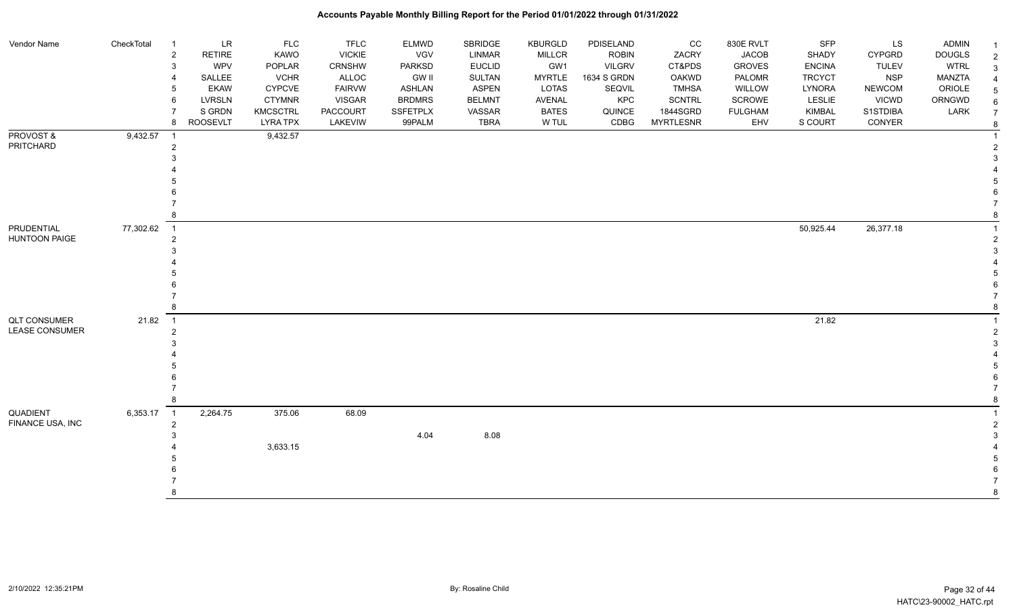| Vendor Name           | CheckTotal | -1               | <b>LR</b>       | <b>FLC</b>      | <b>TFLC</b>   | <b>ELMWD</b>    | SBRIDGE       | <b>KBURGLD</b> | PDISELAND     | CC               | 830E RVLT      | SFP           | LS            | <b>ADMIN</b>  |                     |
|-----------------------|------------|------------------|-----------------|-----------------|---------------|-----------------|---------------|----------------|---------------|------------------|----------------|---------------|---------------|---------------|---------------------|
|                       |            | $\overline{2}$   | <b>RETIRE</b>   | KAWO            | <b>VICKIE</b> | <b>VGV</b>      | LINMAR        | <b>MILLCR</b>  | <b>ROBIN</b>  | ZACRY            | <b>JACOB</b>   | <b>SHADY</b>  | <b>CYPGRD</b> | <b>DOUGLS</b> | $\overline{2}$      |
|                       |            | 3                | WPV             | POPLAR          | <b>CRNSHW</b> | <b>PARKSD</b>   | <b>EUCLID</b> | GW1            | <b>VILGRV</b> | CT&PDS           | <b>GROVES</b>  | <b>ENCINA</b> | <b>TULEV</b>  | <b>WTRL</b>   | 3                   |
|                       |            | 4                | SALLEE          | <b>VCHR</b>     | ALLOC         | <b>GW II</b>    | SULTAN        | <b>MYRTLE</b>  | 1634 S GRDN   | OAKWD            | PALOMR         | <b>TRCYCT</b> | <b>NSP</b>    | MANZTA        | $\overline{4}$      |
|                       |            | 5                | <b>EKAW</b>     | <b>CYPCVE</b>   | <b>FAIRVW</b> | ASHLAN          | <b>ASPEN</b>  | LOTAS          | SEQVIL        | <b>TMHSA</b>     | <b>WILLOW</b>  | LYNORA        | <b>NEWCOM</b> | ORIOLE        |                     |
|                       |            | 6                | LVRSLN          | <b>CTYMNR</b>   | <b>VISGAR</b> | <b>BRDMRS</b>   | <b>BELMNT</b> | <b>AVENAL</b>  | KPC           | <b>SCNTRL</b>    | <b>SCROWE</b>  | LESLIE        | <b>VICWD</b>  | ORNGWD        |                     |
|                       |            |                  | S GRDN          | <b>KMCSCTRL</b> | PACCOURT      | <b>SSFETPLX</b> | VASSAR        | <b>BATES</b>   | QUINCE        | 1844SGRD         | <b>FULGHAM</b> | <b>KIMBAL</b> | S1STDIBA      | LARK          | $\overline{7}$      |
|                       |            | 8                | <b>ROOSEVLT</b> | <b>LYRA TPX</b> | LAKEVIW       | 99PALM          | <b>TBRA</b>   | W TUL          | CDBG          | <b>MYRTLESNR</b> | EHV            | S COURT       | CONYER        |               | 8                   |
| PROVOST&<br>PRITCHARD | 9,432.57   | $\overline{1}$   |                 | 9,432.57        |               |                 |               |                |               |                  |                |               |               |               |                     |
|                       |            | $\overline{2}$   |                 |                 |               |                 |               |                |               |                  |                |               |               |               | $\overline{2}$<br>3 |
|                       |            |                  |                 |                 |               |                 |               |                |               |                  |                |               |               |               |                     |
|                       |            |                  |                 |                 |               |                 |               |                |               |                  |                |               |               |               |                     |
|                       |            |                  |                 |                 |               |                 |               |                |               |                  |                |               |               |               |                     |
|                       |            |                  |                 |                 |               |                 |               |                |               |                  |                |               |               |               |                     |
|                       |            |                  |                 |                 |               |                 |               |                |               |                  |                |               |               |               |                     |
| PRUDENTIAL            | 77,302.62  | $\overline{1}$   |                 |                 |               |                 |               |                |               |                  |                | 50,925.44     | 26,377.18     |               |                     |
| <b>HUNTOON PAIGE</b>  |            | $\boldsymbol{2}$ |                 |                 |               |                 |               |                |               |                  |                |               |               |               | $\overline{2}$      |
|                       |            |                  |                 |                 |               |                 |               |                |               |                  |                |               |               |               | 3                   |
|                       |            |                  |                 |                 |               |                 |               |                |               |                  |                |               |               |               |                     |
|                       |            |                  |                 |                 |               |                 |               |                |               |                  |                |               |               |               |                     |
|                       |            |                  |                 |                 |               |                 |               |                |               |                  |                |               |               |               |                     |
|                       |            |                  |                 |                 |               |                 |               |                |               |                  |                |               |               |               |                     |
|                       |            |                  |                 |                 |               |                 |               |                |               |                  |                |               |               |               |                     |
| <b>QLT CONSUMER</b>   | 21.82      | $\overline{1}$   |                 |                 |               |                 |               |                |               |                  |                | 21.82         |               |               |                     |
| <b>LEASE CONSUMER</b> |            | 2                |                 |                 |               |                 |               |                |               |                  |                |               |               |               | $\overline{2}$      |
|                       |            |                  |                 |                 |               |                 |               |                |               |                  |                |               |               |               | 3                   |
|                       |            |                  |                 |                 |               |                 |               |                |               |                  |                |               |               |               |                     |
|                       |            |                  |                 |                 |               |                 |               |                |               |                  |                |               |               |               |                     |
|                       |            |                  |                 |                 |               |                 |               |                |               |                  |                |               |               |               |                     |
|                       |            |                  |                 |                 |               |                 |               |                |               |                  |                |               |               |               |                     |
|                       |            |                  |                 |                 |               |                 |               |                |               |                  |                |               |               |               | 8                   |
| QUADIENT              | 6,353.17   | $\overline{1}$   | 2,264.75        | 375.06          | 68.09         |                 |               |                |               |                  |                |               |               |               |                     |
| FINANCE USA, INC      |            | $\overline{2}$   |                 |                 |               |                 |               |                |               |                  |                |               |               |               | $\overline{2}$      |
|                       |            |                  |                 |                 |               | 4.04            | 8.08          |                |               |                  |                |               |               |               |                     |
|                       |            |                  |                 | 3,633.15        |               |                 |               |                |               |                  |                |               |               |               |                     |
|                       |            |                  |                 |                 |               |                 |               |                |               |                  |                |               |               |               |                     |
|                       |            |                  |                 |                 |               |                 |               |                |               |                  |                |               |               |               |                     |
|                       |            |                  |                 |                 |               |                 |               |                |               |                  |                |               |               |               |                     |
|                       |            |                  |                 |                 |               |                 |               |                |               |                  |                |               |               |               | $\mathsf{R}$        |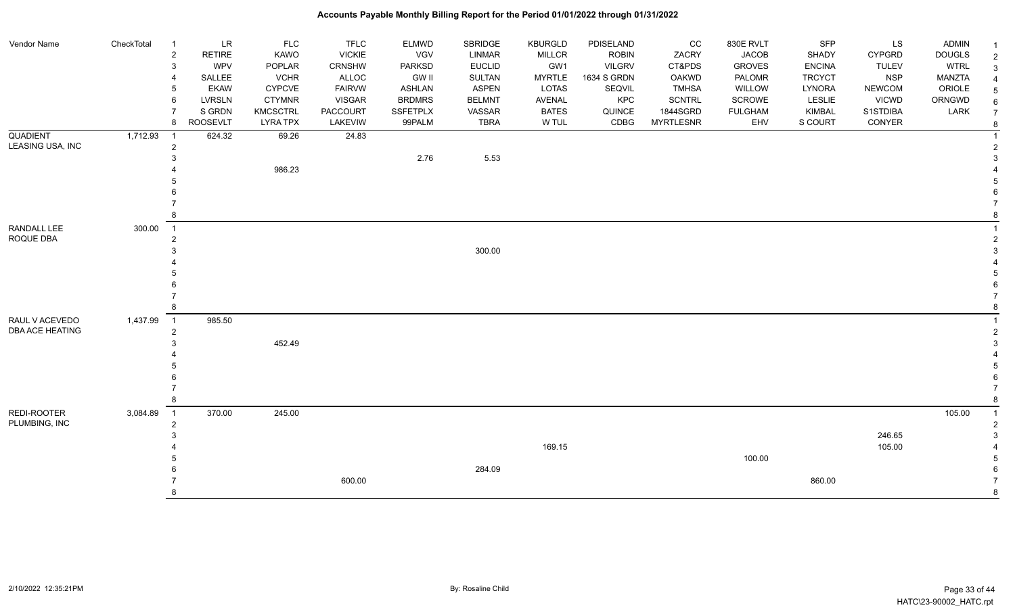| Vendor Name      | CheckTotal | $\overline{1}$ | <b>LR</b>       | <b>FLC</b>      | <b>TFLC</b>     | <b>ELMWD</b>  | SBRIDGE       | <b>KBURGLD</b> | PDISELAND     | CC               | 830E RVLT      | <b>SFP</b>    | LS            | ADMIN         |                |
|------------------|------------|----------------|-----------------|-----------------|-----------------|---------------|---------------|----------------|---------------|------------------|----------------|---------------|---------------|---------------|----------------|
|                  |            | $\sqrt{2}$     | <b>RETIRE</b>   | <b>KAWO</b>     | <b>VICKIE</b>   | VGV           | <b>LINMAR</b> | <b>MILLCR</b>  | <b>ROBIN</b>  | ZACRY            | <b>JACOB</b>   | <b>SHADY</b>  | <b>CYPGRD</b> | <b>DOUGLS</b> | $\overline{2}$ |
|                  |            | 3              | <b>WPV</b>      | POPLAR          | <b>CRNSHW</b>   | <b>PARKSD</b> | <b>EUCLID</b> | GW1            | <b>VILGRV</b> | CT&PDS           | <b>GROVES</b>  | <b>ENCINA</b> | <b>TULEV</b>  | <b>WTRL</b>   | 3              |
|                  |            | 4              | SALLEE          | <b>VCHR</b>     | ALLOC           | GW II         | SULTAN        | <b>MYRTLE</b>  | 1634 S GRDN   | <b>OAKWD</b>     | PALOMR         | <b>TRCYCT</b> | <b>NSP</b>    | MANZTA        |                |
|                  |            | 5              | <b>EKAW</b>     | <b>CYPCVE</b>   | <b>FAIRVW</b>   | <b>ASHLAN</b> | <b>ASPEN</b>  | <b>LOTAS</b>   | SEQVIL        | <b>TMHSA</b>     | WILLOW         | <b>LYNORA</b> | <b>NEWCOM</b> | ORIOLE        |                |
|                  |            | 6              | <b>LVRSLN</b>   | <b>CTYMNR</b>   | <b>VISGAR</b>   | <b>BRDMRS</b> | <b>BELMNT</b> | AVENAL         | KPC           | <b>SCNTRL</b>    | SCROWE         | LESLIE        | <b>VICWD</b>  | ORNGWD        | 6              |
|                  |            |                | S GRDN          | <b>KMCSCTRL</b> | <b>PACCOURT</b> | SSFETPLX      | VASSAR        | <b>BATES</b>   | QUINCE        | 1844SGRD         | <b>FULGHAM</b> | <b>KIMBAL</b> | S1STDIBA      | LARK          | $\overline{7}$ |
|                  |            | 8              | <b>ROOSEVLT</b> | <b>LYRA TPX</b> | LAKEVIW         | 99PALM        | <b>TBRA</b>   | W TUL          | CDBG          | <b>MYRTLESNR</b> | EHV            | S COURT       | CONYER        |               | 8              |
| <b>QUADIENT</b>  | 1,712.93   | - 1            | 624.32          | 69.26           | 24.83           |               |               |                |               |                  |                |               |               |               |                |
| LEASING USA, INC |            | $\overline{c}$ |                 |                 |                 |               |               |                |               |                  |                |               |               |               | $\mathcal{P}$  |
|                  |            | 3              |                 |                 |                 | 2.76          | 5.53          |                |               |                  |                |               |               |               | 3              |
|                  |            |                |                 | 986.23          |                 |               |               |                |               |                  |                |               |               |               |                |
|                  |            |                |                 |                 |                 |               |               |                |               |                  |                |               |               |               |                |
|                  |            |                |                 |                 |                 |               |               |                |               |                  |                |               |               |               |                |
|                  |            |                |                 |                 |                 |               |               |                |               |                  |                |               |               |               |                |
|                  |            |                |                 |                 |                 |               |               |                |               |                  |                |               |               |               |                |
| RANDALL LEE      | 300.00     | $\overline{1}$ |                 |                 |                 |               |               |                |               |                  |                |               |               |               |                |
| ROQUE DBA        |            | $\overline{2}$ |                 |                 |                 |               |               |                |               |                  |                |               |               |               |                |
|                  |            |                |                 |                 |                 |               | 300.00        |                |               |                  |                |               |               |               |                |
|                  |            |                |                 |                 |                 |               |               |                |               |                  |                |               |               |               |                |
|                  |            |                |                 |                 |                 |               |               |                |               |                  |                |               |               |               |                |
|                  |            |                |                 |                 |                 |               |               |                |               |                  |                |               |               |               |                |
|                  |            |                |                 |                 |                 |               |               |                |               |                  |                |               |               |               |                |
|                  |            | 8              |                 |                 |                 |               |               |                |               |                  |                |               |               |               |                |
| RAUL V ACEVEDO   | 1,437.99   | $\overline{1}$ | 985.50          |                 |                 |               |               |                |               |                  |                |               |               |               |                |
| DBA ACE HEATING  |            | $\overline{2}$ |                 |                 |                 |               |               |                |               |                  |                |               |               |               | $\overline{2}$ |
|                  |            |                |                 | 452.49          |                 |               |               |                |               |                  |                |               |               |               |                |
|                  |            |                |                 |                 |                 |               |               |                |               |                  |                |               |               |               |                |
|                  |            |                |                 |                 |                 |               |               |                |               |                  |                |               |               |               |                |
|                  |            |                |                 |                 |                 |               |               |                |               |                  |                |               |               |               |                |
|                  |            | 8              |                 |                 |                 |               |               |                |               |                  |                |               |               |               | 8              |
| REDI-ROOTER      |            |                |                 |                 |                 |               |               |                |               |                  |                |               |               |               | $\overline{1}$ |
| PLUMBING, INC    | 3,084.89   | $\overline{1}$ | 370.00          | 245.00          |                 |               |               |                |               |                  |                |               |               | 105.00        | $\overline{2}$ |
|                  |            | $\overline{2}$ |                 |                 |                 |               |               |                |               |                  |                |               | 246.65        |               | 3              |
|                  |            |                |                 |                 |                 |               |               | 169.15         |               |                  |                |               | 105.00        |               |                |
|                  |            |                |                 |                 |                 |               |               |                |               |                  | 100.00         |               |               |               |                |
|                  |            |                |                 |                 |                 |               | 284.09        |                |               |                  |                |               |               |               |                |
|                  |            |                |                 |                 | 600.00          |               |               |                |               |                  |                | 860.00        |               |               |                |
|                  |            |                |                 |                 |                 |               |               |                |               |                  |                |               |               |               | $\mathsf{R}$   |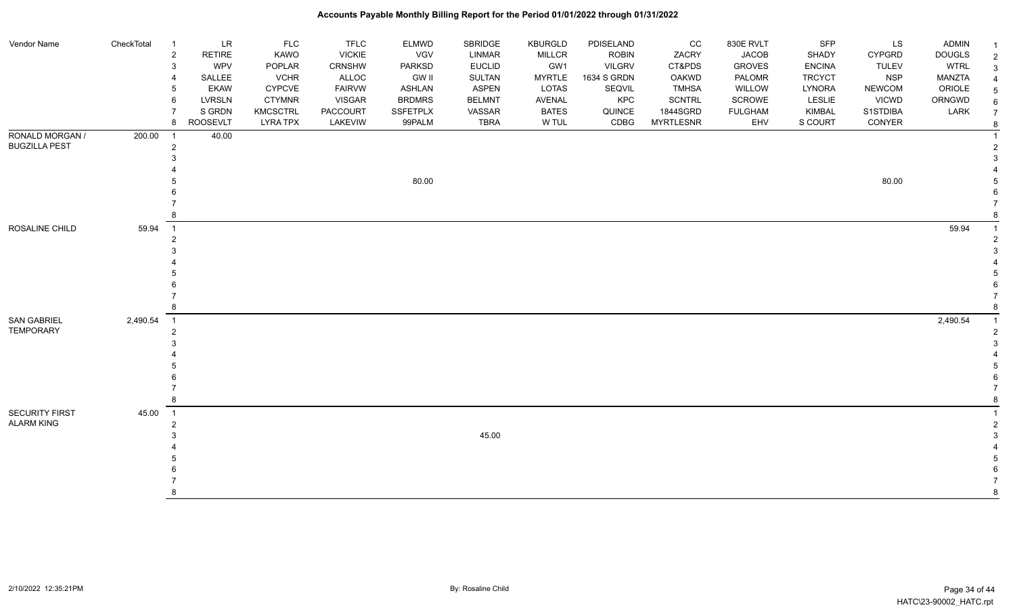| Vendor Name           | CheckTotal | $\overline{1}$ | <b>LR</b>     | <b>FLC</b>      | <b>TFLC</b>     | <b>ELMWD</b>    | SBRIDGE       | <b>KBURGLD</b> | PDISELAND     | CC               | 830E RVLT      | SFP           | <b>LS</b>     | <b>ADMIN</b>  |  |
|-----------------------|------------|----------------|---------------|-----------------|-----------------|-----------------|---------------|----------------|---------------|------------------|----------------|---------------|---------------|---------------|--|
|                       |            | $\overline{c}$ | <b>RETIRE</b> | KAWO            | <b>VICKIE</b>   | <b>VGV</b>      | LINMAR        | MILLCR         | <b>ROBIN</b>  | ZACRY            | <b>JACOB</b>   | <b>SHADY</b>  | <b>CYPGRD</b> | <b>DOUGLS</b> |  |
|                       |            | 3              | <b>WPV</b>    | POPLAR          | <b>CRNSHW</b>   | <b>PARKSD</b>   | <b>EUCLID</b> | GW1            | <b>VILGRV</b> | CT&PDS           | <b>GROVES</b>  | <b>ENCINA</b> | TULEV         | <b>WTRL</b>   |  |
|                       |            | $\overline{4}$ | SALLEE        | <b>VCHR</b>     | ALLOC           | <b>GW II</b>    | <b>SULTAN</b> | <b>MYRTLE</b>  | 1634 S GRDN   | OAKWD            | PALOMR         | <b>TRCYCT</b> | <b>NSP</b>    | MANZTA        |  |
|                       |            | 5              | <b>EKAW</b>   | <b>CYPCVE</b>   | <b>FAIRVW</b>   | <b>ASHLAN</b>   | <b>ASPEN</b>  | <b>LOTAS</b>   | SEQVIL        | <b>TMHSA</b>     | WILLOW         | LYNORA        | <b>NEWCOM</b> | ORIOLE        |  |
|                       |            | 6              | <b>LVRSLN</b> | <b>CTYMNR</b>   | <b>VISGAR</b>   | <b>BRDMRS</b>   | <b>BELMNT</b> | AVENAL         | <b>KPC</b>    | <b>SCNTRL</b>    | SCROWE         | LESLIE        | <b>VICWD</b>  | ORNGWD        |  |
|                       |            | $\overline{7}$ | S GRDN        | <b>KMCSCTRL</b> | <b>PACCOURT</b> | <b>SSFETPLX</b> | VASSAR        | <b>BATES</b>   | QUINCE        | 1844SGRD         | <b>FULGHAM</b> | <b>KIMBAL</b> | S1STDIBA      | LARK          |  |
|                       |            | 8              | ROOSEVLT      | LYRA TPX        | LAKEVIW         | 99PALM          | <b>TBRA</b>   | W TUL          | CDBG          | <b>MYRTLESNR</b> | EHV            | S COURT       | CONYER        |               |  |
| RONALD MORGAN /       | 200.00     | $\overline{1}$ | 40.00         |                 |                 |                 |               |                |               |                  |                |               |               |               |  |
| <b>BUGZILLA PEST</b>  |            | $\overline{2}$ |               |                 |                 |                 |               |                |               |                  |                |               |               |               |  |
|                       |            | 3              |               |                 |                 |                 |               |                |               |                  |                |               |               |               |  |
|                       |            |                |               |                 |                 |                 |               |                |               |                  |                |               |               |               |  |
|                       |            |                |               |                 |                 | 80.00           |               |                |               |                  |                |               | 80.00         |               |  |
|                       |            |                |               |                 |                 |                 |               |                |               |                  |                |               |               |               |  |
|                       |            |                |               |                 |                 |                 |               |                |               |                  |                |               |               |               |  |
|                       |            | 8              |               |                 |                 |                 |               |                |               |                  |                |               |               |               |  |
| ROSALINE CHILD        | 59.94      | $\overline{1}$ |               |                 |                 |                 |               |                |               |                  |                |               |               | 59.94         |  |
|                       |            | $\overline{2}$ |               |                 |                 |                 |               |                |               |                  |                |               |               |               |  |
|                       |            |                |               |                 |                 |                 |               |                |               |                  |                |               |               |               |  |
|                       |            |                |               |                 |                 |                 |               |                |               |                  |                |               |               |               |  |
|                       |            |                |               |                 |                 |                 |               |                |               |                  |                |               |               |               |  |
|                       |            |                |               |                 |                 |                 |               |                |               |                  |                |               |               |               |  |
|                       |            |                |               |                 |                 |                 |               |                |               |                  |                |               |               |               |  |
|                       |            | 8              |               |                 |                 |                 |               |                |               |                  |                |               |               |               |  |
| <b>SAN GABRIEL</b>    | 2,490.54   | $\overline{1}$ |               |                 |                 |                 |               |                |               |                  |                |               |               | 2,490.54      |  |
| <b>TEMPORARY</b>      |            | $\overline{2}$ |               |                 |                 |                 |               |                |               |                  |                |               |               |               |  |
|                       |            | 3              |               |                 |                 |                 |               |                |               |                  |                |               |               |               |  |
|                       |            |                |               |                 |                 |                 |               |                |               |                  |                |               |               |               |  |
|                       |            |                |               |                 |                 |                 |               |                |               |                  |                |               |               |               |  |
|                       |            |                |               |                 |                 |                 |               |                |               |                  |                |               |               |               |  |
|                       |            |                |               |                 |                 |                 |               |                |               |                  |                |               |               |               |  |
|                       |            | 8              |               |                 |                 |                 |               |                |               |                  |                |               |               |               |  |
| <b>SECURITY FIRST</b> | 45.00      | $\overline{1}$ |               |                 |                 |                 |               |                |               |                  |                |               |               |               |  |
| <b>ALARM KING</b>     |            | $\overline{2}$ |               |                 |                 |                 |               |                |               |                  |                |               |               |               |  |
|                       |            |                |               |                 |                 |                 | 45.00         |                |               |                  |                |               |               |               |  |
|                       |            |                |               |                 |                 |                 |               |                |               |                  |                |               |               |               |  |
|                       |            |                |               |                 |                 |                 |               |                |               |                  |                |               |               |               |  |
|                       |            |                |               |                 |                 |                 |               |                |               |                  |                |               |               |               |  |
|                       |            |                |               |                 |                 |                 |               |                |               |                  |                |               |               |               |  |
|                       |            | я              |               |                 |                 |                 |               |                |               |                  |                |               |               |               |  |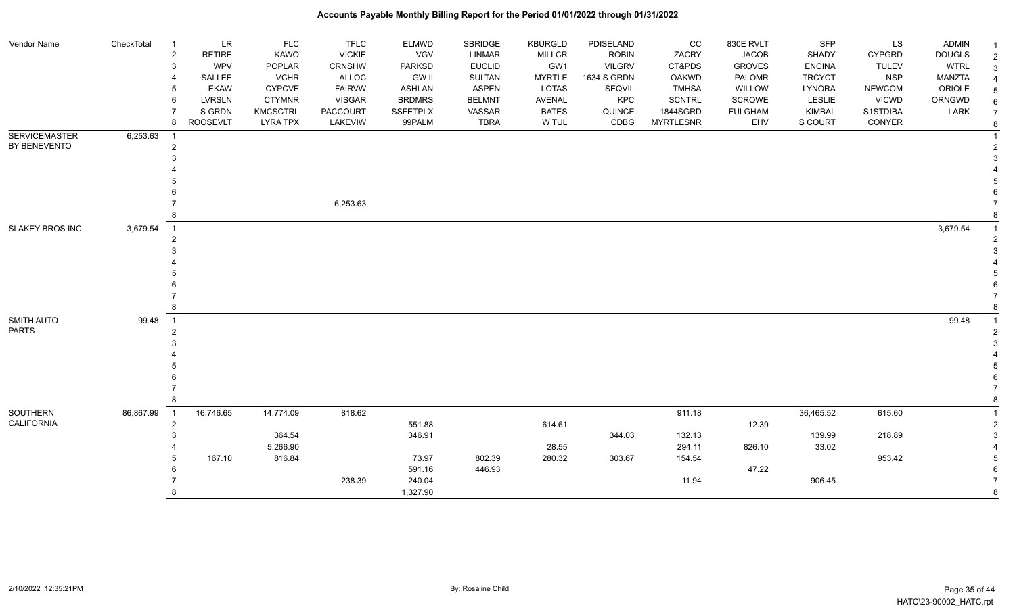| Vendor Name            | CheckTotal | - 1                        | <b>LR</b>       | <b>FLC</b>         | <b>TFLC</b>   | <b>ELMWD</b>     | <b>SBRIDGE</b> | <b>KBURGLD</b> | PDISELAND     | CC               | 830E RVLT      | <b>SFP</b>      | LS            | <b>ADMIN</b>  |                     |
|------------------------|------------|----------------------------|-----------------|--------------------|---------------|------------------|----------------|----------------|---------------|------------------|----------------|-----------------|---------------|---------------|---------------------|
|                        |            | $\overline{2}$             | <b>RETIRE</b>   | KAWO               | <b>VICKIE</b> | VGV              | <b>LINMAR</b>  | MILLCR         | <b>ROBIN</b>  | ZACRY            | <b>JACOB</b>   | SHADY           | <b>CYPGRD</b> | <b>DOUGLS</b> | $\overline{2}$      |
|                        |            | 3                          | WPV             | POPLAR             | <b>CRNSHW</b> | <b>PARKSD</b>    | <b>EUCLID</b>  | GW1            | <b>VILGRV</b> | CT&PDS           | <b>GROVES</b>  | <b>ENCINA</b>   | <b>TULEV</b>  | <b>WTRL</b>   | 3                   |
|                        |            |                            | SALLEE          | <b>VCHR</b>        | ALLOC         | <b>GW II</b>     | <b>SULTAN</b>  | <b>MYRTLE</b>  | 1634 S GRDN   | <b>OAKWD</b>     | PALOMR         | <b>TRCYCT</b>   | <b>NSP</b>    | <b>MANZTA</b> |                     |
|                        |            |                            | <b>EKAW</b>     | <b>CYPCVE</b>      | <b>FAIRVW</b> | <b>ASHLAN</b>    | <b>ASPEN</b>   | LOTAS          | SEQVIL        | <b>TMHSA</b>     | WILLOW         | <b>LYNORA</b>   | <b>NEWCOM</b> | ORIOLE        | 5                   |
|                        |            | 6                          | <b>LVRSLN</b>   | <b>CTYMNR</b>      | <b>VISGAR</b> | <b>BRDMRS</b>    | <b>BELMNT</b>  | <b>AVENAL</b>  | KPC           | <b>SCNTRL</b>    | SCROWE         | LESLIE          | <b>VICWD</b>  | ORNGWD        | 6                   |
|                        |            |                            | S GRDN          | KMCSCTRL           | PACCOURT      | <b>SSFETPLX</b>  | VASSAR         | <b>BATES</b>   | QUINCE        | 1844SGRD         | <b>FULGHAM</b> | <b>KIMBAL</b>   | S1STDIBA      | LARK          | $\overline{7}$      |
|                        |            | 8                          | <b>ROOSEVLT</b> | <b>LYRA TPX</b>    | LAKEVIW       | 99PALM           | <b>TBRA</b>    | W TUL          | CDBG          | <b>MYRTLESNR</b> | EHV            | S COURT         | CONYER        |               | 8                   |
| <b>SERVICEMASTER</b>   | 6,253.63   |                            |                 |                    |               |                  |                |                |               |                  |                |                 |               |               |                     |
| BY BENEVENTO           |            | $\overline{2}$             |                 |                    |               |                  |                |                |               |                  |                |                 |               |               |                     |
|                        |            |                            |                 |                    |               |                  |                |                |               |                  |                |                 |               |               |                     |
|                        |            |                            |                 |                    |               |                  |                |                |               |                  |                |                 |               |               |                     |
|                        |            |                            |                 |                    |               |                  |                |                |               |                  |                |                 |               |               |                     |
|                        |            |                            |                 |                    |               |                  |                |                |               |                  |                |                 |               |               |                     |
|                        |            |                            |                 |                    | 6,253.63      |                  |                |                |               |                  |                |                 |               |               |                     |
|                        |            |                            |                 |                    |               |                  |                |                |               |                  |                |                 |               |               |                     |
| <b>SLAKEY BROS INC</b> | 3,679.54   | $\overline{\phantom{0}}$ 1 |                 |                    |               |                  |                |                |               |                  |                |                 |               | 3,679.54      |                     |
|                        |            |                            |                 |                    |               |                  |                |                |               |                  |                |                 |               |               | 2                   |
|                        |            |                            |                 |                    |               |                  |                |                |               |                  |                |                 |               |               |                     |
|                        |            |                            |                 |                    |               |                  |                |                |               |                  |                |                 |               |               |                     |
|                        |            |                            |                 |                    |               |                  |                |                |               |                  |                |                 |               |               |                     |
|                        |            |                            |                 |                    |               |                  |                |                |               |                  |                |                 |               |               |                     |
|                        |            |                            |                 |                    |               |                  |                |                |               |                  |                |                 |               |               |                     |
|                        |            |                            |                 |                    |               |                  |                |                |               |                  |                |                 |               |               |                     |
| <b>SMITH AUTO</b>      | 99.48      | $\overline{1}$             |                 |                    |               |                  |                |                |               |                  |                |                 |               | 99.48         |                     |
| <b>PARTS</b>           |            | $\mathfrak{p}$             |                 |                    |               |                  |                |                |               |                  |                |                 |               |               |                     |
|                        |            |                            |                 |                    |               |                  |                |                |               |                  |                |                 |               |               |                     |
|                        |            |                            |                 |                    |               |                  |                |                |               |                  |                |                 |               |               |                     |
|                        |            |                            |                 |                    |               |                  |                |                |               |                  |                |                 |               |               |                     |
|                        |            |                            |                 |                    |               |                  |                |                |               |                  |                |                 |               |               |                     |
|                        |            |                            |                 |                    |               |                  |                |                |               |                  |                |                 |               |               |                     |
|                        |            |                            |                 |                    |               |                  |                |                |               |                  |                |                 |               |               |                     |
| SOUTHERN<br>CALIFORNIA | 86,867.99  | $\overline{1}$             | 16,746.65       | 14,774.09          | 818.62        |                  |                |                |               | 911.18           |                | 36,465.52       | 615.60        |               |                     |
|                        |            | $\overline{2}$             |                 |                    |               | 551.88<br>346.91 |                | 614.61         |               |                  | 12.39          |                 |               |               | $\overline{2}$<br>3 |
|                        |            |                            |                 | 364.54<br>5,266.90 |               |                  |                | 28.55          | 344.03        | 132.13<br>294.11 | 826.10         | 139.99<br>33.02 | 218.89        |               |                     |
|                        |            |                            | 167.10          | 816.84             |               | 73.97            | 802.39         | 280.32         | 303.67        | 154.54           |                |                 | 953.42        |               | 5                   |
|                        |            |                            |                 |                    |               | 591.16           | 446.93         |                |               |                  | 47.22          |                 |               |               |                     |
|                        |            |                            |                 |                    | 238.39        | 240.04           |                |                |               | 11.94            |                | 906.45          |               |               |                     |
|                        |            |                            |                 |                    |               | 1,327.90         |                |                |               |                  |                |                 |               |               | 8                   |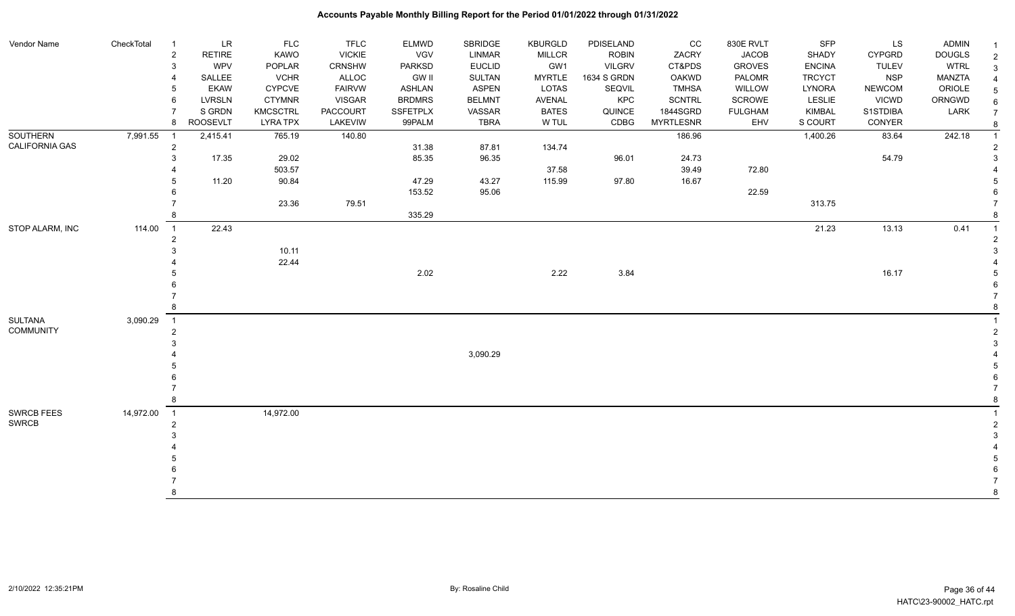| Vendor Name           | CheckTotal | $\overline{1}$ | <b>LR</b>       | <b>FLC</b>      | <b>TFLC</b>   | <b>ELMWD</b>    | SBRIDGE       | <b>KBURGLD</b> | PDISELAND     | CC               | 830E RVLT      | SFP           | LS            | ADMIN         |                |
|-----------------------|------------|----------------|-----------------|-----------------|---------------|-----------------|---------------|----------------|---------------|------------------|----------------|---------------|---------------|---------------|----------------|
|                       |            | $\overline{2}$ | <b>RETIRE</b>   | KAWO            | <b>VICKIE</b> | <b>VGV</b>      | <b>LINMAR</b> | <b>MILLCR</b>  | <b>ROBIN</b>  | ZACRY            | <b>JACOB</b>   | <b>SHADY</b>  | <b>CYPGRD</b> | <b>DOUGLS</b> | $\overline{2}$ |
|                       |            | 3              | WPV             | POPLAR          | CRNSHW        | <b>PARKSD</b>   | <b>EUCLID</b> | GW1            | <b>VILGRV</b> | CT&PDS           | <b>GROVES</b>  | <b>ENCINA</b> | <b>TULEV</b>  | <b>WTRL</b>   | $\mathbf{3}$   |
|                       |            |                | SALLEE          | <b>VCHR</b>     | ALLOC         | <b>GW II</b>    | <b>SULTAN</b> | <b>MYRTLE</b>  | 1634 S GRDN   | OAKWD            | PALOMR         | <b>TRCYCT</b> | <b>NSP</b>    | MANZTA        | $\overline{4}$ |
|                       |            |                | <b>EKAW</b>     | <b>CYPCVE</b>   | <b>FAIRVW</b> | <b>ASHLAN</b>   | <b>ASPEN</b>  | LOTAS          | SEQVIL        | <b>TMHSA</b>     | WILLOW         | <b>LYNORA</b> | <b>NEWCOM</b> | ORIOLE        | $\sqrt{5}$     |
|                       |            | 6              | LVRSLN          | <b>CTYMNR</b>   | <b>VISGAR</b> | <b>BRDMRS</b>   | <b>BELMNT</b> | AVENAL         | KPC           | <b>SCNTRL</b>    | SCROWE         | LESLIE        | <b>VICWD</b>  | ORNGWD        | $\,6$          |
|                       |            |                | S GRDN          | <b>KMCSCTRL</b> | PACCOURT      | <b>SSFETPLX</b> | VASSAR        | <b>BATES</b>   | QUINCE        | 1844SGRD         | <b>FULGHAM</b> | <b>KIMBAL</b> | S1STDIBA      | LARK          | $\overline{7}$ |
|                       |            | 8              | <b>ROOSEVLT</b> | <b>LYRA TPX</b> | LAKEVIW       | 99PALM          | <b>TBRA</b>   | W TUL          | CDBG          | <b>MYRTLESNR</b> | EHV            | S COURT       | CONYER        |               |                |
| <b>SOUTHERN</b>       | 7,991.55   | - 1            | 2,415.41        | 765.19          | 140.80        |                 |               |                |               | 186.96           |                | 1,400.26      | 83.64         | 242.18        |                |
| <b>CALIFORNIA GAS</b> |            | $\overline{2}$ |                 |                 |               | 31.38           | 87.81         | 134.74         |               |                  |                |               |               |               |                |
|                       |            | 3              | 17.35           | 29.02           |               | 85.35           | 96.35         |                | 96.01         | 24.73            |                |               | 54.79         |               | 3              |
|                       |            |                |                 | 503.57          |               |                 |               | 37.58          |               | 39.49            | 72.80          |               |               |               |                |
|                       |            |                | 11.20           | 90.84           |               | 47.29           | 43.27         | 115.99         | 97.80         | 16.67            |                |               |               |               |                |
|                       |            |                |                 |                 |               | 153.52          | 95.06         |                |               |                  | 22.59          |               |               |               |                |
|                       |            |                |                 | 23.36           | 79.51         |                 |               |                |               |                  |                | 313.75        |               |               |                |
|                       |            |                |                 |                 |               | 335.29          |               |                |               |                  |                |               |               |               |                |
| STOP ALARM, INC       | 114.00     | $\overline{1}$ | 22.43           |                 |               |                 |               |                |               |                  |                | 21.23         | 13.13         | 0.41          |                |
|                       |            |                |                 |                 |               |                 |               |                |               |                  |                |               |               |               |                |
|                       |            |                |                 | 10.11           |               |                 |               |                |               |                  |                |               |               |               |                |
|                       |            |                |                 | 22.44           |               |                 |               |                |               |                  |                |               |               |               |                |
|                       |            |                |                 |                 |               | 2.02            |               | 2.22           | 3.84          |                  |                |               | 16.17         |               |                |
|                       |            |                |                 |                 |               |                 |               |                |               |                  |                |               |               |               |                |
|                       |            |                |                 |                 |               |                 |               |                |               |                  |                |               |               |               |                |
|                       |            |                |                 |                 |               |                 |               |                |               |                  |                |               |               |               |                |
| <b>SULTANA</b>        | 3,090.29   | $\overline{1}$ |                 |                 |               |                 |               |                |               |                  |                |               |               |               |                |
| <b>COMMUNITY</b>      |            |                |                 |                 |               |                 |               |                |               |                  |                |               |               |               |                |
|                       |            |                |                 |                 |               |                 |               |                |               |                  |                |               |               |               |                |
|                       |            |                |                 |                 |               |                 | 3,090.29      |                |               |                  |                |               |               |               |                |
|                       |            |                |                 |                 |               |                 |               |                |               |                  |                |               |               |               |                |
|                       |            |                |                 |                 |               |                 |               |                |               |                  |                |               |               |               |                |
|                       |            |                |                 |                 |               |                 |               |                |               |                  |                |               |               |               |                |
|                       |            |                |                 |                 |               |                 |               |                |               |                  |                |               |               |               |                |
| SWRCB FEES            | 14,972.00  | $\overline{1}$ |                 | 14,972.00       |               |                 |               |                |               |                  |                |               |               |               |                |
| <b>SWRCB</b>          |            |                |                 |                 |               |                 |               |                |               |                  |                |               |               |               | $\overline{2}$ |
|                       |            |                |                 |                 |               |                 |               |                |               |                  |                |               |               |               |                |
|                       |            |                |                 |                 |               |                 |               |                |               |                  |                |               |               |               |                |
|                       |            |                |                 |                 |               |                 |               |                |               |                  |                |               |               |               |                |
|                       |            |                |                 |                 |               |                 |               |                |               |                  |                |               |               |               |                |
|                       |            |                |                 |                 |               |                 |               |                |               |                  |                |               |               |               |                |
|                       |            |                |                 |                 |               |                 |               |                |               |                  |                |               |               |               | 8              |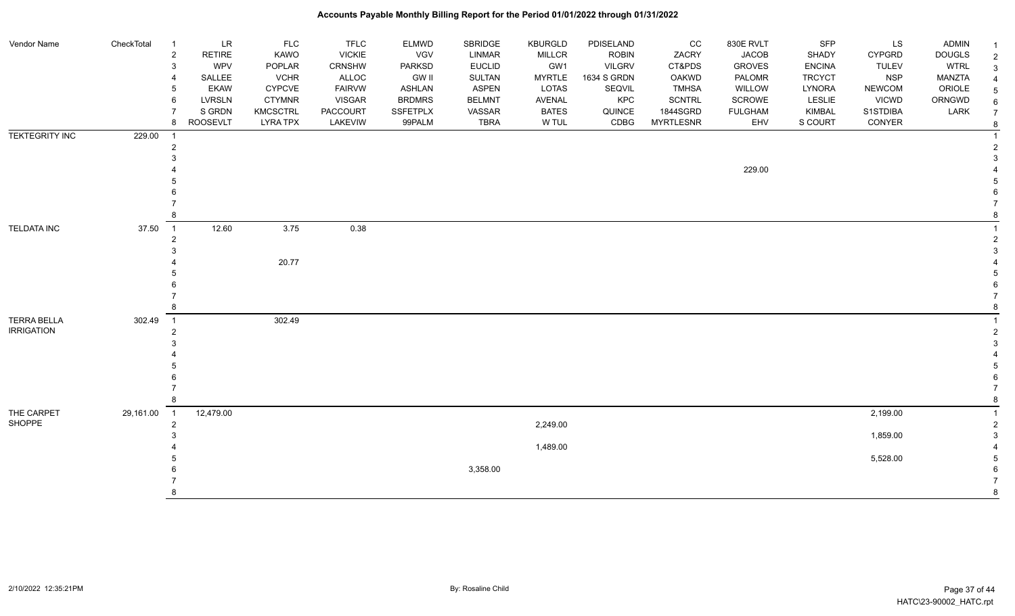| Vendor Name           | CheckTotal | $\overline{1}$          | $\ensuremath{\mathsf{LR}}\xspace$ | FLC             | <b>TFLC</b>   | ELMWD         | SBRIDGE       | <b>KBURGLD</b> | PDISELAND     | cc               | 830E RVLT      | <b>SFP</b>    | LS            | <b>ADMIN</b>  |   |
|-----------------------|------------|-------------------------|-----------------------------------|-----------------|---------------|---------------|---------------|----------------|---------------|------------------|----------------|---------------|---------------|---------------|---|
|                       |            | $\overline{2}$          | <b>RETIRE</b>                     | KAWO            | <b>VICKIE</b> | VGV           | <b>LINMAR</b> | <b>MILLCR</b>  | <b>ROBIN</b>  | ZACRY            | <b>JACOB</b>   | SHADY         | <b>CYPGRD</b> | <b>DOUGLS</b> |   |
|                       |            | $\mathbf{3}$            | <b>WPV</b>                        | POPLAR          | CRNSHW        | <b>PARKSD</b> | <b>EUCLID</b> | GW1            | <b>VILGRV</b> | CT&PDS           | <b>GROVES</b>  | <b>ENCINA</b> | <b>TULEV</b>  | <b>WTRL</b>   | 3 |
|                       |            | $\overline{4}$          | SALLEE                            | <b>VCHR</b>     | ALLOC         | GW II         | <b>SULTAN</b> | <b>MYRTLE</b>  | 1634 S GRDN   | OAKWD            | PALOMR         | <b>TRCYCT</b> | <b>NSP</b>    | MANZTA        |   |
|                       |            | 5                       | <b>EKAW</b>                       | <b>CYPCVE</b>   | <b>FAIRVW</b> | <b>ASHLAN</b> | <b>ASPEN</b>  | <b>LOTAS</b>   | SEQVIL        | <b>TMHSA</b>     | WILLOW         | LYNORA        | <b>NEWCOM</b> | ORIOLE        |   |
|                       |            | 6                       | <b>LVRSLN</b>                     | <b>CTYMNR</b>   | <b>VISGAR</b> | <b>BRDMRS</b> | <b>BELMNT</b> | AVENAL         | KPC           | <b>SCNTRL</b>    | <b>SCROWE</b>  | LESLIE        | <b>VICWD</b>  | ORNGWD        |   |
|                       |            |                         | S GRDN                            | <b>KMCSCTRL</b> | PACCOURT      | SSFETPLX      | VASSAR        | <b>BATES</b>   | QUINCE        | 1844SGRD         | <b>FULGHAM</b> | KIMBAL        | S1STDIBA      | LARK          |   |
|                       |            | 8                       | <b>ROOSEVLT</b>                   | <b>LYRA TPX</b> | LAKEVIW       | 99PALM        | <b>TBRA</b>   | W TUL          | CDBG          | <b>MYRTLESNR</b> | EHV            | S COURT       | CONYER        |               |   |
| <b>TEKTEGRITY INC</b> | 229.00     | $\overline{\mathbf{1}}$ |                                   |                 |               |               |               |                |               |                  |                |               |               |               |   |
|                       |            | $\overline{c}$          |                                   |                 |               |               |               |                |               |                  |                |               |               |               |   |
|                       |            | 3                       |                                   |                 |               |               |               |                |               |                  |                |               |               |               |   |
|                       |            |                         |                                   |                 |               |               |               |                |               |                  | 229.00         |               |               |               |   |
|                       |            |                         |                                   |                 |               |               |               |                |               |                  |                |               |               |               |   |
|                       |            |                         |                                   |                 |               |               |               |                |               |                  |                |               |               |               |   |
|                       |            |                         |                                   |                 |               |               |               |                |               |                  |                |               |               |               |   |
|                       |            | 8                       |                                   |                 |               |               |               |                |               |                  |                |               |               |               |   |
| <b>TELDATA INC</b>    | 37.50      | $\overline{1}$          | 12.60                             | 3.75            | 0.38          |               |               |                |               |                  |                |               |               |               |   |
|                       |            | $\overline{c}$          |                                   |                 |               |               |               |                |               |                  |                |               |               |               |   |
|                       |            | 3                       |                                   |                 |               |               |               |                |               |                  |                |               |               |               |   |
|                       |            |                         |                                   | 20.77           |               |               |               |                |               |                  |                |               |               |               |   |
|                       |            |                         |                                   |                 |               |               |               |                |               |                  |                |               |               |               |   |
|                       |            |                         |                                   |                 |               |               |               |                |               |                  |                |               |               |               |   |
|                       |            |                         |                                   |                 |               |               |               |                |               |                  |                |               |               |               |   |
|                       |            | 8                       |                                   |                 |               |               |               |                |               |                  |                |               |               |               |   |
| <b>TERRA BELLA</b>    | 302.49     | $\overline{1}$          |                                   | 302.49          |               |               |               |                |               |                  |                |               |               |               |   |
| <b>IRRIGATION</b>     |            | $\overline{c}$          |                                   |                 |               |               |               |                |               |                  |                |               |               |               |   |
|                       |            | 3                       |                                   |                 |               |               |               |                |               |                  |                |               |               |               |   |
|                       |            |                         |                                   |                 |               |               |               |                |               |                  |                |               |               |               |   |
|                       |            |                         |                                   |                 |               |               |               |                |               |                  |                |               |               |               |   |
|                       |            |                         |                                   |                 |               |               |               |                |               |                  |                |               |               |               |   |
|                       |            |                         |                                   |                 |               |               |               |                |               |                  |                |               |               |               |   |
|                       |            | 8                       |                                   |                 |               |               |               |                |               |                  |                |               |               |               |   |
| THE CARPET            | 29,161.00  | $\overline{1}$          | 12,479.00                         |                 |               |               |               |                |               |                  |                |               | 2,199.00      |               |   |
| SHOPPE                |            | $\overline{2}$          |                                   |                 |               |               |               | 2,249.00       |               |                  |                |               |               |               |   |
|                       |            | 3                       |                                   |                 |               |               |               |                |               |                  |                |               | 1,859.00      |               |   |
|                       |            |                         |                                   |                 |               |               |               | 1,489.00       |               |                  |                |               |               |               |   |
|                       |            |                         |                                   |                 |               |               |               |                |               |                  |                |               | 5,528.00      |               |   |
|                       |            |                         |                                   |                 |               |               | 3,358.00      |                |               |                  |                |               |               |               |   |
|                       |            |                         |                                   |                 |               |               |               |                |               |                  |                |               |               |               |   |
|                       |            | 8                       |                                   |                 |               |               |               |                |               |                  |                |               |               |               |   |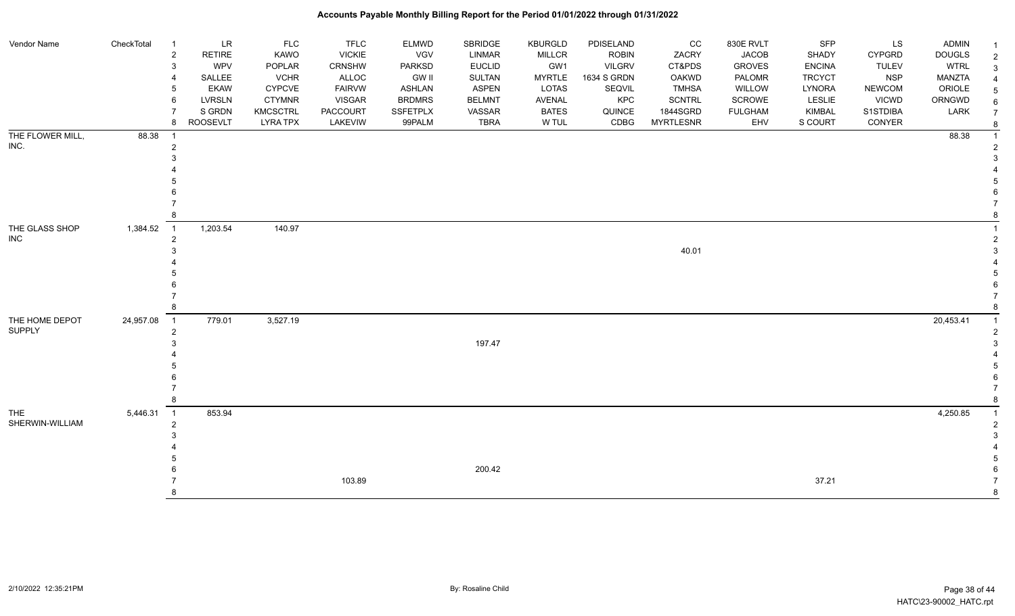| Vendor Name                   | CheckTotal | $\overline{1}$ | LR              | <b>FLC</b>      | <b>TFLC</b>   | <b>ELMWD</b>  | <b>SBRIDGE</b> | KBURGLD       | PDISELAND     | CC               | 830E RVLT      | <b>SFP</b>    | LS            | <b>ADMIN</b>  | $\overline{1}$ |
|-------------------------------|------------|----------------|-----------------|-----------------|---------------|---------------|----------------|---------------|---------------|------------------|----------------|---------------|---------------|---------------|----------------|
|                               |            | $\overline{c}$ | <b>RETIRE</b>   | <b>KAWO</b>     | <b>VICKIE</b> | VGV           | <b>LINMAR</b>  | <b>MILLCR</b> | <b>ROBIN</b>  | ZACRY            | <b>JACOB</b>   | SHADY         | <b>CYPGRD</b> | <b>DOUGLS</b> | $\overline{2}$ |
|                               |            | 3              | <b>WPV</b>      | POPLAR          | CRNSHW        | <b>PARKSD</b> | <b>EUCLID</b>  | GW1           | <b>VILGRV</b> | CT&PDS           | <b>GROVES</b>  | <b>ENCINA</b> | <b>TULEV</b>  | <b>WTRL</b>   | 3              |
|                               |            | 4              | SALLEE          | <b>VCHR</b>     | ALLOC         | <b>GW II</b>  | <b>SULTAN</b>  | <b>MYRTLE</b> | 1634 S GRDN   | <b>OAKWD</b>     | PALOMR         | <b>TRCYCT</b> | <b>NSP</b>    | <b>MANZTA</b> |                |
|                               |            | 5              | <b>EKAW</b>     | <b>CYPCVE</b>   | <b>FAIRVW</b> | <b>ASHLAN</b> | <b>ASPEN</b>   | LOTAS         | SEQVIL        | <b>TMHSA</b>     | WILLOW         | LYNORA        | <b>NEWCOM</b> | ORIOLE        | 5              |
|                               |            | 6              | <b>LVRSLN</b>   | <b>CTYMNR</b>   | <b>VISGAR</b> | <b>BRDMRS</b> | <b>BELMNT</b>  | AVENAL        | KPC           | <b>SCNTRL</b>    | SCROWE         | <b>LESLIE</b> | <b>VICWD</b>  | ORNGWD        | 6              |
|                               |            |                | S GRDN          | <b>KMCSCTRL</b> | PACCOURT      | SSFETPLX      | VASSAR         | <b>BATES</b>  | QUINCE        | 1844SGRD         | <b>FULGHAM</b> | KIMBAL        | S1STDIBA      | LARK          | $\overline{7}$ |
|                               |            | 8              | <b>ROOSEVLT</b> | <b>LYRA TPX</b> | LAKEVIW       | 99PALM        | <b>TBRA</b>    | W TUL         | CDBG          | <b>MYRTLESNR</b> | EHV            | S COURT       | CONYER        |               | 8              |
| THE FLOWER MILL,              | 88.38      |                |                 |                 |               |               |                |               |               |                  |                |               |               | 88.38         |                |
| INC.                          |            | 2              |                 |                 |               |               |                |               |               |                  |                |               |               |               |                |
|                               |            |                |                 |                 |               |               |                |               |               |                  |                |               |               |               |                |
|                               |            |                |                 |                 |               |               |                |               |               |                  |                |               |               |               |                |
|                               |            |                |                 |                 |               |               |                |               |               |                  |                |               |               |               |                |
|                               |            |                |                 |                 |               |               |                |               |               |                  |                |               |               |               |                |
|                               |            |                |                 |                 |               |               |                |               |               |                  |                |               |               |               |                |
|                               |            |                |                 |                 |               |               |                |               |               |                  |                |               |               |               |                |
| THE GLASS SHOP                | 1,384.52   | $\overline{1}$ | 1,203.54        | 140.97          |               |               |                |               |               |                  |                |               |               |               |                |
| <b>INC</b>                    |            | $\overline{2}$ |                 |                 |               |               |                |               |               |                  |                |               |               |               |                |
|                               |            |                |                 |                 |               |               |                |               |               | 40.01            |                |               |               |               |                |
|                               |            |                |                 |                 |               |               |                |               |               |                  |                |               |               |               |                |
|                               |            |                |                 |                 |               |               |                |               |               |                  |                |               |               |               |                |
|                               |            |                |                 |                 |               |               |                |               |               |                  |                |               |               |               |                |
|                               |            |                |                 |                 |               |               |                |               |               |                  |                |               |               |               |                |
|                               |            |                |                 |                 |               |               |                |               |               |                  |                |               |               |               |                |
| THE HOME DEPOT                | 24,957.08  | $\overline{1}$ | 779.01          | 3,527.19        |               |               |                |               |               |                  |                |               |               | 20,453.41     |                |
| <b>SUPPLY</b>                 |            | 2              |                 |                 |               |               |                |               |               |                  |                |               |               |               |                |
|                               |            |                |                 |                 |               |               | 197.47         |               |               |                  |                |               |               |               |                |
|                               |            |                |                 |                 |               |               |                |               |               |                  |                |               |               |               |                |
|                               |            |                |                 |                 |               |               |                |               |               |                  |                |               |               |               |                |
|                               |            |                |                 |                 |               |               |                |               |               |                  |                |               |               |               |                |
|                               |            |                |                 |                 |               |               |                |               |               |                  |                |               |               |               | 8              |
|                               |            |                |                 |                 |               |               |                |               |               |                  |                |               |               |               |                |
| <b>THE</b><br>SHERWIN-WILLIAM | 5,446.31   | $\overline{1}$ | 853.94          |                 |               |               |                |               |               |                  |                |               |               | 4,250.85      |                |
|                               |            | $\overline{2}$ |                 |                 |               |               |                |               |               |                  |                |               |               |               |                |
|                               |            |                |                 |                 |               |               |                |               |               |                  |                |               |               |               |                |
|                               |            |                |                 |                 |               |               |                |               |               |                  |                |               |               |               |                |
|                               |            |                |                 |                 |               |               | 200.42         |               |               |                  |                |               |               |               |                |
|                               |            |                |                 |                 | 103.89        |               |                |               |               |                  |                | 37.21         |               |               |                |
|                               |            |                |                 |                 |               |               |                |               |               |                  |                |               |               |               | 8              |
|                               |            |                |                 |                 |               |               |                |               |               |                  |                |               |               |               |                |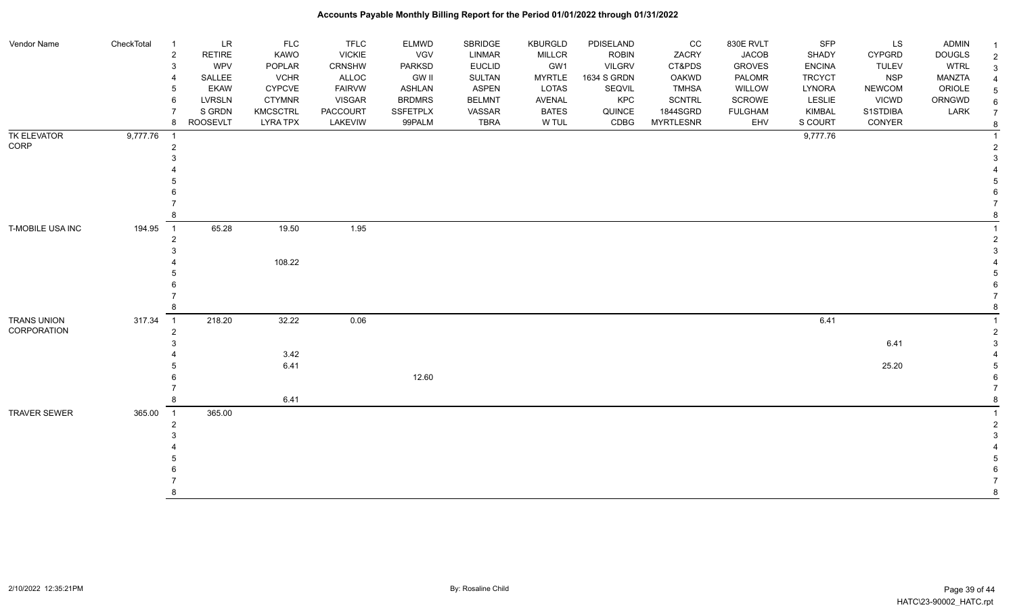#### Vendor Name CheckTotal 1 LR FLC FLC ELMWD SBRIDGE KBURGLD PDISELAND CC 830E RVLT SFP LS ADMIN <sub>1</sub> 2 RETIRE KAWO VICKIE VGV LINMAR MILLCR ROBIN ZACRY JACOB SHADY CYPGRD DOUGLS 2 3 WPV POPLAR CRNSHW PARKSD EUCLID GW1 VILGRV CT&PDS GROVES ENCINA TULEV WTRL 3 4 SALLEE VCHR ALLOC GW II SULTAN MYRTLE 1634 S GRDN OAKWD PALOMR TRCYCT NSP MANZTA 4 5 EKAW CYPCVE FAIRVW ASHLAN ASPEN LOTAS SEQVIL TMHSA WILLOW LYNORA NEWCOM ORIOLE 5 6 LVRSLN CTYMNR VISGAR BRDMRS BELMNT AVENAL KPC SCNTRL SCROWE LESLIE VICWD ORNGWD  $_{6}$ 7 SIGRDN KMCSCTRL PACCOURT SSFETPLX VASSAR BATES QUINCE 1844SGRD FULGHAM KIMBAL S1STDIBA LARK 7 8 ROOSEVLT LYRA TPX LAKEVIW 99PALM TBRA W TUL CDBG MYRTLESNR EHV S COURT CONYER <sub>8</sub> TK ELEVATOR CORP 9,777.76 1 9,777.76 1 2 2  $3<sup>3</sup>$  4 4 5 5  $6$  7 7 8 8 T-MOBILE USA INC 194.95 1 65.28 19.50 1 2 2  $3<sup>3</sup>$ 4 108.22 108.22 **108.22 108.22 108.22 10.0**  5 5  $6$  7 7 8 8 TRANS UNION CORPORATION 317.34 1 218.20 32.22 0.06 6.41 1 2 2  $3 \t 6.41$  3 4 3.42 3.42 5 6.41 25.20 5 **6** 12.60 6 7 7 8 6.41 8 TRAVER SEWER 365.00 1 365.00 1 2 2  $3<sup>3</sup>$  4 4 5 5  $6$  7 7 8 8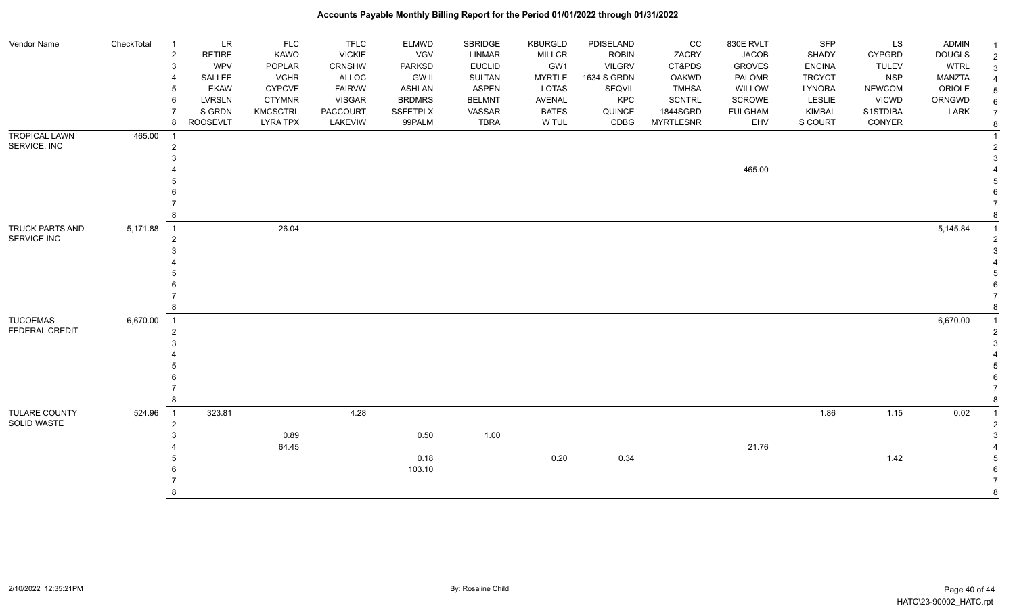| Vendor Name                              | CheckTotal | $\overline{1}$<br>$\overline{2}$<br>3<br>5<br>6<br>8 | <b>LR</b><br>RETIRE<br>WPV<br>SALLEE<br><b>EKAW</b><br><b>LVRSLN</b><br>S GRDN<br><b>ROOSEVLT</b> | <b>FLC</b><br>KAWO<br>POPLAR<br><b>VCHR</b><br><b>CYPCVE</b><br><b>CTYMNR</b><br><b>KMCSCTRL</b><br><b>LYRA TPX</b> | <b>TFLC</b><br><b>VICKIE</b><br>CRNSHW<br>ALLOC<br><b>FAIRVW</b><br><b>VISGAR</b><br><b>PACCOURT</b><br>LAKEVIW | <b>ELMWD</b><br>VGV<br>PARKSD<br><b>GW II</b><br><b>ASHLAN</b><br><b>BRDMRS</b><br>SSFETPLX<br>99PALM | <b>SBRIDGE</b><br>LINMAR<br><b>EUCLID</b><br><b>SULTAN</b><br><b>ASPEN</b><br><b>BELMNT</b><br>VASSAR<br><b>TBRA</b> | <b>KBURGLD</b><br><b>MILLCR</b><br>GW1<br><b>MYRTLE</b><br>LOTAS<br>AVENAL<br><b>BATES</b><br>W TUL | PDISELAND<br><b>ROBIN</b><br><b>VILGRV</b><br>1634 S GRDN<br>SEQVIL<br>KPC<br>QUINCE<br>CDBG | CC<br>ZACRY<br>CT&PDS<br><b>OAKWD</b><br><b>TMHSA</b><br><b>SCNTRL</b><br>1844SGRD<br><b>MYRTLESNR</b> | 830E RVLT<br><b>JACOB</b><br><b>GROVES</b><br>PALOMR<br>WILLOW<br>SCROWE<br><b>FULGHAM</b><br>EHV | <b>SFP</b><br>SHADY<br><b>ENCINA</b><br><b>TRCYCT</b><br>LYNORA<br>LESLIE<br>KIMBAL<br>S COURT | LS<br><b>CYPGRD</b><br><b>TULEV</b><br><b>NSP</b><br><b>NEWCOM</b><br><b>VICWD</b><br>S1STDIBA<br>CONYER | <b>ADMIN</b><br><b>DOUGLS</b><br><b>WTRL</b><br>MANZTA<br>ORIOLE<br>ORNGWD<br>LARK |  |
|------------------------------------------|------------|------------------------------------------------------|---------------------------------------------------------------------------------------------------|---------------------------------------------------------------------------------------------------------------------|-----------------------------------------------------------------------------------------------------------------|-------------------------------------------------------------------------------------------------------|----------------------------------------------------------------------------------------------------------------------|-----------------------------------------------------------------------------------------------------|----------------------------------------------------------------------------------------------|--------------------------------------------------------------------------------------------------------|---------------------------------------------------------------------------------------------------|------------------------------------------------------------------------------------------------|----------------------------------------------------------------------------------------------------------|------------------------------------------------------------------------------------|--|
| <b>TROPICAL LAWN</b><br>SERVICE, INC     | 465.00     | $\overline{2}$                                       |                                                                                                   |                                                                                                                     |                                                                                                                 |                                                                                                       |                                                                                                                      |                                                                                                     |                                                                                              |                                                                                                        | 465.00                                                                                            |                                                                                                |                                                                                                          |                                                                                    |  |
| TRUCK PARTS AND<br>SERVICE INC           | 5,171.88   | $\overline{1}$<br>2<br>8                             |                                                                                                   | 26.04                                                                                                               |                                                                                                                 |                                                                                                       |                                                                                                                      |                                                                                                     |                                                                                              |                                                                                                        |                                                                                                   |                                                                                                |                                                                                                          | 5,145.84                                                                           |  |
| <b>TUCOEMAS</b><br><b>FEDERAL CREDIT</b> | 6,670.00   | $\overline{1}$<br>$\overline{2}$<br>8                |                                                                                                   |                                                                                                                     |                                                                                                                 |                                                                                                       |                                                                                                                      |                                                                                                     |                                                                                              |                                                                                                        |                                                                                                   |                                                                                                |                                                                                                          | 6,670.00                                                                           |  |
| TULARE COUNTY<br>SOLID WASTE             | 524.96     | $\overline{1}$<br>$\overline{2}$<br>8                | 323.81                                                                                            | 0.89<br>64.45                                                                                                       | 4.28                                                                                                            | 0.50<br>0.18<br>103.10                                                                                | 1.00                                                                                                                 | 0.20                                                                                                | 0.34                                                                                         |                                                                                                        | 21.76                                                                                             | 1.86                                                                                           | 1.15<br>1.42                                                                                             | 0.02                                                                               |  |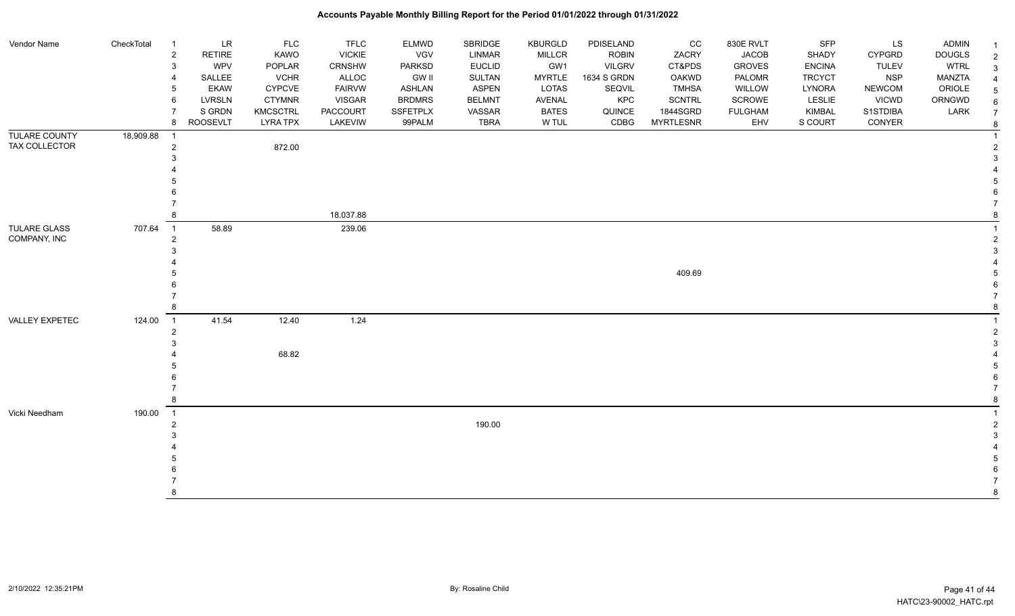| Vendor Name          | CheckTotal | $\overline{1}$             | LR              | <b>FLC</b>      | <b>TFLC</b>     | <b>ELMWD</b>  | SBRIDGE       | <b>KBURGLD</b> | PDISELAND     | cc               | 830E RVLT      | SFP           | <b>LS</b>     | <b>ADMIN</b>  |                |
|----------------------|------------|----------------------------|-----------------|-----------------|-----------------|---------------|---------------|----------------|---------------|------------------|----------------|---------------|---------------|---------------|----------------|
|                      |            | $\sqrt{2}$                 | RETIRE          | KAWO            | <b>VICKIE</b>   | VGV           | LINMAR        | <b>MILLCR</b>  | <b>ROBIN</b>  | ZACRY            | <b>JACOB</b>   | SHADY         | <b>CYPGRD</b> | <b>DOUGLS</b> | $\overline{c}$ |
|                      |            | $\mathbf{3}$               | WPV             | POPLAR          | CRNSHW          | <b>PARKSD</b> | <b>EUCLID</b> | GW1            | <b>VILGRV</b> | CT&PDS           | <b>GROVES</b>  | <b>ENCINA</b> | <b>TULEV</b>  | <b>WTRL</b>   | 3              |
|                      |            | $\overline{4}$             | SALLEE          | <b>VCHR</b>     | ALLOC           | <b>GW II</b>  | <b>SULTAN</b> | <b>MYRTLE</b>  | 1634 S GRDN   | <b>OAKWD</b>     | <b>PALOMR</b>  | <b>TRCYCT</b> | <b>NSP</b>    | <b>MANZTA</b> |                |
|                      |            | 5                          | <b>EKAW</b>     | <b>CYPCVE</b>   | <b>FAIRVW</b>   | ASHLAN        | <b>ASPEN</b>  | <b>LOTAS</b>   | SEQVIL        | <b>TMHSA</b>     | WILLOW         | LYNORA        | <b>NEWCOM</b> | ORIOLE        | 5              |
|                      |            | $6\phantom{1}6$            | <b>LVRSLN</b>   | <b>CTYMNR</b>   | <b>VISGAR</b>   | <b>BRDMRS</b> | <b>BELMNT</b> | <b>AVENAL</b>  | KPC           | <b>SCNTRL</b>    | SCROWE         | LESLIE        | <b>VICWD</b>  | ORNGWD        | 6              |
|                      |            | $\overline{7}$             | S GRDN          | <b>KMCSCTRL</b> | <b>PACCOURT</b> | SSFETPLX      | VASSAR        | <b>BATES</b>   | QUINCE        | 1844SGRD         | <b>FULGHAM</b> | KIMBAL        | S1STDIBA      | LARK          | $\overline{7}$ |
|                      |            | 8                          | <b>ROOSEVLT</b> | <b>LYRA TPX</b> | LAKEVIW         | 99PALM        | <b>TBRA</b>   | W TUL          | CDBG          | <b>MYRTLESNR</b> | EHV            | S COURT       | CONYER        |               | 8              |
| <b>TULARE COUNTY</b> | 18,909.88  | - 1                        |                 |                 |                 |               |               |                |               |                  |                |               |               |               |                |
| TAX COLLECTOR        |            | $\overline{2}$             |                 | 872.00          |                 |               |               |                |               |                  |                |               |               |               |                |
|                      |            | 3                          |                 |                 |                 |               |               |                |               |                  |                |               |               |               |                |
|                      |            |                            |                 |                 |                 |               |               |                |               |                  |                |               |               |               |                |
|                      |            | 5                          |                 |                 |                 |               |               |                |               |                  |                |               |               |               |                |
|                      |            | 6<br>$\overline{7}$        |                 |                 |                 |               |               |                |               |                  |                |               |               |               |                |
|                      |            |                            |                 |                 |                 |               |               |                |               |                  |                |               |               |               |                |
|                      |            | 8                          |                 |                 | 18,037.88       |               |               |                |               |                  |                |               |               |               |                |
| <b>TULARE GLASS</b>  | 707.64     | $\overline{1}$             | 58.89           |                 | 239.06          |               |               |                |               |                  |                |               |               |               |                |
| COMPANY, INC         |            | $\overline{2}$             |                 |                 |                 |               |               |                |               |                  |                |               |               |               |                |
|                      |            | 3                          |                 |                 |                 |               |               |                |               |                  |                |               |               |               |                |
|                      |            |                            |                 |                 |                 |               |               |                |               | 409.69           |                |               |               |               |                |
|                      |            | 6                          |                 |                 |                 |               |               |                |               |                  |                |               |               |               |                |
|                      |            |                            |                 |                 |                 |               |               |                |               |                  |                |               |               |               |                |
|                      |            | 8                          |                 |                 |                 |               |               |                |               |                  |                |               |               |               |                |
| VALLEY EXPETEC       | 124.00     | $\overline{1}$             | 41.54           | 12.40           | 1.24            |               |               |                |               |                  |                |               |               |               |                |
|                      |            | $\overline{2}$             |                 |                 |                 |               |               |                |               |                  |                |               |               |               |                |
|                      |            | 3                          |                 |                 |                 |               |               |                |               |                  |                |               |               |               |                |
|                      |            |                            |                 | 68.82           |                 |               |               |                |               |                  |                |               |               |               |                |
|                      |            |                            |                 |                 |                 |               |               |                |               |                  |                |               |               |               |                |
|                      |            | 6                          |                 |                 |                 |               |               |                |               |                  |                |               |               |               |                |
|                      |            | $\overline{7}$             |                 |                 |                 |               |               |                |               |                  |                |               |               |               |                |
|                      |            | 8                          |                 |                 |                 |               |               |                |               |                  |                |               |               |               |                |
| Vicki Needham        | 190.00     | $\overline{\phantom{0}}$ 1 |                 |                 |                 |               |               |                |               |                  |                |               |               |               |                |
|                      |            | $\overline{2}$             |                 |                 |                 |               | 190.00        |                |               |                  |                |               |               |               |                |
|                      |            | 3                          |                 |                 |                 |               |               |                |               |                  |                |               |               |               |                |
|                      |            |                            |                 |                 |                 |               |               |                |               |                  |                |               |               |               |                |
|                      |            |                            |                 |                 |                 |               |               |                |               |                  |                |               |               |               |                |
|                      |            |                            |                 |                 |                 |               |               |                |               |                  |                |               |               |               |                |
|                      |            |                            |                 |                 |                 |               |               |                |               |                  |                |               |               |               |                |
|                      |            | $\mathsf{R}$               |                 |                 |                 |               |               |                |               |                  |                |               |               |               |                |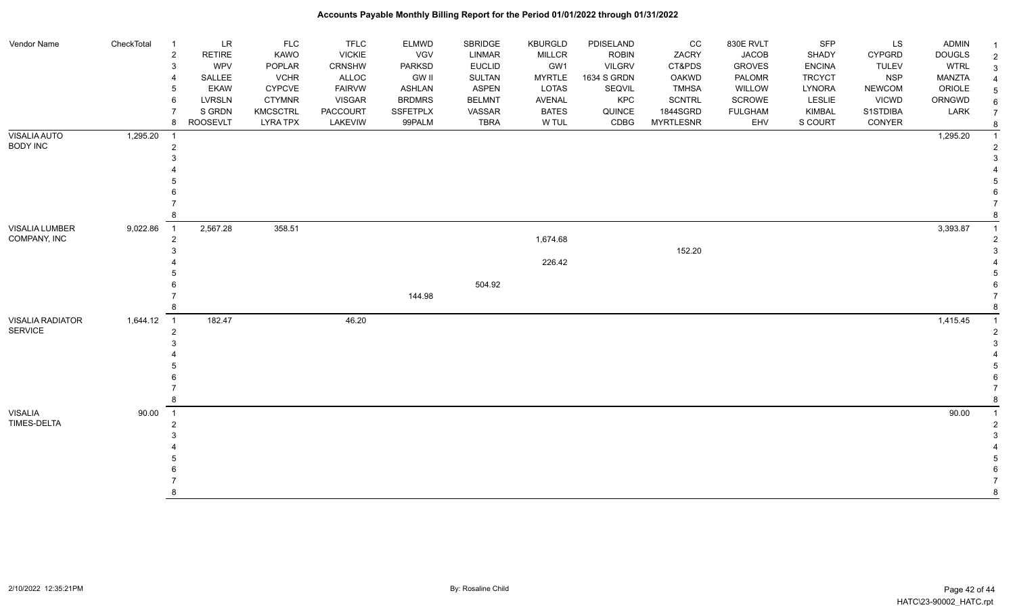| Vendor Name             | CheckTotal | <b>LR</b><br>$\overline{1}$     | <b>FLC</b>      | <b>TFLC</b>   | ELMWD           | <b>SBRIDGE</b> | <b>KBURGLD</b> | PDISELAND     | CC               | 830E RVLT      | <b>SFP</b>    | LS            | <b>ADMIN</b>  |                |
|-------------------------|------------|---------------------------------|-----------------|---------------|-----------------|----------------|----------------|---------------|------------------|----------------|---------------|---------------|---------------|----------------|
|                         |            | $\overline{2}$<br><b>RETIRE</b> | KAWO            | <b>VICKIE</b> | VGV             | LINMAR         | <b>MILLCR</b>  | <b>ROBIN</b>  | ZACRY            | <b>JACOB</b>   | SHADY         | <b>CYPGRD</b> | <b>DOUGLS</b> | $\overline{2}$ |
|                         |            | <b>WPV</b><br>3                 | POPLAR          | <b>CRNSHW</b> | PARKSD          | <b>EUCLID</b>  | GW1            | <b>VILGRV</b> | CT&PDS           | <b>GROVES</b>  | <b>ENCINA</b> | <b>TULEV</b>  | <b>WTRL</b>   |                |
|                         |            | SALLEE                          | <b>VCHR</b>     | ALLOC         | <b>GW II</b>    | SULTAN         | <b>MYRTLE</b>  | 1634 S GRDN   | OAKWD            | PALOMR         | <b>TRCYCT</b> | <b>NSP</b>    | <b>MANZTA</b> |                |
|                         |            | <b>EKAW</b>                     | <b>CYPCVE</b>   | <b>FAIRVW</b> | <b>ASHLAN</b>   | ASPEN          | LOTAS          | SEQVIL        | <b>TMHSA</b>     | WILLOW         | LYNORA        | <b>NEWCOM</b> | ORIOLE        |                |
|                         |            | <b>LVRSLN</b><br>6              | <b>CTYMNR</b>   | <b>VISGAR</b> | <b>BRDMRS</b>   | <b>BELMNT</b>  | AVENAL         | KPC           | <b>SCNTRL</b>    | SCROWE         | LESLIE        | <b>VICWD</b>  | ORNGWD        |                |
|                         |            | S GRDN                          | <b>KMCSCTRL</b> | PACCOURT      | <b>SSFETPLX</b> | VASSAR         | <b>BATES</b>   | QUINCE        | 1844SGRD         | <b>FULGHAM</b> | KIMBAL        | S1STDIBA      | LARK          |                |
|                         |            | <b>ROOSEVLT</b><br>8            | <b>LYRA TPX</b> | LAKEVIW       | 99PALM          | <b>TBRA</b>    | W TUL          | CDBG          | <b>MYRTLESNR</b> | EHV            | S COURT       | CONYER        |               |                |
| VISALIA AUTO            | 1,295.20   | $\overline{1}$                  |                 |               |                 |                |                |               |                  |                |               |               | 1,295.20      |                |
| <b>BODY INC</b>         |            | 2                               |                 |               |                 |                |                |               |                  |                |               |               |               |                |
|                         |            |                                 |                 |               |                 |                |                |               |                  |                |               |               |               |                |
|                         |            |                                 |                 |               |                 |                |                |               |                  |                |               |               |               |                |
|                         |            |                                 |                 |               |                 |                |                |               |                  |                |               |               |               |                |
|                         |            |                                 |                 |               |                 |                |                |               |                  |                |               |               |               |                |
|                         |            |                                 |                 |               |                 |                |                |               |                  |                |               |               |               |                |
|                         |            |                                 |                 |               |                 |                |                |               |                  |                |               |               |               |                |
| VISALIA LUMBER          | 9,022.86   | 2,567.28<br>$\overline{1}$      | 358.51          |               |                 |                |                |               |                  |                |               |               | 3,393.87      |                |
| COMPANY, INC            |            | 2                               |                 |               |                 |                | 1,674.68       |               |                  |                |               |               |               |                |
|                         |            |                                 |                 |               |                 |                |                |               | 152.20           |                |               |               |               |                |
|                         |            |                                 |                 |               |                 |                | 226.42         |               |                  |                |               |               |               |                |
|                         |            |                                 |                 |               |                 |                |                |               |                  |                |               |               |               |                |
|                         |            |                                 |                 |               |                 | 504.92         |                |               |                  |                |               |               |               |                |
|                         |            |                                 |                 |               | 144.98          |                |                |               |                  |                |               |               |               |                |
|                         |            |                                 |                 |               |                 |                |                |               |                  |                |               |               |               |                |
| <b>VISALIA RADIATOR</b> | 1,644.12   | 182.47<br>$\overline{1}$        |                 | 46.20         |                 |                |                |               |                  |                |               |               | 1,415.45      |                |
| <b>SERVICE</b>          |            | $\overline{2}$                  |                 |               |                 |                |                |               |                  |                |               |               |               |                |
|                         |            |                                 |                 |               |                 |                |                |               |                  |                |               |               |               |                |
|                         |            |                                 |                 |               |                 |                |                |               |                  |                |               |               |               |                |
|                         |            |                                 |                 |               |                 |                |                |               |                  |                |               |               |               |                |
|                         |            |                                 |                 |               |                 |                |                |               |                  |                |               |               |               |                |
|                         |            |                                 |                 |               |                 |                |                |               |                  |                |               |               |               |                |
|                         |            |                                 |                 |               |                 |                |                |               |                  |                |               |               |               |                |
| <b>VISALIA</b>          | 90.00      | $\overline{1}$                  |                 |               |                 |                |                |               |                  |                |               |               | 90.00         |                |
| <b>TIMES-DELTA</b>      |            | $\overline{2}$                  |                 |               |                 |                |                |               |                  |                |               |               |               |                |
|                         |            |                                 |                 |               |                 |                |                |               |                  |                |               |               |               |                |
|                         |            |                                 |                 |               |                 |                |                |               |                  |                |               |               |               |                |
|                         |            |                                 |                 |               |                 |                |                |               |                  |                |               |               |               |                |
|                         |            |                                 |                 |               |                 |                |                |               |                  |                |               |               |               |                |
|                         |            |                                 |                 |               |                 |                |                |               |                  |                |               |               |               |                |
|                         |            |                                 |                 |               |                 |                |                |               |                  |                |               |               |               | 8              |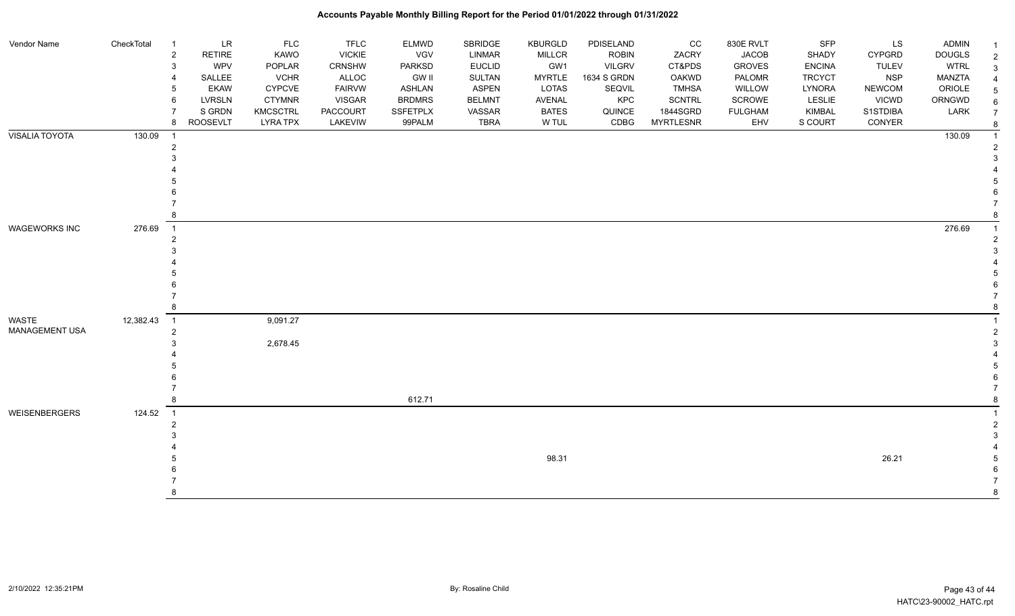| Vendor Name           | CheckTotal | $\overline{1}$ | LR              | <b>FLC</b>      | <b>TFLC</b>     | <b>ELMWD</b>    | SBRIDGE       | KBURGLD       | PDISELAND     | cc               | 830E RVLT      | <b>SFP</b>    | LS            | <b>ADMIN</b>  |  |
|-----------------------|------------|----------------|-----------------|-----------------|-----------------|-----------------|---------------|---------------|---------------|------------------|----------------|---------------|---------------|---------------|--|
|                       |            | $\overline{2}$ | <b>RETIRE</b>   | KAWO            | <b>VICKIE</b>   | VGV             | LINMAR        | <b>MILLCR</b> | <b>ROBIN</b>  | ZACRY            | <b>JACOB</b>   | SHADY         | <b>CYPGRD</b> | <b>DOUGLS</b> |  |
|                       |            | 3              | <b>WPV</b>      | POPLAR          | CRNSHW          | PARKSD          | <b>EUCLID</b> | GW1           | <b>VILGRV</b> | CT&PDS           | <b>GROVES</b>  | <b>ENCINA</b> | <b>TULEV</b>  | <b>WTRL</b>   |  |
|                       |            | 4              | SALLEE          | <b>VCHR</b>     | ALLOC           | <b>GW II</b>    | SULTAN        | <b>MYRTLE</b> | 1634 S GRDN   | OAKWD            | PALOMR         | <b>TRCYCT</b> | <b>NSP</b>    | <b>MANZTA</b> |  |
|                       |            | 5              | <b>EKAW</b>     | <b>CYPCVE</b>   | <b>FAIRVW</b>   | <b>ASHLAN</b>   | <b>ASPEN</b>  | LOTAS         | SEQVIL        | <b>TMHSA</b>     | WILLOW         | LYNORA        | <b>NEWCOM</b> | ORIOLE        |  |
|                       |            | 6              | <b>LVRSLN</b>   | <b>CTYMNR</b>   | <b>VISGAR</b>   | <b>BRDMRS</b>   | <b>BELMNT</b> | AVENAL        | KPC           | <b>SCNTRL</b>    | SCROWE         | LESLIE        | <b>VICWD</b>  | ORNGWD        |  |
|                       |            |                | S GRDN          | <b>KMCSCTRL</b> | <b>PACCOURT</b> | <b>SSFETPLX</b> | VASSAR        | <b>BATES</b>  | QUINCE        | 1844SGRD         | <b>FULGHAM</b> | KIMBAL        | S1STDIBA      | LARK          |  |
|                       |            | 8              | <b>ROOSEVLT</b> | <b>LYRA TPX</b> | LAKEVIW         | 99PALM          | <b>TBRA</b>   | W TUL         | CDBG          | <b>MYRTLESNR</b> | EHV            | S COURT       | CONYER        |               |  |
| <b>VISALIA TOYOTA</b> | 130.09     |                |                 |                 |                 |                 |               |               |               |                  |                |               |               | 130.09        |  |
|                       |            | $\overline{2}$ |                 |                 |                 |                 |               |               |               |                  |                |               |               |               |  |
|                       |            |                |                 |                 |                 |                 |               |               |               |                  |                |               |               |               |  |
|                       |            |                |                 |                 |                 |                 |               |               |               |                  |                |               |               |               |  |
|                       |            |                |                 |                 |                 |                 |               |               |               |                  |                |               |               |               |  |
|                       |            |                |                 |                 |                 |                 |               |               |               |                  |                |               |               |               |  |
|                       |            |                |                 |                 |                 |                 |               |               |               |                  |                |               |               |               |  |
|                       |            |                |                 |                 |                 |                 |               |               |               |                  |                |               |               |               |  |
| <b>WAGEWORKS INC</b>  | 276.69     | $\overline{1}$ |                 |                 |                 |                 |               |               |               |                  |                |               |               | 276.69        |  |
|                       |            | $\overline{2}$ |                 |                 |                 |                 |               |               |               |                  |                |               |               |               |  |
|                       |            |                |                 |                 |                 |                 |               |               |               |                  |                |               |               |               |  |
|                       |            |                |                 |                 |                 |                 |               |               |               |                  |                |               |               |               |  |
|                       |            |                |                 |                 |                 |                 |               |               |               |                  |                |               |               |               |  |
|                       |            |                |                 |                 |                 |                 |               |               |               |                  |                |               |               |               |  |
|                       |            |                |                 |                 |                 |                 |               |               |               |                  |                |               |               |               |  |
|                       |            |                |                 |                 |                 |                 |               |               |               |                  |                |               |               |               |  |
| WASTE                 | 12,382.43  | $\overline{1}$ |                 | 9,091.27        |                 |                 |               |               |               |                  |                |               |               |               |  |
| <b>MANAGEMENT USA</b> |            | $\overline{2}$ |                 |                 |                 |                 |               |               |               |                  |                |               |               |               |  |
|                       |            |                |                 | 2,678.45        |                 |                 |               |               |               |                  |                |               |               |               |  |
|                       |            |                |                 |                 |                 |                 |               |               |               |                  |                |               |               |               |  |
|                       |            |                |                 |                 |                 |                 |               |               |               |                  |                |               |               |               |  |
|                       |            |                |                 |                 |                 |                 |               |               |               |                  |                |               |               |               |  |
|                       |            |                |                 |                 |                 |                 |               |               |               |                  |                |               |               |               |  |
|                       |            |                |                 |                 |                 | 612.71          |               |               |               |                  |                |               |               |               |  |
| WEISENBERGERS         | 124.52     | $\overline{1}$ |                 |                 |                 |                 |               |               |               |                  |                |               |               |               |  |
|                       |            | $\overline{2}$ |                 |                 |                 |                 |               |               |               |                  |                |               |               |               |  |
|                       |            |                |                 |                 |                 |                 |               |               |               |                  |                |               |               |               |  |
|                       |            |                |                 |                 |                 |                 |               |               |               |                  |                |               |               |               |  |
|                       |            |                |                 |                 |                 |                 |               | 98.31         |               |                  |                |               | 26.21         |               |  |
|                       |            |                |                 |                 |                 |                 |               |               |               |                  |                |               |               |               |  |
|                       |            |                |                 |                 |                 |                 |               |               |               |                  |                |               |               |               |  |
|                       |            |                |                 |                 |                 |                 |               |               |               |                  |                |               |               |               |  |